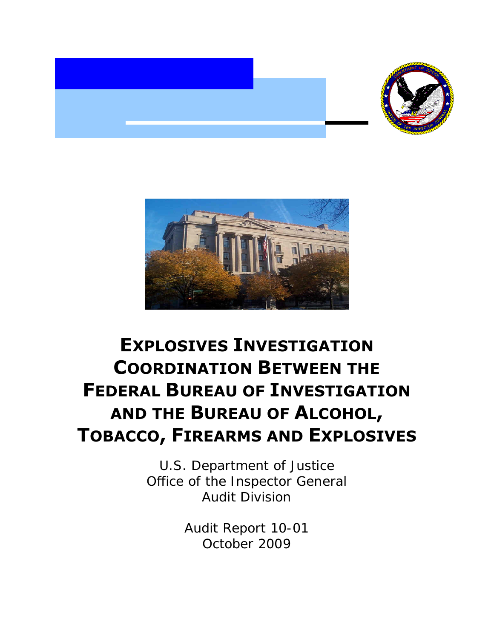



# **EXPLOSIVES INVESTIGATION COORDINATION BETWEEN THE FEDERAL BUREAU OF INVESTIGATION AND THE BUREAU OF ALCOHOL, TOBACCO, FIREARMS AND EXPLOSIVES**

U.S. Department of Justice Office of the Inspector General Audit Division

> Audit Report 10-01 October 2009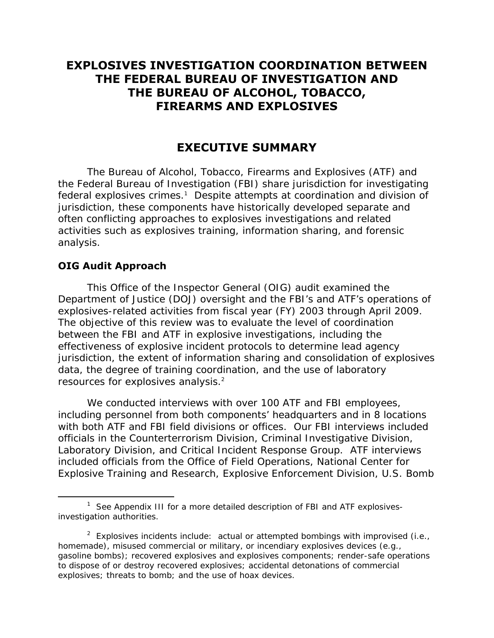# **EXPLOSIVES INVESTIGATION COORDINATION BETWEEN THE FEDERAL BUREAU OF INVESTIGATION AND THE BUREAU OF ALCOHOL, TOBACCO, FIREARMS AND EXPLOSIVES**

## **EXECUTIVE SUMMARY**

The Bureau of Alcohol, Tobacco, Firearms and Explosives (ATF) and the Federal Bureau of Investigation (FBI) share jurisdiction for investigating federal explosives crimes.<sup>1</sup> Despite attempts at coordination and division of jurisdiction, these components have historically developed separate and often conflicting approaches to explosives investigations and related activities such as explosives training, information sharing, and forensic analysis.

#### **OIG Audit Approach**

 $\overline{a}$ 

resources for explosives analysis.<sup>2</sup> This Office of the Inspector General (OIG) audit examined the Department of Justice (DOJ) oversight and the FBI's and ATF's operations of explosives-related activities from fiscal year (FY) 2003 through April 2009. The objective of this review was to evaluate the level of coordination between the FBI and ATF in explosive investigations, including the effectiveness of explosive incident protocols to determine lead agency jurisdiction, the extent of information sharing and consolidation of explosives data, the degree of training coordination, and the use of laboratory

We conducted interviews with over 100 ATF and FBI employees, including personnel from both components' headquarters and in 8 locations with both ATF and FBI field divisions or offices. Our FBI interviews included officials in the Counterterrorism Division, Criminal Investigative Division, Laboratory Division, and Critical Incident Response Group. ATF interviews included officials from the Office of Field Operations, National Center for Explosive Training and Research, Explosive Enforcement Division, U.S. Bomb

<sup>&</sup>lt;sup>1</sup> See Appendix III for a more detailed description of FBI and ATF explosivesinvestigation authorities.

<sup>&</sup>lt;sup>2</sup> Explosives incidents include: actual or attempted bombings with improvised (i.e., homemade), misused commercial or military, or incendiary explosives devices (e.g., gasoline bombs); recovered explosives and explosives components; render-safe operations to dispose of or destroy recovered explosives; accidental detonations of commercial explosives; threats to bomb; and the use of hoax devices.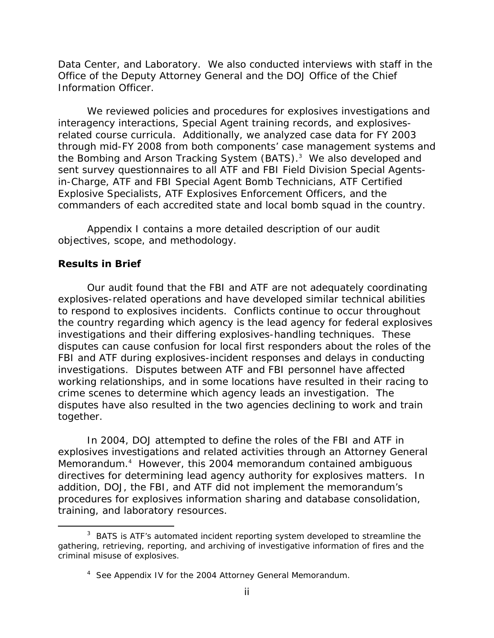Data Center, and Laboratory. We also conducted interviews with staff in the Office of the Deputy Attorney General and the DOJ Office of the Chief Information Officer.

We reviewed policies and procedures for explosives investigations and interagency interactions, Special Agent training records, and explosivesrelated course curricula. Additionally, we analyzed case data for FY 2003 through mid-FY 2008 from both components' case management systems and the Bombing and Arson Tracking System (BATS).<sup>3</sup> We also developed and sent survey questionnaires to all ATF and FBI Field Division Special Agentsin-Charge, ATF and FBI Special Agent Bomb Technicians, ATF Certified Explosive Specialists, ATF Explosives Enforcement Officers, and the commanders of each accredited state and local bomb squad in the country.

Appendix I contains a more detailed description of our audit objectives, scope, and methodology.

#### **Results in Brief**

 $\overline{a}$ 

Our audit found that the FBI and ATF are not adequately coordinating explosives-related operations and have developed similar technical abilities to respond to explosives incidents. Conflicts continue to occur throughout the country regarding which agency is the lead agency for federal explosives investigations and their differing explosives-handling techniques. These disputes can cause confusion for local first responders about the roles of the FBI and ATF during explosives-incident responses and delays in conducting investigations. Disputes between ATF and FBI personnel have affected working relationships, and in some locations have resulted in their racing to crime scenes to determine which agency leads an investigation. The disputes have also resulted in the two agencies declining to work and train together.

In 2004, DOJ attempted to define the roles of the FBI and ATF in explosives investigations and related activities through an Attorney General Memorandum.4 However, this 2004 memorandum contained ambiguous directives for determining lead agency authority for explosives matters. In addition, DOJ, the FBI, and ATF did not implement the memorandum's procedures for explosives information sharing and database consolidation, training, and laboratory resources.

 $3$  BATS is ATF's automated incident reporting system developed to streamline the gathering, retrieving, reporting, and archiving of investigative information of fires and the criminal misuse of explosives.

<sup>&</sup>lt;sup>4</sup> See Appendix IV for the 2004 Attorney General Memorandum.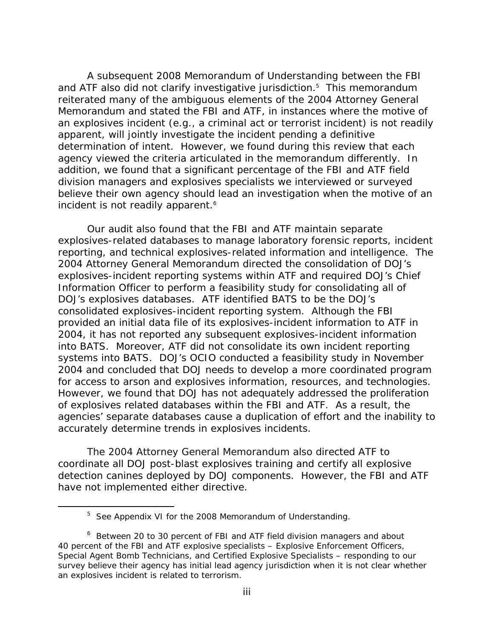incident is not readily apparent.<sup>6</sup> A subsequent 2008 Memorandum of Understanding between the FBI and ATF also did not clarify investigative jurisdiction.<sup>5</sup> This memorandum reiterated many of the ambiguous elements of the 2004 Attorney General Memorandum and stated the FBI and ATF, in instances where the motive of an explosives incident (e.g., a criminal act or terrorist incident) is not readily apparent, will jointly investigate the incident pending a definitive determination of intent. However, we found during this review that each agency viewed the criteria articulated in the memorandum differently. In addition, we found that a significant percentage of the FBI and ATF field division managers and explosives specialists we interviewed or surveyed believe their own agency should lead an investigation when the motive of an

Our audit also found that the FBI and ATF maintain separate explosives-related databases to manage laboratory forensic reports, incident reporting, and technical explosives-related information and intelligence. The 2004 Attorney General Memorandum directed the consolidation of DOJ's explosives-incident reporting systems within ATF and required DOJ's Chief Information Officer to perform a feasibility study for consolidating all of DOJ's explosives databases. ATF identified BATS to be the DOJ's consolidated explosives-incident reporting system. Although the FBI provided an initial data file of its explosives-incident information to ATF in 2004, it has not reported any subsequent explosives-incident information into BATS. Moreover, ATF did not consolidate its own incident reporting systems into BATS. DOJ's OCIO conducted a feasibility study in November 2004 and concluded that DOJ needs to develop a more coordinated program for access to arson and explosives information, resources, and technologies. However, we found that DOJ has not adequately addressed the proliferation of explosives related databases within the FBI and ATF. As a result, the agencies' separate databases cause a duplication of effort and the inability to accurately determine trends in explosives incidents.

The 2004 Attorney General Memorandum also directed ATF to coordinate all DOJ post-blast explosives training and certify all explosive detection canines deployed by DOJ components. However, the FBI and ATF have not implemented either directive.

 $\overline{a}$ 

<sup>&</sup>lt;sup>5</sup> See Appendix VI for the 2008 Memorandum of Understanding.

 an explosives incident is related to terrorism. <sup>6</sup> Between 20 to 30 percent of FBI and ATF field division managers and about 40 percent of the FBI and ATF explosive specialists – Explosive Enforcement Officers, Special Agent Bomb Technicians, and Certified Explosive Specialists – responding to our survey believe their agency has initial lead agency jurisdiction when it is not clear whether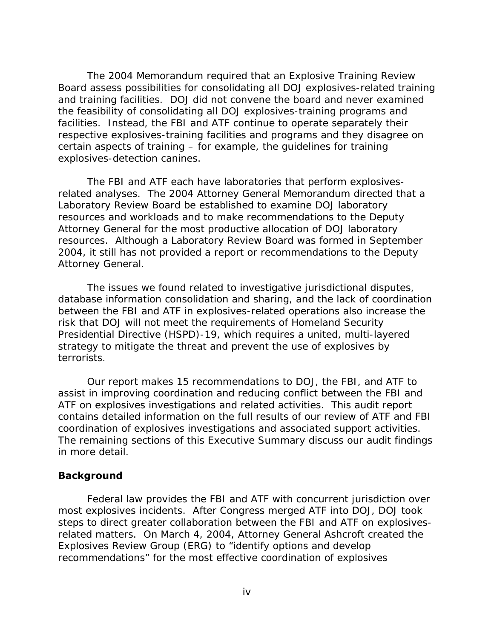and training facilities. DOJ did not convene the board and never examined The 2004 Memorandum required that an Explosive Training Review Board assess possibilities for consolidating all DOJ explosives-related training the feasibility of consolidating all DOJ explosives-training programs and facilities. Instead, the FBI and ATF continue to operate separately their respective explosives-training facilities and programs and they disagree on certain aspects of training – for example, the guidelines for training explosives-detection canines.

The FBI and ATF each have laboratories that perform explosivesrelated analyses. The 2004 Attorney General Memorandum directed that a Laboratory Review Board be established to examine DOJ laboratory resources and workloads and to make recommendations to the Deputy Attorney General for the most productive allocation of DOJ laboratory resources. Although a Laboratory Review Board was formed in September 2004, it still has not provided a report or recommendations to the Deputy Attorney General.

terrorists. The issues we found related to investigative jurisdictional disputes, database information consolidation and sharing, and the lack of coordination between the FBI and ATF in explosives-related operations also increase the risk that DOJ will not meet the requirements of Homeland Security Presidential Directive (HSPD)-19, which requires a united, multi-layered strategy to mitigate the threat and prevent the use of explosives by

Our report makes 15 recommendations to DOJ, the FBI, and ATF to assist in improving coordination and reducing conflict between the FBI and ATF on explosives investigations and related activities. This audit report contains detailed information on the full results of our review of ATF and FBI coordination of explosives investigations and associated support activities. The remaining sections of this Executive Summary discuss our audit findings in more detail.

#### **Background**

Federal law provides the FBI and ATF with concurrent jurisdiction over most explosives incidents. After Congress merged ATF into DOJ, DOJ took steps to direct greater collaboration between the FBI and ATF on explosivesrelated matters. On March 4, 2004, Attorney General Ashcroft created the Explosives Review Group (ERG) to "identify options and develop recommendations" for the most effective coordination of explosives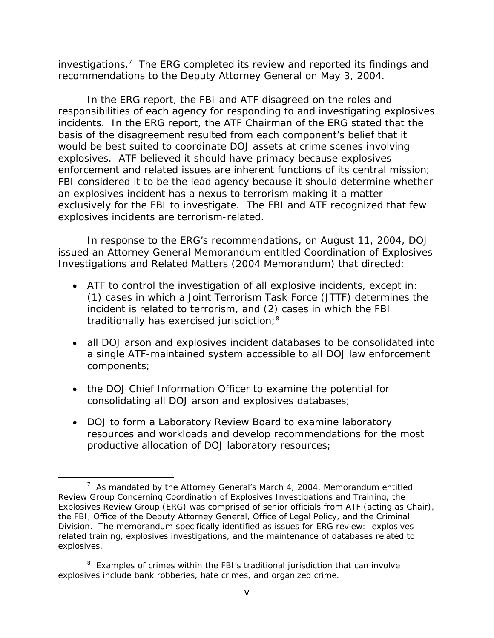investigations.7 The ERG completed its review and reported its findings and recommendations to the Deputy Attorney General on May 3, 2004.

In the ERG report, the FBI and ATF disagreed on the roles and responsibilities of each agency for responding to and investigating explosives incidents. In the ERG report, the ATF Chairman of the ERG stated that the basis of the disagreement resulted from each component's belief that it would be best suited to coordinate DOJ assets at crime scenes involving explosives. ATF believed it should have primacy because explosives enforcement and related issues are inherent functions of its central mission; FBI considered it to be the lead agency because it should determine whether an explosives incident has a nexus to terrorism making it a matter exclusively for the FBI to investigate. The FBI and ATF recognized that few explosives incidents are terrorism-related.

In response to the ERG's recommendations, on August 11, 2004, DOJ issued an Attorney General Memorandum entitled Coordination of Explosives Investigations and Related Matters (2004 Memorandum) that directed:

- traditionally has exercised jurisdiction;<sup>8</sup> • ATF to control the investigation of all explosive incidents, except in: (1) cases in which a Joint Terrorism Task Force (JTTF) determines the incident is related to terrorism, and (2) cases in which the FBI
- all DOJ arson and explosives incident databases to be consolidated into a single ATF-maintained system accessible to all DOJ law enforcement components;
- the DOJ Chief Information Officer to examine the potential for consolidating all DOJ arson and explosives databases;

 $\overline{a}$ 

• DOJ to form a Laboratory Review Board to examine laboratory resources and workloads and develop recommendations for the most productive allocation of DOJ laboratory resources;

<sup>&</sup>lt;sup>7</sup> As mandated by the Attorney General's March 4, 2004, Memorandum entitled Review Group Concerning Coordination of Explosives Investigations and Training, the Explosives Review Group (ERG) was comprised of senior officials from ATF (acting as Chair), the FBI, Office of the Deputy Attorney General, Office of Legal Policy, and the Criminal Division. The memorandum specifically identified as issues for ERG review: explosivesrelated training, explosives investigations, and the maintenance of databases related to explosives.

<sup>&</sup>lt;sup>8</sup> Examples of crimes within the FBI's traditional jurisdiction that can involve explosives include bank robberies, hate crimes, and organized crime.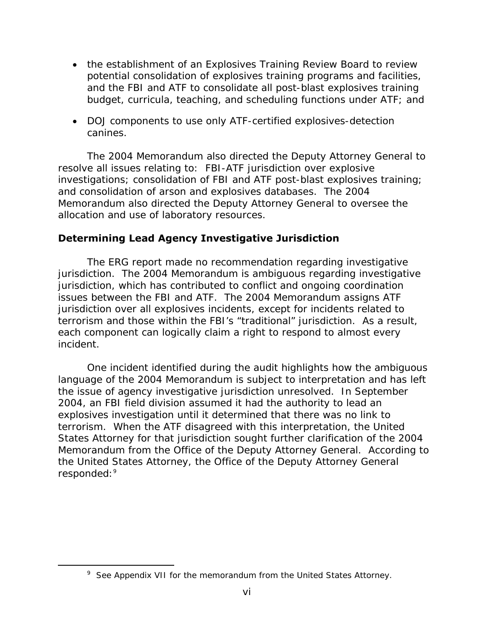- the establishment of an Explosives Training Review Board to review potential consolidation of explosives training programs and facilities, and the FBI and ATF to consolidate all post-blast explosives training budget, curricula, teaching, and scheduling functions under ATF; and
- DOJ components to use only ATF-certified explosives-detection canines.

The 2004 Memorandum also directed the Deputy Attorney General to resolve all issues relating to: FBI-ATF jurisdiction over explosive investigations; consolidation of FBI and ATF post-blast explosives training; and consolidation of arson and explosives databases. The 2004 Memorandum also directed the Deputy Attorney General to oversee the allocation and use of laboratory resources.

### **Determining Lead Agency Investigative Jurisdiction**

The ERG report made no recommendation regarding investigative jurisdiction. The 2004 Memorandum is ambiguous regarding investigative jurisdiction, which has contributed to conflict and ongoing coordination issues between the FBI and ATF. The 2004 Memorandum assigns ATF jurisdiction over all explosives incidents, except for incidents related to terrorism and those within the FBI's "traditional" jurisdiction. As a result, each component can logically claim a right to respond to almost every incident.

One incident identified during the audit highlights how the ambiguous language of the 2004 Memorandum is subject to interpretation and has left the issue of agency investigative jurisdiction unresolved. In September 2004, an FBI field division assumed it had the authority to lead an explosives investigation until it determined that there was no link to terrorism. When the ATF disagreed with this interpretation, the United States Attorney for that jurisdiction sought further clarification of the 2004 Memorandum from the Office of the Deputy Attorney General. According to the United States Attorney, the Office of the Deputy Attorney General responded:<sup>9</sup>

-

<sup>&</sup>lt;sup>9</sup> See Appendix VII for the memorandum from the United States Attorney.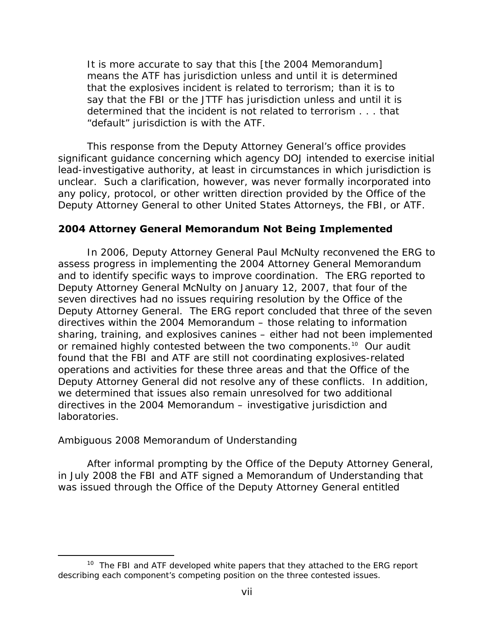It is more accurate to say that this [the 2004 Memorandum] means the ATF has jurisdiction unless and until it is determined that the explosives incident is related to terrorism; than it is to say that the FBI or the JTTF has jurisdiction unless and until it is determined that the incident is not related to terrorism . . . that "default" jurisdiction is with the ATF.

This response from the Deputy Attorney General's office provides significant guidance concerning which agency DOJ intended to exercise initial lead-investigative authority, at least in circumstances in which jurisdiction is unclear. Such a clarification, however, was never formally incorporated into any policy, protocol, or other written direction provided by the Office of the Deputy Attorney General to other United States Attorneys, the FBI, or ATF.

#### **2004 Attorney General Memorandum Not Being Implemented**

In 2006, Deputy Attorney General Paul McNulty reconvened the ERG to assess progress in implementing the 2004 Attorney General Memorandum and to identify specific ways to improve coordination. The ERG reported to Deputy Attorney General McNulty on January 12, 2007, that four of the seven directives had no issues requiring resolution by the Office of the Deputy Attorney General. The ERG report concluded that three of the seven directives within the 2004 Memorandum – those relating to information sharing, training, and explosives canines – either had not been implemented or remained highly contested between the two components.<sup>10</sup> Our audit found that the FBI and ATF are still not coordinating explosives-related operations and activities for these three areas and that the Office of the Deputy Attorney General did not resolve any of these conflicts. In addition, we determined that issues also remain unresolved for two additional directives in the 2004 Memorandum – investigative jurisdiction and laboratories.

#### *Ambiguous 2008 Memorandum of Understanding*

 $\overline{a}$ 

After informal prompting by the Office of the Deputy Attorney General, in July 2008 the FBI and ATF signed a Memorandum of Understanding that was issued through the Office of the Deputy Attorney General entitled

 $10$  The FBI and ATF developed white papers that they attached to the ERG report describing each component's competing position on the three contested issues.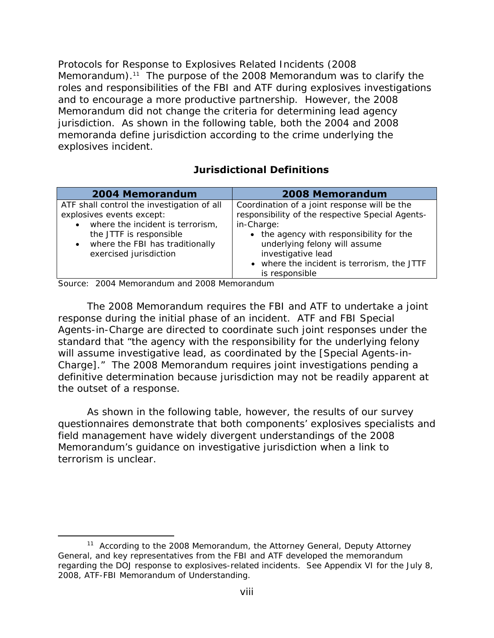*Protocols for Response to Explosives Related Incidents (*2008 Memorandum).<sup>11</sup> The purpose of the 2008 Memorandum was to clarify the roles and responsibilities of the FBI and ATF during explosives investigations and to encourage a more productive partnership. However, the 2008 Memorandum did not change the criteria for determining lead agency jurisdiction. As shown in the following table, both the 2004 and 2008 memoranda define jurisdiction according to the crime underlying the explosives incident.

### **Jurisdictional Definitions**

| <b>2004 Memorandum</b>                                                                                                                                                                                                        | <b>2008 Memorandum</b>                                                                                                                                                                                                                                           |
|-------------------------------------------------------------------------------------------------------------------------------------------------------------------------------------------------------------------------------|------------------------------------------------------------------------------------------------------------------------------------------------------------------------------------------------------------------------------------------------------------------|
| ATF shall control the investigation of all<br>explosives events except:<br>where the incident is terrorism,<br>$\bullet$<br>the JTTF is responsible<br>where the FBI has traditionally<br>$\bullet$<br>exercised jurisdiction | Coordination of a joint response will be the<br>responsibility of the respective Special Agents-<br>in-Charge:<br>• the agency with responsibility for the<br>underlying felony will assume<br>investigative lead<br>• where the incident is terrorism, the JTTF |
|                                                                                                                                                                                                                               | is responsible                                                                                                                                                                                                                                                   |

Source: 2004 Memorandum and 2008 Memorandum

 $\overline{a}$ 

The 2008 Memorandum requires the FBI and ATF to undertake a *joint response* during the *initial* phase of an incident. ATF and FBI Special Agents-in-Charge are directed to coordinate such joint responses under the standard that "the agency with the responsibility for the underlying felony will assume investigative lead, as coordinated by the [Special Agents-in-Charge]." The 2008 Memorandum requires joint investigations pending a definitive determination because jurisdiction may not be readily apparent at the outset of a response.

As shown in the following table, however, the results of our survey questionnaires demonstrate that both components' explosives specialists and field management have widely divergent understandings of the 2008 Memorandum's guidance on investigative jurisdiction when a link to terrorism is unclear.

 $11$  According to the 2008 Memorandum, the Attorney General, Deputy Attorney General, and key representatives from the FBI and ATF developed the memorandum regarding the DOJ response to explosives-related incidents. See Appendix VI for the July 8, 2008, ATF-FBI Memorandum of Understanding.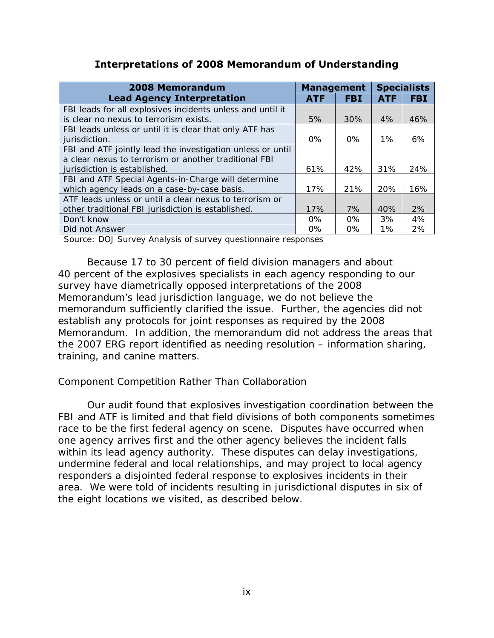#### **Interpretations of 2008 Memorandum of Understanding**

| <b>2008 Memorandum</b>                                     | <b>Management</b> |            | <b>Specialists</b> |            |
|------------------------------------------------------------|-------------------|------------|--------------------|------------|
| <b>Lead Agency Interpretation</b>                          | <b>ATF</b>        | <b>FBI</b> | <b>ATF</b>         | <b>FBI</b> |
| FBI leads for all explosives incidents unless and until it |                   |            |                    |            |
| is clear no nexus to terrorism exists.                     | 5%                | 30%        | 4%                 | 46%        |
| FBI leads unless or until it is clear that only ATF has    |                   |            |                    |            |
| jurisdiction.                                              | $0\%$             | $0\%$      | $1\%$              | 6%         |
| FBI and ATF jointly lead the investigation unless or until |                   |            |                    |            |
| a clear nexus to terrorism or another traditional FBI      |                   |            |                    |            |
| jurisdiction is established.                               | 61%               | 42%        | 31%                | 24%        |
| FBI and ATF Special Agents-in-Charge will determine        |                   |            |                    |            |
| which agency leads on a case-by-case basis.                | 17%               | 21%        | 20%                | 16%        |
| ATF leads unless or until a clear nexus to terrorism or    |                   |            |                    |            |
| other traditional FBI jurisdiction is established.         | 17%               | 7%         | 40%                | 2%         |
| Don't know                                                 | $0\%$             | $0\%$      | 3%                 | 4%         |
| Did not Answer                                             | $0\%$             | $0\%$      | 1%                 | 2%         |

Source: DOJ Survey Analysis of survey questionnaire responses

Because 17 to 30 percent of field division managers and about 40 percent of the explosives specialists in each agency responding to our survey have diametrically opposed interpretations of the 2008 Memorandum's lead jurisdiction language, we do not believe the memorandum sufficiently clarified the issue. Further, the agencies did not establish any protocols for joint responses as required by the 2008 Memorandum. In addition, the memorandum did not address the areas that the 2007 ERG report identified as needing resolution – information sharing, training, and canine matters.

#### *Component Competition Rather Than Collaboration*

Our audit found that explosives investigation coordination between the FBI and ATF is limited and that field divisions of both components sometimes race to be the first federal agency on scene. Disputes have occurred when one agency arrives first and the other agency believes the incident falls within its lead agency authority. These disputes can delay investigations, undermine federal and local relationships, and may project to local agency responders a disjointed federal response to explosives incidents in their area. We were told of incidents resulting in jurisdictional disputes in six of the eight locations we visited, as described below.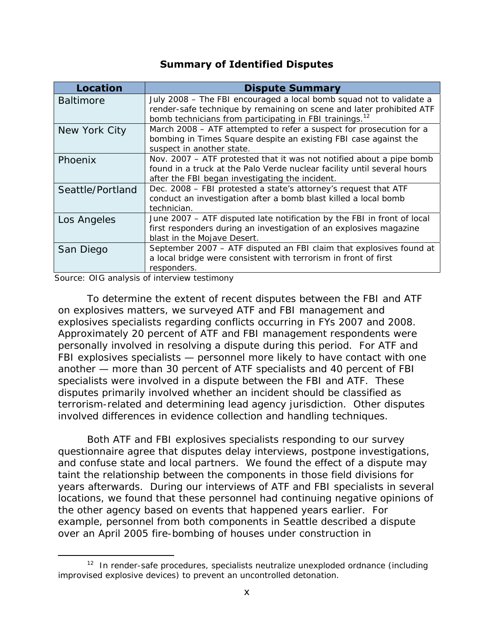| <b>Summary of Identified Disputes</b> |                                                                                                                                                                                                                    |  |  |  |
|---------------------------------------|--------------------------------------------------------------------------------------------------------------------------------------------------------------------------------------------------------------------|--|--|--|
| <b>Location</b>                       | <b>Dispute Summary</b>                                                                                                                                                                                             |  |  |  |
| <b>Baltimore</b>                      | July 2008 - The FBI encouraged a local bomb squad not to validate a<br>render-safe technique by remaining on scene and later prohibited ATF<br>bomb technicians from participating in FBI trainings. <sup>12</sup> |  |  |  |
| New York City                         | March 2008 - ATF attempted to refer a suspect for prosecution for a<br>bombing in Times Square despite an existing FBI case against the<br>suspect in another state.                                               |  |  |  |
| Phoenix                               | Nov. 2007 – ATF protested that it was not notified about a pipe bomb<br>found in a truck at the Palo Verde nuclear facility until several hours<br>after the FBI began investigating the incident.                 |  |  |  |
| Seattle/Portland                      | Dec. 2008 - FBI protested a state's attorney's request that ATF<br>conduct an investigation after a bomb blast killed a local bomb<br>technician.                                                                  |  |  |  |
| Los Angeles                           | June 2007 – ATF disputed late notification by the FBI in front of local<br>first responders during an investigation of an explosives magazine<br>blast in the Mojave Desert.                                       |  |  |  |
| San Diego                             | September 2007 - ATF disputed an FBI claim that explosives found at<br>a local bridge were consistent with terrorism in front of first<br>responders.                                                              |  |  |  |

Source: OIG analysis of interview testimony

 $\overline{a}$ 

To determine the extent of recent disputes between the FBI and ATF on explosives matters, we surveyed ATF and FBI management and explosives specialists regarding conflicts occurring in FYs 2007 and 2008. Approximately 20 percent of ATF and FBI management respondents were personally involved in resolving a dispute during this period. For ATF and FBI explosives specialists — personnel more likely to have contact with one another — more than 30 percent of ATF specialists and 40 percent of FBI specialists were involved in a dispute between the FBI and ATF. These disputes primarily involved whether an incident should be classified as terrorism-related and determining lead agency jurisdiction. Other disputes involved differences in evidence collection and handling techniques.

Both ATF and FBI explosives specialists responding to our survey questionnaire agree that disputes delay interviews, postpone investigations, and confuse state and local partners. We found the effect of a dispute may taint the relationship between the components in those field divisions for years afterwards. During our interviews of ATF and FBI specialists in several locations, we found that these personnel had continuing negative opinions of the other agency based on events that happened years earlier. For example, personnel from both components in Seattle described a dispute over an April 2005 fire-bombing of houses under construction in

 $12$  In render-safe procedures, specialists neutralize unexploded ordnance (including improvised explosive devices) to prevent an uncontrolled detonation.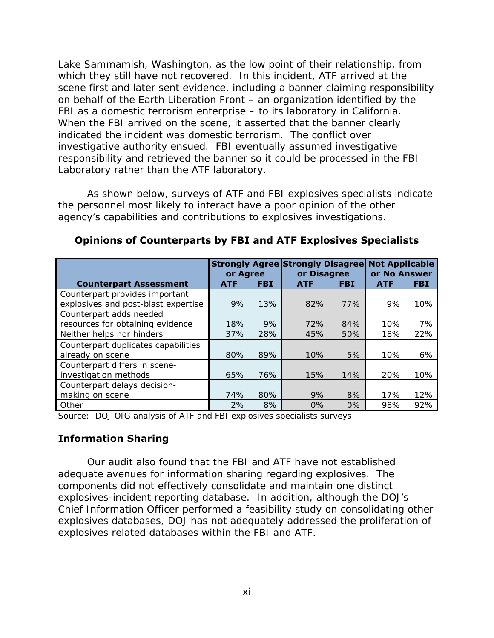Lake Sammamish, Washington, as the low point of their relationship, from which they still have not recovered. In this incident, ATF arrived at the scene first and later sent evidence, including a banner claiming responsibility on behalf of the Earth Liberation Front – an organization identified by the FBI as a domestic terrorism enterprise – to its laboratory in California. When the FBI arrived on the scene, it asserted that the banner clearly indicated the incident was domestic terrorism. The conflict over investigative authority ensued. FBI eventually assumed investigative responsibility and retrieved the banner so it could be processed in the FBI Laboratory rather than the ATF laboratory.

As shown below, surveys of ATF and FBI explosives specialists indicate the personnel most likely to interact have a poor opinion of the other agency's capabilities and contributions to explosives investigations.

|                                     | or Agree   |            | <b>Strongly Agree Strongly Disagree</b><br>or Disagree |            | <b>Not Applicable</b><br>or No Answer |            |
|-------------------------------------|------------|------------|--------------------------------------------------------|------------|---------------------------------------|------------|
| <b>Counterpart Assessment</b>       | <b>ATF</b> | <b>FBI</b> | <b>ATF</b>                                             | <b>FBI</b> | <b>ATF</b>                            | <b>FBI</b> |
| Counterpart provides important      |            |            |                                                        |            |                                       |            |
| explosives and post-blast expertise | 9%         | 13%        | 82%                                                    | 77%        | 9%                                    | 10%        |
| Counterpart adds needed             |            |            |                                                        |            |                                       |            |
| resources for obtaining evidence    | 18%        | 9%         | 72%                                                    | 84%        | 10%                                   | 7%         |
| Neither helps nor hinders           | 37%        | 28%        | 45%                                                    | 50%        | 18%                                   | 22%        |
| Counterpart duplicates capabilities |            |            |                                                        |            |                                       |            |
| already on scene                    | 80%        | 89%        | 10%                                                    | 5%         | 10%                                   | 6%         |
| Counterpart differs in scene-       |            |            |                                                        |            |                                       |            |
| investigation methods               | 65%        | 76%        | 15%                                                    | 14%        | 20%                                   | 10%        |
| Counterpart delays decision-        |            |            |                                                        |            |                                       |            |
| making on scene                     | 74%        | 80%        | 9%                                                     | 8%         | 17%                                   | 12%        |
| Other                               | 2%         | 8%         | 0%                                                     | 0%         | 98%                                   | 92%        |

#### **Opinions of Counterparts by FBI and ATF Explosives Specialists**

Source: DOJ OIG analysis of ATF and FBI explosives specialists surveys

#### **Information Sharing**

Our audit also found that the FBI and ATF have not established adequate avenues for information sharing regarding explosives. The components did not effectively consolidate and maintain one distinct explosives-incident reporting database. In addition, although the DOJ's Chief Information Officer performed a feasibility study on consolidating other explosives databases, DOJ has not adequately addressed the proliferation of explosives related databases within the FBI and ATF.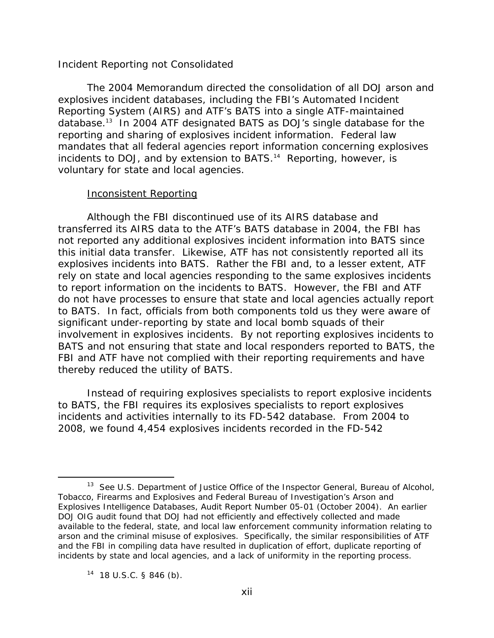#### *Incident Reporting not Consolidated*

The 2004 Memorandum directed the consolidation of all DOJ arson and explosives incident databases, including the FBI's Automated Incident Reporting System (AIRS) and ATF's BATS into a single ATF-maintained database.13 In 2004 ATF designated BATS as DOJ's single database for the reporting and sharing of explosives incident information. Federal law mandates that all federal agencies report information concerning explosives incidents to DOJ, and by extension to BATS.<sup>14</sup> Reporting, however, is voluntary for state and local agencies.

#### Inconsistent Reporting

Although the FBI discontinued use of its AIRS database and transferred its AIRS data to the ATF's BATS database in 2004, the FBI has not reported any additional explosives incident information into BATS since this initial data transfer. Likewise, ATF has not consistently reported all its explosives incidents into BATS. Rather the FBI and, to a lesser extent, ATF rely on state and local agencies responding to the same explosives incidents to report information on the incidents to BATS. However, the FBI and ATF do not have processes to ensure that state and local agencies actually report to BATS. In fact, officials from both components told us they were aware of significant under-reporting by state and local bomb squads of their involvement in explosives incidents. By not reporting explosives incidents to BATS and not ensuring that state and local responders reported to BATS, the FBI and ATF have not complied with their reporting requirements and have thereby reduced the utility of BATS.

Instead of requiring explosives specialists to report explosive incidents to BATS, the FBI requires its explosives specialists to report explosives incidents and activities internally to its FD-542 database. From 2004 to 2008, we found 4,454 explosives incidents recorded in the FD-542

-

incidents by state and local agencies, and a lack of uniformity in the reporting process.<br><sup>14</sup> 18 U.S.C. § 846 (b). 13 See U.S. Department of Justice Office of the Inspector General, *Bureau of Alcohol, Tobacco, Firearms and Explosives and Federal Bureau of Investigation's Arson and Explosives Intelligence Databases,* Audit Report Number 05-01 (October 2004). An earlier DOJ OIG audit found that DOJ had not efficiently and effectively collected and made available to the federal, state, and local law enforcement community information relating to arson and the criminal misuse of explosives. Specifically, the similar responsibilities of ATF and the FBI in compiling data have resulted in duplication of effort, duplicate reporting of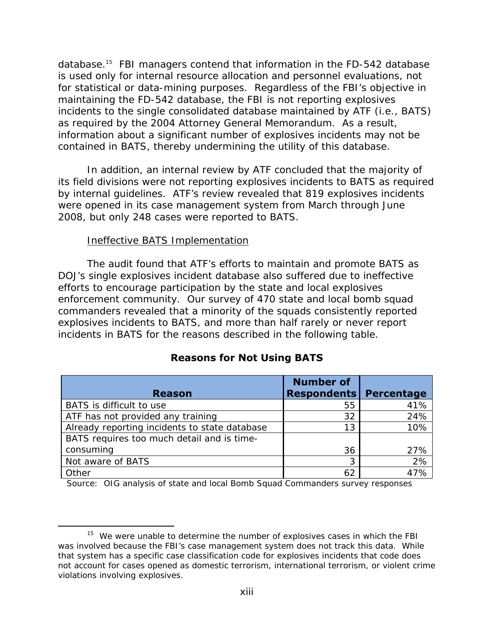database.15 FBI managers contend that information in the FD-542 database is used only for internal resource allocation and personnel evaluations, not for statistical or data-mining purposes. Regardless of the FBI's objective in maintaining the FD-542 database, the FBI is not reporting explosives incidents to the single consolidated database maintained by ATF (i.e., BATS) as required by the 2004 Attorney General Memorandum. As a result, information about a significant number of explosives incidents may not be contained in BATS, thereby undermining the utility of this database.

In addition, an internal review by ATF concluded that the majority of its field divisions were not reporting explosives incidents to BATS as required by internal guidelines. ATF's review revealed that 819 explosives incidents were opened in its case management system from March through June 2008, but only 248 cases were reported to BATS.

#### Ineffective BATS Implementation

 $\overline{a}$ 

The audit found that ATF's efforts to maintain and promote BATS as DOJ's single explosives incident database also suffered due to ineffective efforts to encourage participation by the state and local explosives enforcement community. Our survey of 470 state and local bomb squad commanders revealed that a minority of the squads consistently reported explosives incidents to BATS, and more than half rarely or never report incidents in BATS for the reasons described in the following table.

|                                               | <b>Number of</b>              |     |
|-----------------------------------------------|-------------------------------|-----|
| <b>Reason</b>                                 | <b>Respondents Percentage</b> |     |
| BATS is difficult to use                      | 55                            | 41% |
| ATF has not provided any training             | 32                            | 24% |
| Already reporting incidents to state database | 13                            | 10% |
| BATS requires too much detail and is time-    |                               |     |
| consuming                                     | 36                            | 27% |
| Not aware of BATS                             | 3                             | 2%  |
| Other                                         | 62                            | 47% |

#### **Reasons for Not Using BATS**

Source: OIG analysis of state and local Bomb Squad Commanders survey responses

 $15$  We were unable to determine the number of explosives cases in which the FBI was involved because the FBI's case management system does not track this data. While that system has a specific case classification code for explosives incidents that code does not account for cases opened as domestic terrorism, international terrorism, or violent crime violations involving explosives.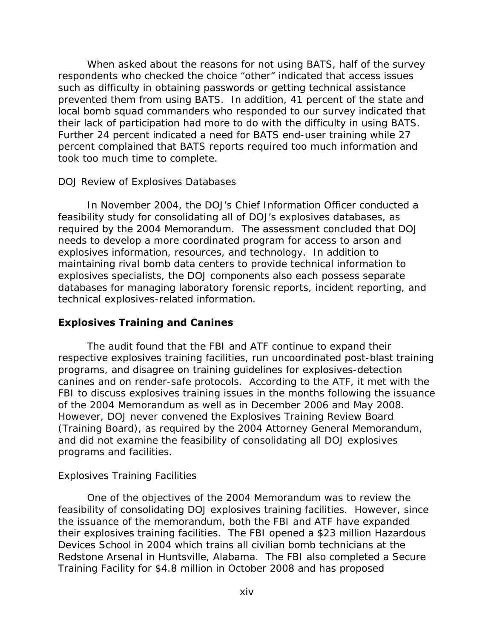When asked about the reasons for not using BATS, half of the survey respondents who checked the choice "other" indicated that access issues such as difficulty in obtaining passwords or getting technical assistance prevented them from using BATS. In addition, 41 percent of the state and local bomb squad commanders who responded to our survey indicated that their lack of participation had more to do with the difficulty in using BATS. Further 24 percent indicated a need for BATS end-user training while 27 percent complained that BATS reports required too much information and took too much time to complete.

#### *DOJ Review of Explosives Databases*

In November 2004, the DOJ's Chief Information Officer conducted a feasibility study for consolidating all of DOJ's explosives databases, as required by the 2004 Memorandum. The assessment concluded that DOJ needs to develop a more coordinated program for access to arson and explosives information, resources, and technology. In addition to maintaining rival bomb data centers to provide technical information to explosives specialists, the DOJ components also each possess separate databases for managing laboratory forensic reports, incident reporting, and technical explosives-related information.

#### **Explosives Training and Canines**

The audit found that the FBI and ATF continue to expand their respective explosives training facilities, run uncoordinated post-blast training programs, and disagree on training guidelines for explosives-detection canines and on render-safe protocols. According to the ATF, it met with the FBI to discuss explosives training issues in the months following the issuance of the 2004 Memorandum as well as in December 2006 and May 2008. However, DOJ never convened the Explosives Training Review Board (Training Board), as required by the 2004 Attorney General Memorandum, and did not examine the feasibility of consolidating all DOJ explosives programs and facilities.

#### *Explosives Training Facilities*

One of the objectives of the 2004 Memorandum was to review the feasibility of consolidating DOJ explosives training facilities. However, since the issuance of the memorandum, both the FBI and ATF have expanded their explosives training facilities. The FBI opened a \$23 million Hazardous Devices School in 2004 which trains all civilian bomb technicians at the Redstone Arsenal in Huntsville, Alabama. The FBI also completed a Secure Training Facility for \$4.8 million in October 2008 and has proposed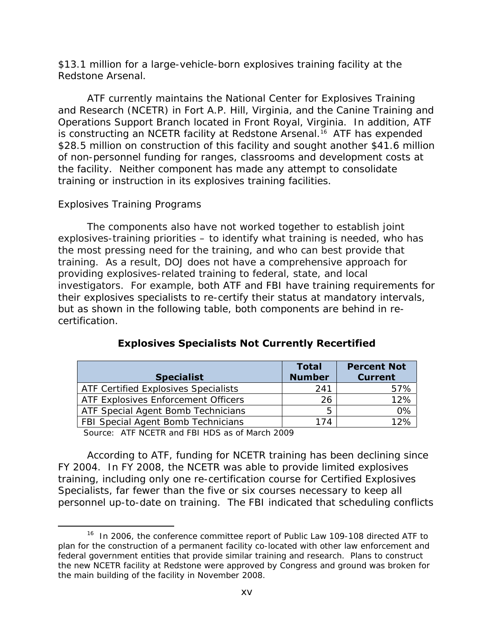\$13.1 million for a large-vehicle-born explosives training facility at the Redstone Arsenal.

ATF currently maintains the National Center for Explosives Training and Research (NCETR) in Fort A.P. Hill, Virginia, and the Canine Training and Operations Support Branch located in Front Royal, Virginia. In addition, ATF is constructing an NCETR facility at Redstone Arsenal.<sup>16</sup> ATF has expended \$28.5 million on construction of this facility and sought another \$41.6 million of non-personnel funding for ranges, classrooms and development costs at the facility. Neither component has made any attempt to consolidate training or instruction in its explosives training facilities.

#### *Explosives Training Programs*

 $\overline{a}$ 

The components also have not worked together to establish joint explosives-training priorities – to identify what training is needed, who has the most pressing need for the training, and who can best provide that training. As a result, DOJ does not have a comprehensive approach for providing explosives-related training to federal, state, and local investigators. For example, both ATF and FBI have training requirements for their explosives specialists to re-certify their status at mandatory intervals, but as shown in the following table, both components are behind in recertification.

|                                      | <b>Total</b>  | <b>Percent Not</b> |
|--------------------------------------|---------------|--------------------|
| <b>Specialist</b>                    | <b>Number</b> | <b>Current</b>     |
| ATF Certified Explosives Specialists | 241           | 57%                |
| ATF Explosives Enforcement Officers  | 26            | 12%                |
| ATF Special Agent Bomb Technicians   | 5             | 0%                 |
| FBI Special Agent Bomb Technicians   | 174           | 12%                |

#### **Explosives Specialists Not Currently Recertified**

Source: ATF NCETR and FBI HDS as of March 2009

According to ATF, funding for NCETR training has been declining since FY 2004. In FY 2008, the NCETR was able to provide limited explosives training, including only one re-certification course for Certified Explosives Specialists, far fewer than the five or six courses necessary to keep all personnel up-to-date on training. The FBI indicated that scheduling conflicts

<sup>&</sup>lt;sup>16</sup> In 2006, the conference committee report of Public Law 109-108 directed ATF to plan for the construction of a permanent facility co-located with other law enforcement and federal government entities that provide similar training and research. Plans to construct the new NCETR facility at Redstone were approved by Congress and ground was broken for the main building of the facility in November 2008.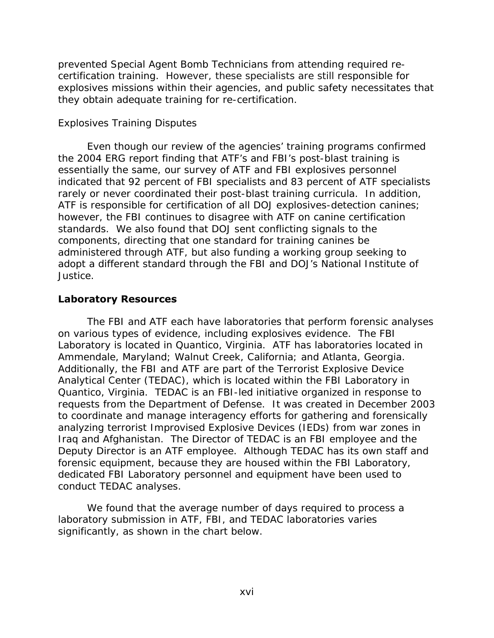they obtain adequate training for re-certification. prevented Special Agent Bomb Technicians from attending required recertification training. However, these specialists are still responsible for explosives missions within their agencies, and public safety necessitates that

#### *Explosives Training Disputes*

Even though our review of the agencies' training programs confirmed the 2004 ERG report finding that ATF's and FBI's post-blast training is essentially the same, our survey of ATF and FBI explosives personnel indicated that 92 percent of FBI specialists and 83 percent of ATF specialists rarely or never coordinated their post-blast training curricula. In addition, ATF is responsible for certification of all DOJ explosives-detection canines; however, the FBI continues to disagree with ATF on canine certification standards. We also found that DOJ sent conflicting signals to the components, directing that one standard for training canines be administered through ATF, but also funding a working group seeking to adopt a different standard through the FBI and DOJ's National Institute of Justice.

#### **Laboratory Resources**

The FBI and ATF each have laboratories that perform forensic analyses on various types of evidence, including explosives evidence. The FBI Laboratory is located in Quantico, Virginia. ATF has laboratories located in Ammendale, Maryland; Walnut Creek, California; and Atlanta, Georgia. Additionally, the FBI and ATF are part of the Terrorist Explosive Device Analytical Center (TEDAC), which is located within the FBI Laboratory in Quantico, Virginia. TEDAC is an FBI-led initiative organized in response to requests from the Department of Defense. It was created in December 2003 to coordinate and manage interagency efforts for gathering and forensically analyzing terrorist Improvised Explosive Devices (IEDs) from war zones in Iraq and Afghanistan. The Director of TEDAC is an FBI employee and the Deputy Director is an ATF employee. Although TEDAC has its own staff and forensic equipment, because they are housed within the FBI Laboratory, dedicated FBI Laboratory personnel and equipment have been used to conduct TEDAC analyses.

We found that the average number of days required to process a laboratory submission in ATF, FBI, and TEDAC laboratories varies significantly, as shown in the chart below.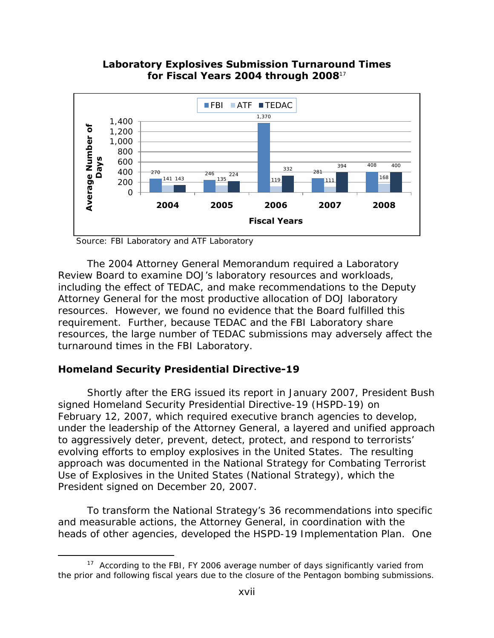



Source: FBI Laboratory and ATF Laboratory

The 2004 Attorney General Memorandum required a Laboratory Review Board to examine DOJ's laboratory resources and workloads, including the effect of TEDAC, and make recommendations to the Deputy Attorney General for the most productive allocation of DOJ laboratory resources. However, we found no evidence that the Board fulfilled this requirement. Further, because TEDAC and the FBI Laboratory share resources, the large number of TEDAC submissions may adversely affect the turnaround times in the FBI Laboratory.

#### **Homeland Security Presidential Directive-19**

 $\overline{a}$ 

Shortly after the ERG issued its report in January 2007, President Bush signed Homeland Security Presidential Directive-19 (HSPD-19) on February 12, 2007, which required executive branch agencies to develop, under the leadership of the Attorney General, a layered and unified approach to aggressively deter, prevent, detect, protect, and respond to terrorists' evolving efforts to employ explosives in the United States. The resulting approach was documented in the *National Strategy for Combating Terrorist Use of Explosives in the United States* (National Strategy), which the President signed on December 20, 2007.

To transform the National Strategy's 36 recommendations into specific and measurable actions, the Attorney General, in coordination with the heads of other agencies, developed the *HSPD-19 Implementation Plan*. One

 $17$  According to the FBI, FY 2006 average number of days significantly varied from the prior and following fiscal years due to the closure of the Pentagon bombing submissions.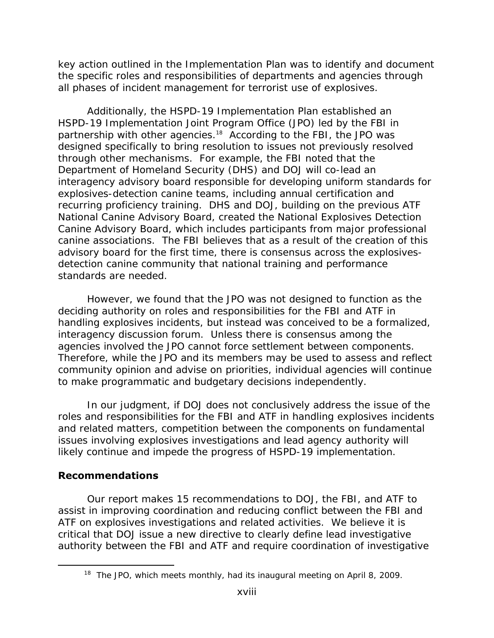key action outlined in the Implementation Plan was to identify and document the specific roles and responsibilities of departments and agencies through all phases of incident management for terrorist use of explosives.

Additionally, the HSPD-19 Implementation Plan established an HSPD-19 Implementation Joint Program Office (JPO) led by the FBI in partnership with other agencies.<sup>18</sup> According to the FBI, the JPO was designed specifically to bring resolution to issues not previously resolved through other mechanisms. For example, the FBI noted that the Department of Homeland Security (DHS) and DOJ will co-lead an interagency advisory board responsible for developing uniform standards for explosives-detection canine teams, including annual certification and recurring proficiency training. DHS and DOJ, building on the previous ATF National Canine Advisory Board, created the National Explosives Detection Canine Advisory Board, which includes participants from major professional canine associations. The FBI believes that as a result of the creation of this advisory board for the first time, there is consensus across the explosivesdetection canine community that national training and performance standards are needed.

However, we found that the JPO was not designed to function as the deciding authority on roles and responsibilities for the FBI and ATF in handling explosives incidents, but instead was conceived to be a formalized, interagency discussion forum. Unless there is consensus among the agencies involved the JPO cannot force settlement between components. Therefore, while the JPO and its members may be used to assess and reflect community opinion and advise on priorities, individual agencies will continue to make programmatic and budgetary decisions independently.

In our judgment, if DOJ does not conclusively address the issue of the roles and responsibilities for the FBI and ATF in handling explosives incidents and related matters, competition between the components on fundamental issues involving explosives investigations and lead agency authority will likely continue and impede the progress of HSPD-19 implementation.

### **Recommendations**

 $\overline{a}$ 

Our report makes 15 recommendations to DOJ, the FBI, and ATF to assist in improving coordination and reducing conflict between the FBI and ATF on explosives investigations and related activities. We believe it is critical that DOJ issue a new directive to clearly define lead investigative authority between the FBI and ATF and require coordination of investigative

<sup>&</sup>lt;sup>18</sup> The JPO, which meets monthly, had its inaugural meeting on April 8, 2009.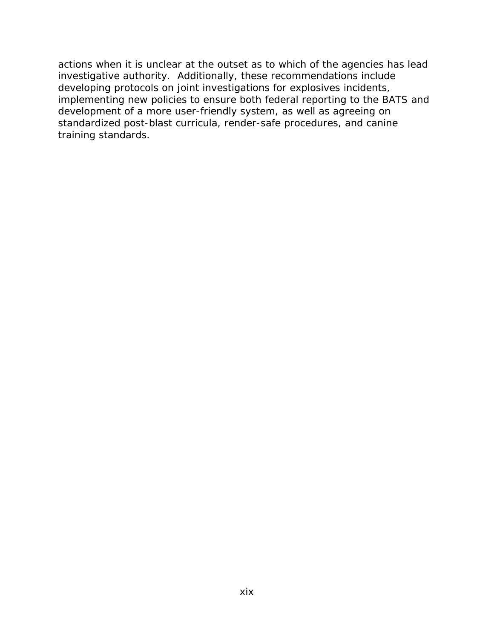actions when it is unclear at the outset as to which of the agencies has lead investigative authority. Additionally, these recommendations include developing protocols on joint investigations for explosives incidents, implementing new policies to ensure both federal reporting to the BATS and development of a more user-friendly system, as well as agreeing on standardized post-blast curricula, render-safe procedures, and canine training standards.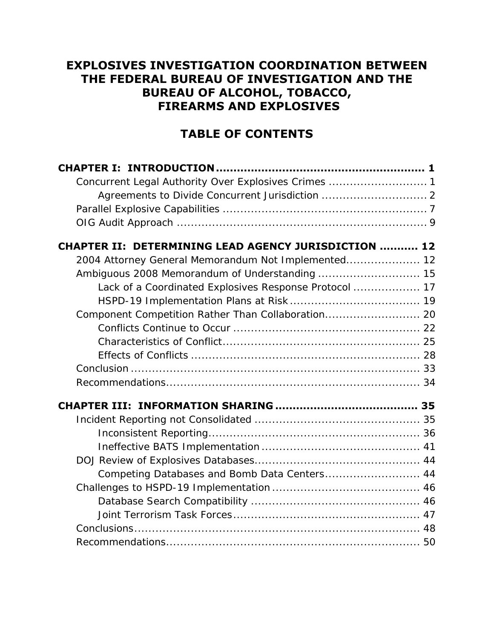# **EXPLOSIVES INVESTIGATION COORDINATION BETWEEN THE FEDERAL BUREAU OF INVESTIGATION AND THE BUREAU OF ALCOHOL, TOBACCO, FIREARMS AND EXPLOSIVES**

# **TABLE OF CONTENTS**

| Concurrent Legal Authority Over Explosives Crimes  1        |  |
|-------------------------------------------------------------|--|
|                                                             |  |
|                                                             |  |
|                                                             |  |
| <b>CHAPTER II: DETERMINING LEAD AGENCY JURISDICTION  12</b> |  |
| 2004 Attorney General Memorandum Not Implemented 12         |  |
|                                                             |  |
| Lack of a Coordinated Explosives Response Protocol  17      |  |
|                                                             |  |
| Component Competition Rather Than Collaboration 20          |  |
|                                                             |  |
|                                                             |  |
|                                                             |  |
|                                                             |  |
|                                                             |  |
|                                                             |  |
|                                                             |  |
|                                                             |  |
|                                                             |  |
|                                                             |  |
| Competing Databases and Bomb Data Centers 44                |  |
|                                                             |  |
|                                                             |  |
|                                                             |  |
|                                                             |  |
|                                                             |  |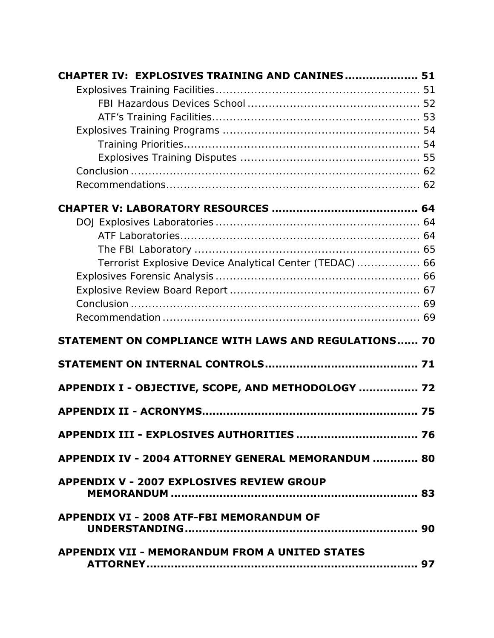| CHAPTER IV: EXPLOSIVES TRAINING AND CANINES 51              |    |
|-------------------------------------------------------------|----|
|                                                             |    |
|                                                             |    |
|                                                             |    |
|                                                             |    |
|                                                             |    |
|                                                             |    |
|                                                             |    |
|                                                             |    |
|                                                             |    |
|                                                             |    |
|                                                             |    |
|                                                             |    |
| Terrorist Explosive Device Analytical Center (TEDAC)  66    |    |
|                                                             |    |
|                                                             |    |
|                                                             |    |
|                                                             |    |
| <b>STATEMENT ON COMPLIANCE WITH LAWS AND REGULATIONS 70</b> |    |
|                                                             |    |
| APPENDIX I - OBJECTIVE, SCOPE, AND METHODOLOGY  72          |    |
|                                                             | 75 |
|                                                             |    |
| APPENDIX IV - 2004 ATTORNEY GENERAL MEMORANDUM  80          |    |
| <b>APPENDIX V - 2007 EXPLOSIVES REVIEW GROUP</b>            |    |
| <b>APPENDIX VI - 2008 ATF-FBI MEMORANDUM OF</b>             |    |
| <b>APPENDIX VII - MEMORANDUM FROM A UNITED STATES</b>       |    |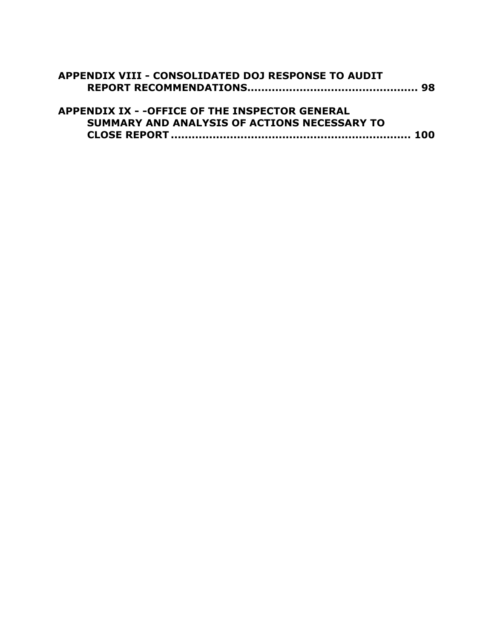| APPENDIX VIII - CONSOLIDATED DOJ RESPONSE TO AUDIT     |  |
|--------------------------------------------------------|--|
|                                                        |  |
| <b>APPENDIX IX - - OFFICE OF THE INSPECTOR GENERAL</b> |  |
| SUMMARY AND ANALYSIS OF ACTIONS NECESSARY TO           |  |
|                                                        |  |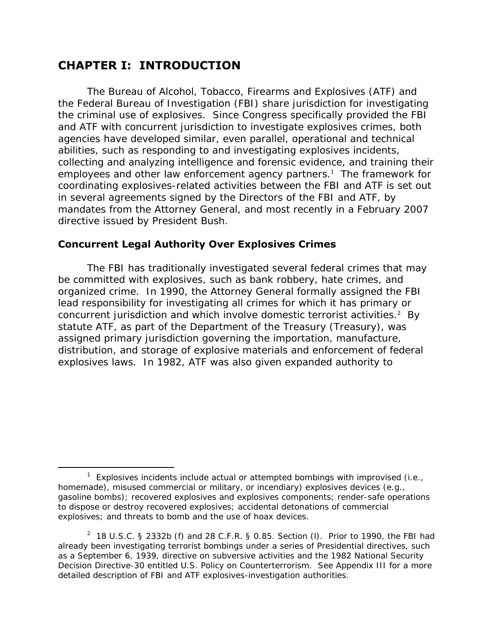# **CHAPTER I: INTRODUCTION**

 $\overline{a}$ 

The Bureau of Alcohol, Tobacco, Firearms and Explosives (ATF) and the Federal Bureau of Investigation (FBI) share jurisdiction for investigating the criminal use of explosives. Since Congress specifically provided the FBI and ATF with concurrent jurisdiction to investigate explosives crimes, both agencies have developed similar, even parallel, operational and technical abilities, such as responding to and investigating explosives incidents, collecting and analyzing intelligence and forensic evidence, and training their employees and other law enforcement agency partners.<sup>1</sup> The framework for coordinating explosives-related activities between the FBI and ATF is set out in several agreements signed by the Directors of the FBI and ATF, by mandates from the Attorney General, and most recently in a February 2007 directive issued by President Bush.

#### **Concurrent Legal Authority Over Explosives Crimes**

The FBI has traditionally investigated several federal crimes that may be committed with explosives, such as bank robbery, hate crimes, and organized crime. In 1990, the Attorney General formally assigned the FBI lead responsibility for investigating all crimes for which it has primary or concurrent jurisdiction and which involve domestic terrorist activities.<sup>2</sup> By statute ATF, as part of the Department of the Treasury (Treasury), was assigned primary jurisdiction governing the importation, manufacture, distribution, and storage of explosive materials and enforcement of federal explosives laws. In 1982, ATF was also given expanded authority to

<sup>&</sup>lt;sup>1</sup> Explosives incidents include actual or attempted bombings with improvised (i.e., homemade), misused commercial or military, or incendiary) explosives devices (e.g., gasoline bombs); recovered explosives and explosives components; render-safe operations to dispose or destroy recovered explosives; accidental detonations of commercial explosives; and threats to bomb and the use of hoax devices.

<sup>&</sup>lt;sup>2</sup> 18 U.S.C. § 2332b (f) and 28 C.F.R. § 0.85. Section (I). Prior to 1990, the FBI had already been investigating terrorist bombings under a series of Presidential directives, such as a September 6, 1939, directive on subversive activities and the 1982 National Security Decision Directive-30 entitled *U.S. Policy on Counterterrorism*. See Appendix III for a more detailed description of FBI and ATF explosives-investigation authorities.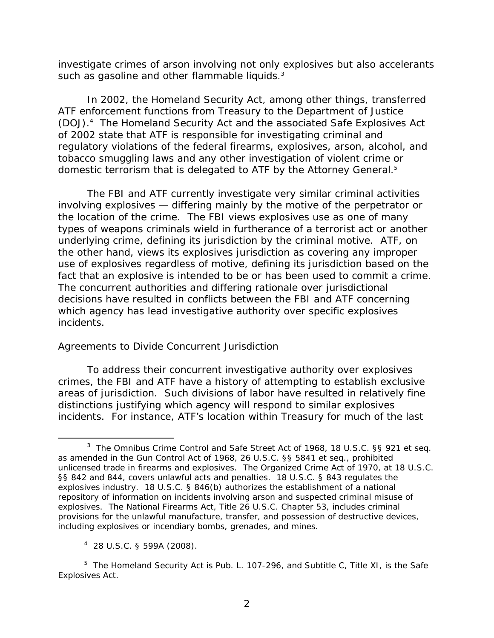<span id="page-24-0"></span>investigate crimes of arson involving not only explosives but also accelerants such as gasoline and other flammable liquids.<sup>3</sup>

domestic terrorism that is delegated to ATF by the Attorney General.<sup>5</sup> In 2002, the Homeland Security Act, among other things, transferred ATF enforcement functions from Treasury to the Department of Justice (DOJ).4 The Homeland Security Act and the associated Safe Explosives Act of 2002 state that ATF is responsible for investigating criminal and regulatory violations of the federal firearms, explosives, arson, alcohol, and tobacco smuggling laws and any other investigation of violent crime or

The FBI and ATF currently investigate very similar criminal activities involving explosives — differing mainly by the motive of the perpetrator or the location of the crime. The FBI views explosives use as one of many types of weapons criminals wield in furtherance of a terrorist act or another underlying crime, defining its jurisdiction by the criminal motive. ATF, on the other hand, views its explosives jurisdiction as covering any improper use of explosives regardless of motive, defining its jurisdiction based on the fact that an explosive is intended to be or has been used to commit a crime. The concurrent authorities and differing rationale over jurisdictional decisions have resulted in conflicts between the FBI and ATF concerning which agency has lead investigative authority over specific explosives incidents.

#### *Agreements to Divide Concurrent Jurisdiction*

To address their concurrent investigative authority over explosives crimes, the FBI and ATF have a history of attempting to establish exclusive areas of jurisdiction. Such divisions of labor have resulted in relatively fine distinctions justifying which agency will respond to similar explosives incidents. For instance, ATF's location within Treasury for much of the last

 $\overline{a}$ <sup>3</sup> The Omnibus Crime Control and Safe Street Act of 1968, 18 U.S.C. §§ 921 et seq. as amended in the Gun Control Act of 1968, 26 U.S.C. §§ 5841 et seq., prohibited unlicensed trade in firearms and explosives. The Organized Crime Act of 1970, at 18 U.S.C. §§ 842 and 844, covers unlawful acts and penalties. 18 U.S.C. § 843 regulates the explosives industry. 18 U.S.C. § 846(b) authorizes the establishment of a national repository of information on incidents involving arson and suspected criminal misuse of explosives. The National Firearms Act, Title 26 U.S.C. Chapter 53, includes criminal provisions for the unlawful manufacture, transfer, and possession of destructive devices, including explosives or incendiary bombs, grenades, and mines.

<sup>4</sup> 28 U.S.C. § 599A (2008).

 <sup>5</sup>*The Homeland Security Act* is Pub. L. 107-296, and Subtitle C, Title XI, is the *Safe Explosives Act*.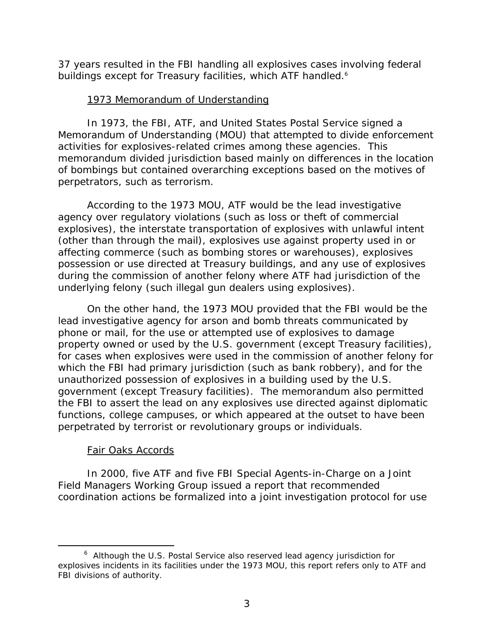buildings except for Treasury facilities, which ATF handled.<sup>6</sup> 37 years resulted in the FBI handling all explosives cases involving federal

#### 1973 Memorandum of Understanding

In 1973, the FBI, ATF, and United States Postal Service signed a Memorandum of Understanding (MOU) that attempted to divide enforcement activities for explosives-related crimes among these agencies. This memorandum divided jurisdiction based mainly on differences in the location of bombings but contained overarching exceptions based on the motives of perpetrators, such as terrorism.

According to the 1973 MOU, ATF would be the lead investigative agency over regulatory violations (such as loss or theft of commercial explosives), the interstate transportation of explosives with unlawful intent (other than through the mail), explosives use against property used in or affecting commerce (such as bombing stores or warehouses), explosives possession or use directed at Treasury buildings, and any use of explosives during the commission of another felony where ATF had jurisdiction of the underlying felony (such illegal gun dealers using explosives).

On the other hand, the 1973 MOU provided that the FBI would be the lead investigative agency for arson and bomb threats communicated by phone or mail, for the use or attempted use of explosives to damage property owned or used by the U.S. government (except Treasury facilities), for cases when explosives were used in the commission of another felony for which the FBI had primary jurisdiction (such as bank robbery), and for the unauthorized possession of explosives in a building used by the U.S. government (except Treasury facilities). The memorandum also permitted the FBI to assert the lead on any explosives use directed against diplomatic functions, college campuses, or which appeared at the outset to have been perpetrated by terrorist or revolutionary groups or individuals.

#### Fair Oaks Accords

 $\overline{a}$ 

In 2000, five ATF and five FBI Special Agents-in-Charge on a Joint Field Managers Working Group issued a report that recommended coordination actions be formalized into a joint investigation protocol for use

<sup>&</sup>lt;sup>6</sup> Although the U.S. Postal Service also reserved lead agency jurisdiction for explosives incidents in its facilities under the 1973 MOU, this report refers only to ATF and FBI divisions of authority.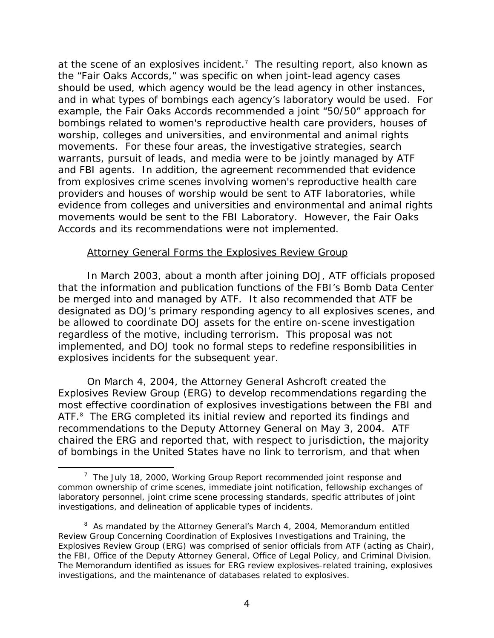at the scene of an explosives incident.<sup>7</sup> The resulting report, also known as the "Fair Oaks Accords," was specific on when joint-lead agency cases should be used, which agency would be the lead agency in other instances, and in what types of bombings each agency's laboratory would be used. For example, the Fair Oaks Accords recommended a joint "50/50" approach for bombings related to women's reproductive health care providers, houses of worship, colleges and universities, and environmental and animal rights movements. For these four areas, the investigative strategies, search warrants, pursuit of leads, and media were to be jointly managed by ATF and FBI agents. In addition, the agreement recommended that evidence from explosives crime scenes involving women's reproductive health care providers and houses of worship would be sent to ATF laboratories, while evidence from colleges and universities and environmental and animal rights movements would be sent to the FBI Laboratory. However, the Fair Oaks Accords and its recommendations were not implemented.

#### Attorney General Forms the Explosives Review Group

In March 2003, about a month after joining DOJ, ATF officials proposed that the information and publication functions of the FBI's Bomb Data Center be merged into and managed by ATF. It also recommended that ATF be designated as DOJ's primary responding agency to all explosives scenes, and be allowed to coordinate DOJ assets for the entire on-scene investigation regardless of the motive, including terrorism. This proposal was not implemented, and DOJ took no formal steps to redefine responsibilities in explosives incidents for the subsequent year.

On March 4, 2004, the Attorney General Ashcroft created the Explosives Review Group (ERG) to develop recommendations regarding the most effective coordination of explosives investigations between the FBI and ATF.<sup>8</sup> The ERG completed its initial review and reported its findings and recommendations to the Deputy Attorney General on May 3, 2004. ATF chaired the ERG and reported that, with respect to jurisdiction, the majority of bombings in the United States have no link to terrorism, and that when

 $\overline{a}$ 

 $7$  The July 18, 2000, Working Group Report recommended joint response and common ownership of crime scenes, immediate joint notification, fellowship exchanges of laboratory personnel, joint crime scene processing standards, specific attributes of joint investigations, and delineation of applicable types of incidents.

the FBI, Office of the Deputy Attorney General, Office of Legal Policy, and Criminal Division. <sup>8</sup> As mandated by the Attorney General's March 4, 2004, Memorandum entitled Review Group Concerning Coordination of Explosives Investigations and Training, the Explosives Review Group (ERG) was comprised of senior officials from ATF (acting as Chair), The Memorandum identified as issues for ERG review explosives-related training, explosives investigations, and the maintenance of databases related to explosives.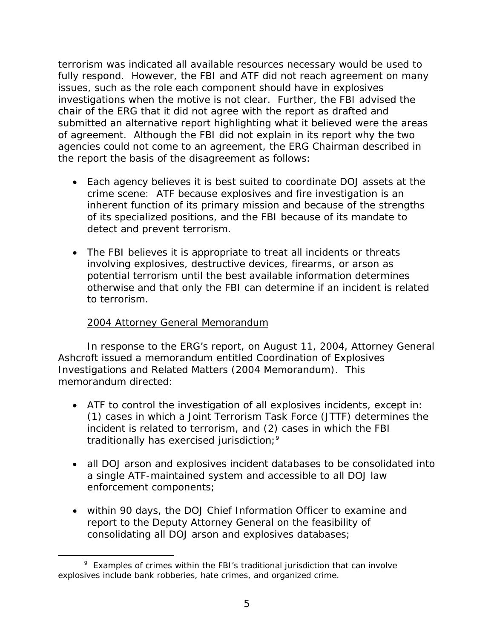terrorism was indicated all available resources necessary would be used to fully respond. However, the FBI and ATF did not reach agreement on many issues, such as the role each component should have in explosives investigations when the motive is not clear. Further, the FBI advised the chair of the ERG that it did not agree with the report as drafted and submitted an alternative report highlighting what it believed were the areas of agreement. Although the FBI did not explain in its report why the two agencies could not come to an agreement, the ERG Chairman described in the report the basis of the disagreement as follows:

- Each agency believes it is best suited to coordinate DOJ assets at the crime scene: ATF because explosives and fire investigation is an inherent function of its primary mission and because of the strengths of its specialized positions, and the FBI because of its mandate to detect and prevent terrorism.
- The FBI believes it is appropriate to treat all incidents or threats involving explosives, destructive devices, firearms, or arson as potential terrorism until the best available information determines otherwise and that only the FBI can determine if an incident is related to terrorism.

#### 2004 Attorney General Memorandum

 $\overline{a}$ 

In response to the ERG's report, on August 11, 2004, Attorney General Ashcroft issued a memorandum entitled Coordination of Explosives Investigations and Related Matters (2004 Memorandum). This memorandum directed:

- traditionally has exercised jurisdiction;<sup>9</sup> • ATF to control the investigation of all explosives incidents, except in: (1) cases in which a Joint Terrorism Task Force (JTTF) determines the incident is related to terrorism, and (2) cases in which the FBI
- all DOJ arson and explosives incident databases to be consolidated into a single ATF-maintained system and accessible to all DOJ law enforcement components;
- within 90 days, the DOJ Chief Information Officer to examine and report to the Deputy Attorney General on the feasibility of consolidating all DOJ arson and explosives databases;

 $9$  Examples of crimes within the FBI's traditional jurisdiction that can involve explosives include bank robberies, hate crimes, and organized crime.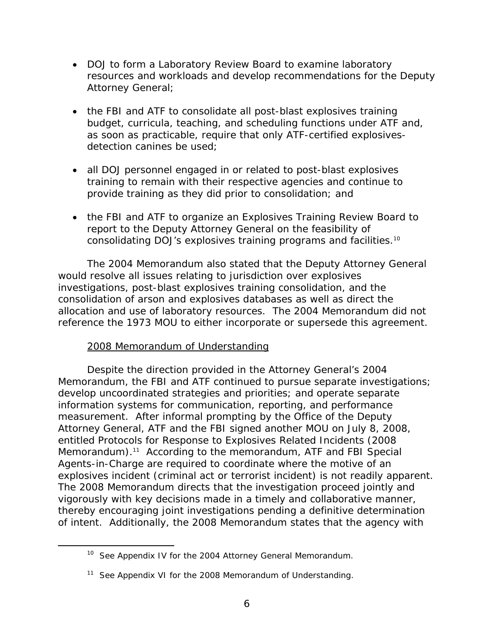- DOJ to form a Laboratory Review Board to examine laboratory resources and workloads and develop recommendations for the Deputy Attorney General;
- the FBI and ATF to consolidate all post-blast explosives training budget, curricula, teaching, and scheduling functions under ATF and, as soon as practicable, require that only ATF-certified explosivesdetection canines be used;
- all DOJ personnel engaged in or related to post-blast explosives training to remain with their respective agencies and continue to provide training as they did prior to consolidation; and
- the FBI and ATF to organize an Explosives Training Review Board to report to the Deputy Attorney General on the feasibility of consolidating DOJ's explosives training programs and facilities.10

The 2004 Memorandum also stated that the Deputy Attorney General would resolve all issues relating to jurisdiction over explosives investigations, post-blast explosives training consolidation, and the consolidation of arson and explosives databases as well as direct the allocation and use of laboratory resources. The 2004 Memorandum did not reference the 1973 MOU to either incorporate or supersede this agreement.

#### 2008 Memorandum of Understanding

 $\overline{a}$ 

Despite the direction provided in the Attorney General's 2004 Memorandum, the FBI and ATF continued to pursue separate investigations; develop uncoordinated strategies and priorities; and operate separate information systems for communication, reporting, and performance measurement. After informal prompting by the Office of the Deputy Attorney General, ATF and the FBI signed another MOU on July 8, 2008, entitled Protocols for Response to Explosives Related Incidents (2008 Memorandum).<sup>11</sup> According to the memorandum, ATF and FBI Special Agents-in-Charge are required to coordinate where the motive of an explosives incident (criminal act or terrorist incident) is not readily apparent. The 2008 Memorandum directs that the investigation proceed jointly and vigorously with key decisions made in a timely and collaborative manner, thereby encouraging joint investigations pending a definitive determination of intent. Additionally, the 2008 Memorandum states that the agency with

<sup>&</sup>lt;sup>10</sup> See Appendix IV for the 2004 Attorney General Memorandum.

<sup>&</sup>lt;sup>11</sup> See Appendix VI for the 2008 Memorandum of Understanding.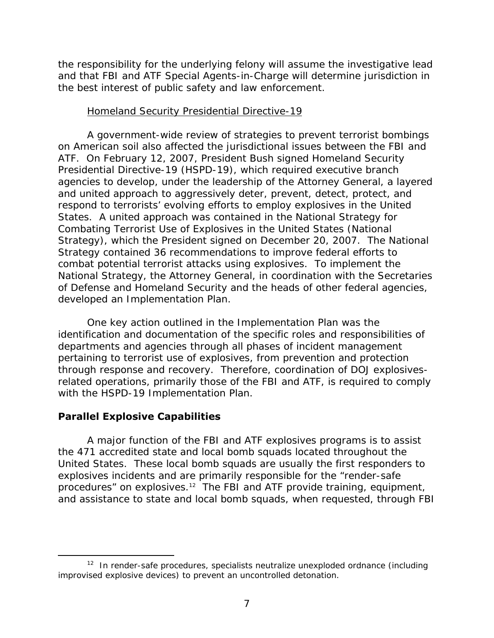<span id="page-29-0"></span>the responsibility for the underlying felony will assume the investigative lead and that FBI and ATF Special Agents-in-Charge will determine jurisdiction in the best interest of public safety and law enforcement.

#### Homeland Security Presidential Directive-19

A government-wide review of strategies to prevent terrorist bombings on American soil also affected the jurisdictional issues between the FBI and ATF. On February 12, 2007, President Bush signed Homeland Security Presidential Directive-19 (HSPD-19), which required executive branch agencies to develop, under the leadership of the Attorney General, a layered and united approach to aggressively deter, prevent, detect, protect, and respond to terrorists' evolving efforts to employ explosives in the United States. A united approach was contained in the *National Strategy for Combating Terrorist Use of Explosives in the United States* (National Strategy), which the President signed on December 20, 2007. The National Strategy contained 36 recommendations to improve federal efforts to combat potential terrorist attacks using explosives. To implement the National Strategy, the Attorney General, in coordination with the Secretaries of Defense and Homeland Security and the heads of other federal agencies, developed an *Implementation Plan*.

One key action outlined in the Implementation Plan was the identification and documentation of the specific roles and responsibilities of departments and agencies through all phases of incident management pertaining to terrorist use of explosives, from prevention and protection through response and recovery. Therefore, coordination of DOJ explosivesrelated operations, primarily those of the FBI and ATF, is required to comply with the HSPD-19 Implementation Plan.

#### **Parallel Explosive Capabilities**

-

A major function of the FBI and ATF explosives programs is to assist the 471 accredited state and local bomb squads located throughout the United States. These local bomb squads are usually the first responders to explosives incidents and are primarily responsible for the "render-safe procedures" on explosives.12 The FBI and ATF provide training, equipment, and assistance to state and local bomb squads, when requested, through FBI

 $12$  In render-safe procedures, specialists neutralize unexploded ordnance (including improvised explosive devices) to prevent an uncontrolled detonation.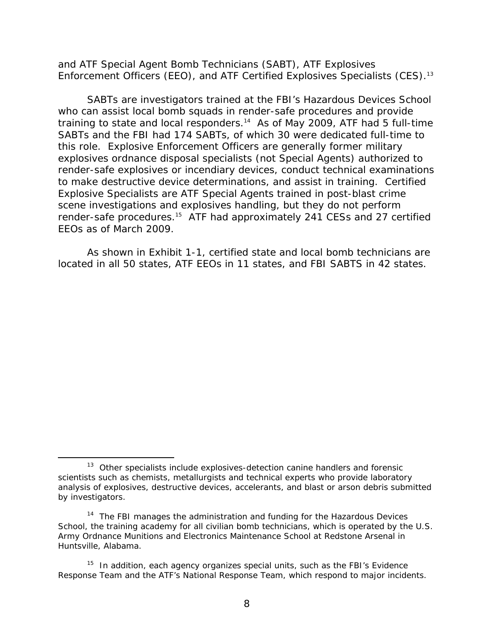Enforcement Officers (EEO), and ATF Certified Explosives Specialists (CES).<sup>13</sup> and ATF Special Agent Bomb Technicians (SABT), ATF Explosives

SABTs are investigators trained at the FBI's Hazardous Devices School who can assist local bomb squads in render-safe procedures and provide training to state and local responders.<sup>14</sup> As of May 2009, ATF had 5 full-time SABTs and the FBI had 174 SABTs, of which 30 were dedicated full-time to this role. Explosive Enforcement Officers are generally former military explosives ordnance disposal specialists (not Special Agents) authorized to render-safe explosives or incendiary devices, conduct technical examinations to make destructive device determinations, and assist in training. Certified Explosive Specialists are ATF Special Agents trained in post-blast crime scene investigations and explosives handling, but they do not perform render-safe procedures.15 ATF had approximately 241 CESs and 27 certified EEOs as of March 2009.

As shown in Exhibit 1-1, certified state and local bomb technicians are located in all 50 states, ATF EEOs in 11 states, and FBI SABTS in 42 states.

-

<sup>&</sup>lt;sup>13</sup> Other specialists include explosives-detection canine handlers and forensic scientists such as chemists, metallurgists and technical experts who provide laboratory analysis of explosives, destructive devices, accelerants, and blast or arson debris submitted by investigators.

 $14$  The FBI manages the administration and funding for the Hazardous Devices School, the training academy for all civilian bomb technicians, which is operated by the U.S. Army Ordnance Munitions and Electronics Maintenance School at Redstone Arsenal in Huntsville, Alabama.

 $15$  In addition, each agency organizes special units, such as the FBI's Evidence Response Team and the ATF's National Response Team, which respond to major incidents.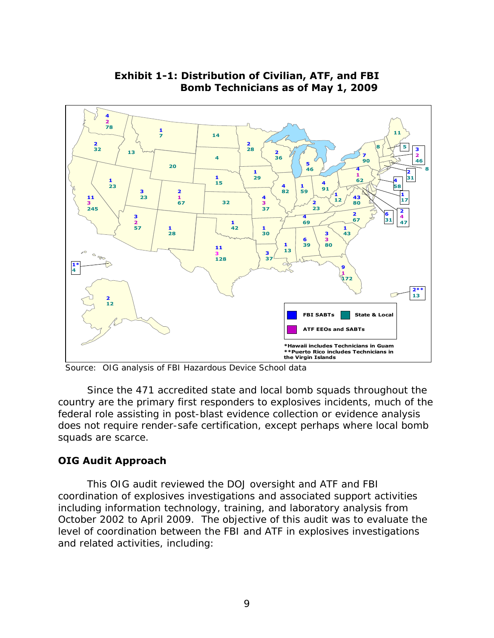<span id="page-31-0"></span>

### **Exhibit 1-1: Distribution of Civilian, ATF, and FBI Bomb Technicians as of May 1, 2009**

Source: OIG analysis of FBI Hazardous Device School data

Since the 471 accredited state and local bomb squads throughout the country are the primary first responders to explosives incidents, much of the federal role assisting in post-blast evidence collection or evidence analysis does not require render-safe certification, except perhaps where local bomb squads are scarce.

#### **OIG Audit Approach**

This OIG audit reviewed the DOJ oversight and ATF and FBI coordination of explosives investigations and associated support activities including information technology, training, and laboratory analysis from October 2002 to April 2009. The objective of this audit was to evaluate the level of coordination between the FBI and ATF in explosives investigations and related activities, including: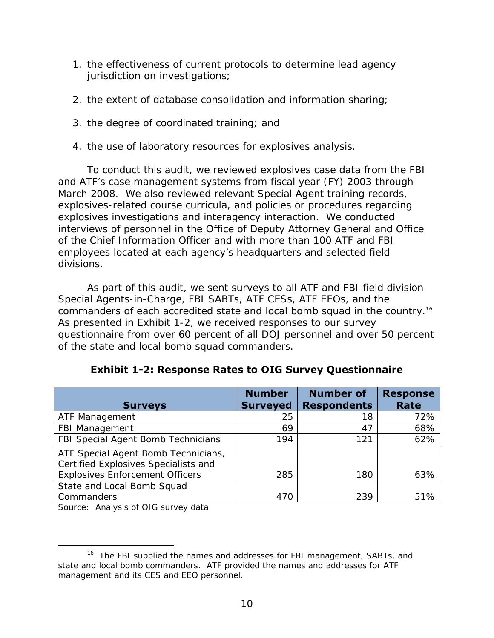- 1. the effectiveness of current protocols to determine lead agency jurisdiction on investigations;
- 2. the extent of database consolidation and information sharing;
- 3. the degree of coordinated training; and
- 4. the use of laboratory resources for explosives analysis.

To conduct this audit, we reviewed explosives case data from the FBI and ATF's case management systems from fiscal year (FY) 2003 through March 2008. We also reviewed relevant Special Agent training records, explosives-related course curricula, and policies or procedures regarding explosives investigations and interagency interaction. We conducted interviews of personnel in the Office of Deputy Attorney General and Office of the Chief Information Officer and with more than 100 ATF and FBI employees located at each agency's headquarters and selected field divisions.

commanders of each accredited state and local bomb squad in the country.<sup>16</sup> As part of this audit, we sent surveys to all ATF and FBI field division Special Agents-in-Charge, FBI SABTs, ATF CESs, ATF EEOs, and the As presented in Exhibit 1-2, we received responses to our survey questionnaire from over 60 percent of all DOJ personnel and over 50 percent of the state and local bomb squad commanders.

| <b>Surveys</b>                                                              | <b>Number</b><br><b>Surveyed</b> | <b>Number of</b><br><b>Respondents</b> | <b>Response</b><br>Rate |
|-----------------------------------------------------------------------------|----------------------------------|----------------------------------------|-------------------------|
| ATF Management                                                              | 25                               | 18                                     | 72%                     |
| FBI Management                                                              | 69                               | 47                                     | 68%                     |
| FBI Special Agent Bomb Technicians                                          | 194                              | 121                                    | 62%                     |
| ATF Special Agent Bomb Technicians,<br>Certified Explosives Specialists and |                                  |                                        |                         |
| <b>Explosives Enforcement Officers</b>                                      | 285                              | 180                                    | 63%                     |
| State and Local Bomb Squad                                                  |                                  |                                        |                         |
| Commanders                                                                  | 470                              | 239                                    | 51%                     |

### **Exhibit 1-2: Response Rates to OIG Survey Questionnaire**

Source: Analysis of OIG survey data

<sup>-</sup><sup>16</sup> The FBI supplied the names and addresses for FBI management, SABTs, and state and local bomb commanders. ATF provided the names and addresses for ATF management and its CES and EEO personnel.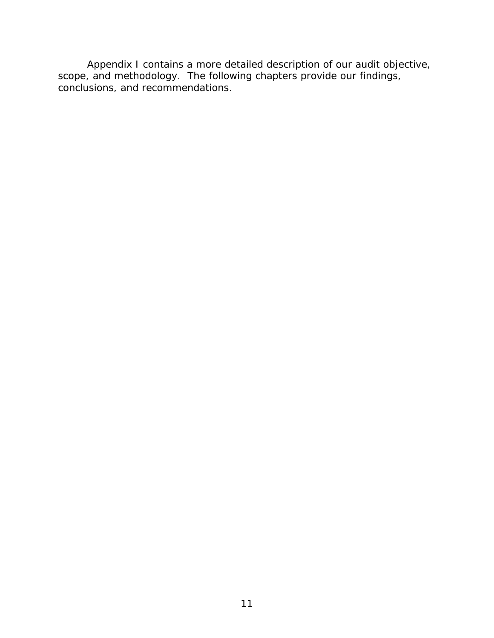Appendix I contains a more detailed description of our audit objective, scope, and methodology. The following chapters provide our findings, conclusions, and recommendations.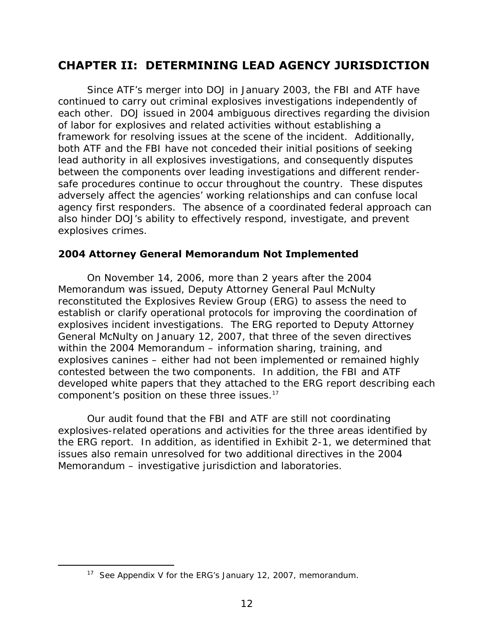# <span id="page-34-0"></span>**CHAPTER II: DETERMINING LEAD AGENCY JURISDICTION**

Since ATF's merger into DOJ in January 2003, the FBI and ATF have continued to carry out criminal explosives investigations independently of each other. DOJ issued in 2004 ambiguous directives regarding the division of labor for explosives and related activities without establishing a framework for resolving issues at the scene of the incident. Additionally, both ATF and the FBI have not conceded their initial positions of seeking lead authority in all explosives investigations, and consequently disputes between the components over leading investigations and different rendersafe procedures continue to occur throughout the country. These disputes adversely affect the agencies' working relationships and can confuse local agency first responders. The absence of a coordinated federal approach can also hinder DOJ's ability to effectively respond, investigate, and prevent explosives crimes.

#### **2004 Attorney General Memorandum Not Implemented**

component's position on these three issues.<sup>17</sup> On November 14, 2006, more than 2 years after the 2004 Memorandum was issued, Deputy Attorney General Paul McNulty reconstituted the Explosives Review Group (ERG) to assess the need to establish or clarify operational protocols for improving the coordination of explosives incident investigations. The ERG reported to Deputy Attorney General McNulty on January 12, 2007, that three of the seven directives within the 2004 Memorandum – information sharing, training, and explosives canines – either had not been implemented or remained highly contested between the two components. In addition, the FBI and ATF developed white papers that they attached to the ERG report describing each

Our audit found that the FBI and ATF are still not coordinating explosives-related operations and activities for the three areas identified by the ERG report. In addition, as identified in Exhibit 2-1, we determined that issues also remain unresolved for two additional directives in the 2004 Memorandum – investigative jurisdiction and laboratories.

-

<sup>&</sup>lt;sup>17</sup> See Appendix V for the ERG's January 12, 2007, memorandum.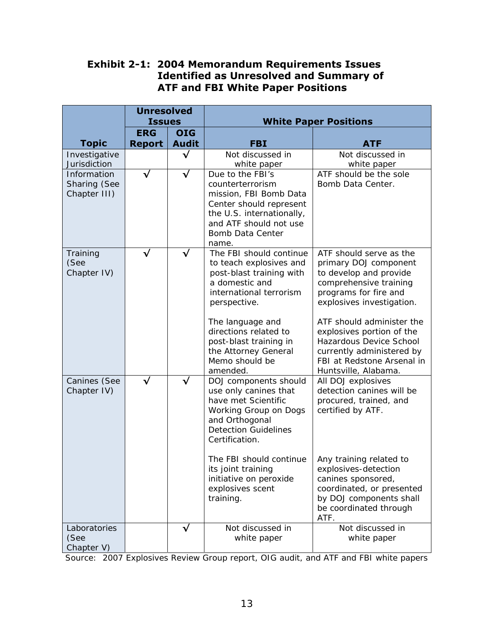#### **Exhibit 2-1: 2004 Memorandum Requirements Issues Identified as Unresolved and Summary of ATF and FBI White Paper Positions**

|                                             | <b>Unresolved</b><br><b>Issues</b> |              | <b>White Paper Positions</b>                                                                                                                                                                                                                                                         |                                                                                                                                                                                                                                                                                                                                    |  |
|---------------------------------------------|------------------------------------|--------------|--------------------------------------------------------------------------------------------------------------------------------------------------------------------------------------------------------------------------------------------------------------------------------------|------------------------------------------------------------------------------------------------------------------------------------------------------------------------------------------------------------------------------------------------------------------------------------------------------------------------------------|--|
|                                             | <b>ERG</b>                         | <b>OIG</b>   |                                                                                                                                                                                                                                                                                      |                                                                                                                                                                                                                                                                                                                                    |  |
| <b>Topic</b>                                | <b>Report</b>                      | <b>Audit</b> | <b>FBI</b>                                                                                                                                                                                                                                                                           | <b>ATF</b>                                                                                                                                                                                                                                                                                                                         |  |
| Investigative<br>Jurisdiction               |                                    | √            | Not discussed in<br>white paper                                                                                                                                                                                                                                                      | Not discussed in<br>white paper                                                                                                                                                                                                                                                                                                    |  |
| Information<br>Sharing (See<br>Chapter III) | $\checkmark$                       | $\checkmark$ | Due to the FBI's<br>counterterrorism<br>mission, FBI Bomb Data<br>Center should represent<br>the U.S. internationally,<br>and ATF should not use<br>Bomb Data Center<br>name.                                                                                                        | ATF should be the sole<br>Bomb Data Center.                                                                                                                                                                                                                                                                                        |  |
| Training<br>(See<br>Chapter IV)             | √                                  | √            | The FBI should continue<br>to teach explosives and<br>post-blast training with<br>a domestic and<br>international terrorism<br>perspective.<br>The language and<br>directions related to<br>post-blast training in<br>the Attorney General<br>Memo should be<br>amended.             | ATF should serve as the<br>primary DOJ component<br>to develop and provide<br>comprehensive training<br>programs for fire and<br>explosives investigation.<br>ATF should administer the<br>explosives portion of the<br>Hazardous Device School<br>currently administered by<br>FBI at Redstone Arsenal in<br>Huntsville, Alabama. |  |
| Canines (See<br>Chapter IV)                 | $\checkmark$                       | $\checkmark$ | DOJ components should<br>use only canines that<br>have met Scientific<br><b>Working Group on Dogs</b><br>and Orthogonal<br><b>Detection Guidelines</b><br>Certification.<br>The FBI should continue<br>its joint training<br>initiative on peroxide<br>explosives scent<br>training. | All DOJ explosives<br>detection canines will be<br>procured, trained, and<br>certified by ATF.<br>Any training related to<br>explosives-detection<br>canines sponsored,<br>coordinated, or presented<br>by DOJ components shall                                                                                                    |  |
|                                             |                                    |              |                                                                                                                                                                                                                                                                                      | be coordinated through<br>ATF.                                                                                                                                                                                                                                                                                                     |  |
| Laboratories<br>(See<br>Chapter V)          |                                    |              | Not discussed in<br>white paper                                                                                                                                                                                                                                                      | Not discussed in<br>white paper                                                                                                                                                                                                                                                                                                    |  |

Source: 2007 Explosives Review Group report, OIG audit, and ATF and FBI white papers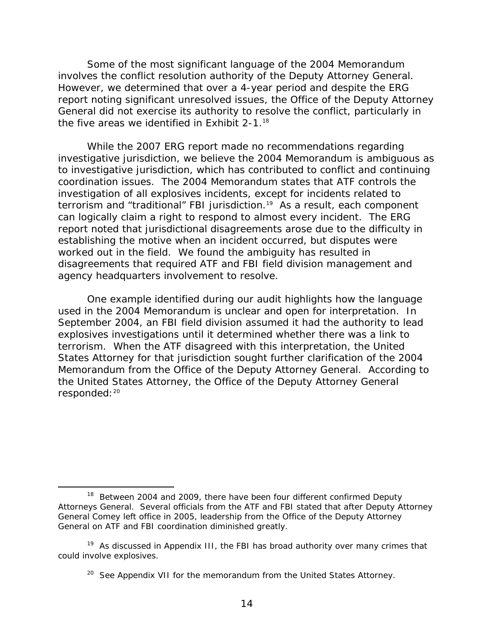the five areas we identified in Exhibit 2-1. $18$ Some of the most significant language of the 2004 Memorandum involves the conflict resolution authority of the Deputy Attorney General. However, we determined that over a 4-year period and despite the ERG report noting significant unresolved issues, the Office of the Deputy Attorney General did not exercise its authority to resolve the conflict, particularly in

While the 2007 ERG report made no recommendations regarding investigative jurisdiction, we believe the 2004 Memorandum is ambiguous as to investigative jurisdiction, which has contributed to conflict and continuing coordination issues. The 2004 Memorandum states that ATF controls the investigation of all explosives incidents, except for incidents related to terrorism and "traditional" FBI jurisdiction.<sup>19</sup> As a result, each component can logically claim a right to respond to almost every incident. The ERG report noted that jurisdictional disagreements arose due to the difficulty in establishing the motive when an incident occurred, but disputes were worked out in the field. We found the ambiguity has resulted in disagreements that required ATF and FBI field division management and agency headquarters involvement to resolve.

One example identified during our audit highlights how the language used in the 2004 Memorandum is unclear and open for interpretation. In September 2004, an FBI field division assumed it had the authority to lead explosives investigations until it determined whether there was a link to terrorism. When the ATF disagreed with this interpretation, the United States Attorney for that jurisdiction sought further clarification of the 2004 Memorandum from the Office of the Deputy Attorney General. According to the United States Attorney, the Office of the Deputy Attorney General responded: 20

 $18$  Between 2004 and 2009, there have been four different confirmed Deputy Attorneys General. Several officials from the ATF and FBI stated that after Deputy Attorney General Comey left office in 2005, leadership from the Office of the Deputy Attorney General on ATF and FBI coordination diminished greatly.

could involve explosives. <sup>19</sup> As discussed in Appendix III, the FBI has broad authority over many crimes that

 $20$  See Appendix VII for the memorandum from the United States Attorney.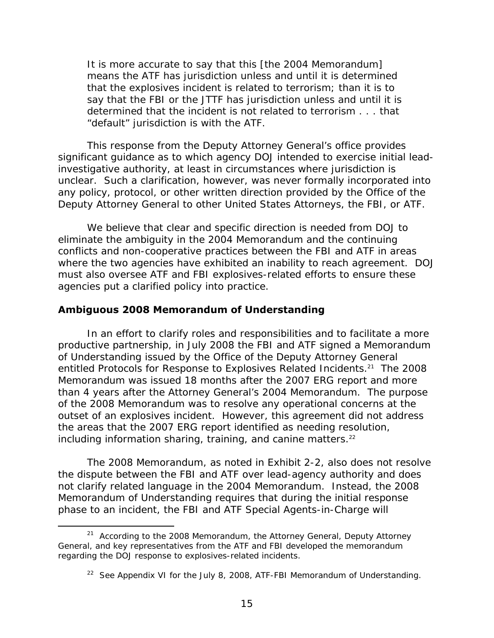It is more accurate to say that this [the 2004 Memorandum] means the ATF has jurisdiction unless and until it is determined that the explosives incident is related to terrorism; than it is to say that the FBI or the JTTF has jurisdiction unless and until it is determined that the incident is not related to terrorism . . . that "default" jurisdiction is with the ATF.

This response from the Deputy Attorney General's office provides significant guidance as to which agency DOJ intended to exercise initial leadinvestigative authority, at least in circumstances where jurisdiction is unclear. Such a clarification, however, was never formally incorporated into any policy, protocol, or other written direction provided by the Office of the Deputy Attorney General to other United States Attorneys, the FBI, or ATF.

We believe that clear and specific direction is needed from DOJ to eliminate the ambiguity in the 2004 Memorandum and the continuing conflicts and non-cooperative practices between the FBI and ATF in areas where the two agencies have exhibited an inability to reach agreement. DOJ must also oversee ATF and FBI explosives-related efforts to ensure these agencies put a clarified policy into practice.

#### **Ambiguous 2008 Memorandum of Understanding**

 $\overline{a}$ 

including information sharing, training, and canine matters. $22$ In an effort to clarify roles and responsibilities and to facilitate a more productive partnership, in July 2008 the FBI and ATF signed a Memorandum of Understanding issued by the Office of the Deputy Attorney General entitled Protocols for Response to Explosives Related Incidents.<sup>21</sup> The 2008 Memorandum was issued 18 months after the 2007 ERG report and more than 4 years after the Attorney General's 2004 Memorandum. The purpose of the 2008 Memorandum was to resolve any operational concerns at the outset of an explosives incident. However, this agreement did not address the areas that the 2007 ERG report identified as needing resolution,

The 2008 Memorandum, as noted in Exhibit 2-2, also does not resolve the dispute between the FBI and ATF over lead-agency authority and does not clarify related language in the 2004 Memorandum. Instead, the 2008 Memorandum of Understanding requires that during the *initial response*  phase to an incident, the FBI and ATF Special Agents-in-Charge will

 $21$  According to the 2008 Memorandum, the Attorney General, Deputy Attorney General, and key representatives from the ATF and FBI developed the memorandum regarding the DOJ response to explosives-related incidents.

<sup>&</sup>lt;sup>22</sup> See Appendix VI for the July 8, 2008, ATF-FBI Memorandum of Understanding.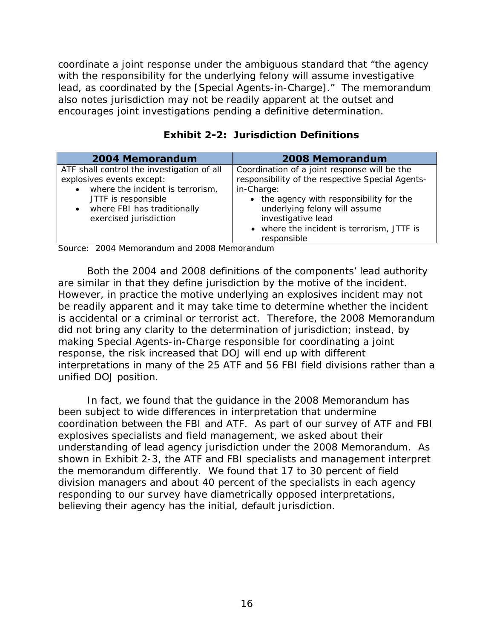encourages joint investigations pending a definitive determination. coordinate a *joint response* under the ambiguous standard that "the agency with the responsibility for the underlying felony will assume investigative lead, as coordinated by the [Special Agents-in-Charge]." The memorandum also notes jurisdiction may not be readily apparent at the outset and

| <b>2004 Memorandum</b>                                                                                                                                                                                   | <b>2008 Memorandum</b>                                                                                                                                                                                                                                                         |
|----------------------------------------------------------------------------------------------------------------------------------------------------------------------------------------------------------|--------------------------------------------------------------------------------------------------------------------------------------------------------------------------------------------------------------------------------------------------------------------------------|
| ATF shall control the investigation of all<br>explosives events except:<br>where the incident is terrorism,<br>JTTF is responsible<br>where FBI has traditionally<br>$\bullet$<br>exercised jurisdiction | Coordination of a joint response will be the<br>responsibility of the respective Special Agents-<br>in-Charge:<br>• the agency with responsibility for the<br>underlying felony will assume<br>investigative lead<br>• where the incident is terrorism, JTTF is<br>responsible |
| $\overline{a}$                                                                                                                                                                                           |                                                                                                                                                                                                                                                                                |

|  | <b>Exhibit 2-2: Jurisdiction Definitions</b> |  |
|--|----------------------------------------------|--|
|--|----------------------------------------------|--|

Source: 2004 Memorandum and 2008 Memorandum

Both the 2004 and 2008 definitions of the components' lead authority are similar in that they define jurisdiction by the motive of the incident. However, in practice the motive underlying an explosives incident may not be readily apparent and it may take time to determine whether the incident is accidental or a criminal or terrorist act. Therefore, the 2008 Memorandum did not bring any clarity to the determination of jurisdiction; instead, by making Special Agents-in-Charge responsible for coordinating a joint response, the risk increased that DOJ will end up with different interpretations in many of the 25 ATF and 56 FBI field divisions rather than a unified DOJ position.

In fact, we found that the guidance in the 2008 Memorandum has been subject to wide differences in interpretation that undermine coordination between the FBI and ATF. As part of our survey of ATF and FBI explosives specialists and field management, we asked about their understanding of lead agency jurisdiction under the 2008 Memorandum. As shown in Exhibit 2-3, the ATF and FBI specialists and management interpret the memorandum differently. We found that 17 to 30 percent of field division managers and about 40 percent of the specialists in each agency responding to our survey have diametrically opposed interpretations, believing their agency has the initial, default jurisdiction.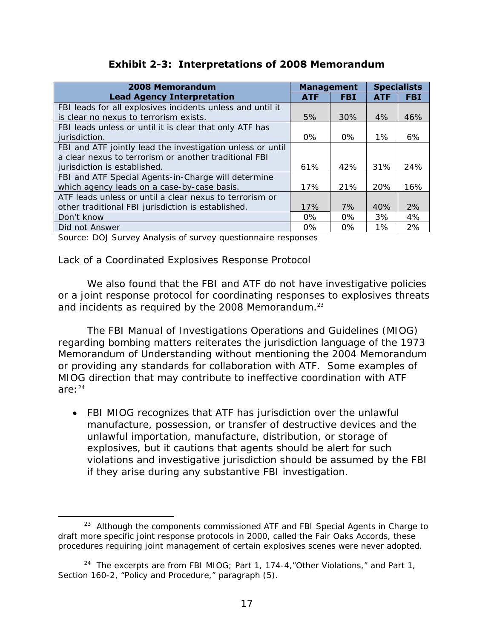|  |  | <b>Exhibit 2-3: Interpretations of 2008 Memorandum</b> |
|--|--|--------------------------------------------------------|
|  |  |                                                        |

| <b>Exhibit 2-3: Interpretations of 2008 Memorandum</b>     |                   |            |            |                    |
|------------------------------------------------------------|-------------------|------------|------------|--------------------|
| 2008 Memorandum                                            | <b>Management</b> |            |            | <b>Specialists</b> |
| <b>Lead Agency Interpretation</b>                          | <b>ATF</b>        | <b>FBI</b> | <b>ATF</b> | <b>FBI</b>         |
| FBI leads for all explosives incidents unless and until it |                   |            |            |                    |
| is clear no nexus to terrorism exists.                     | 5%                | 30%        | 4%         | 46%                |
| FBI leads unless or until it is clear that only ATF has    |                   |            |            |                    |
| jurisdiction.                                              | 0%                | 0%         | $1\%$      | 6%                 |
| FBI and ATF jointly lead the investigation unless or until |                   |            |            |                    |
| a clear nexus to terrorism or another traditional FBI      |                   |            |            |                    |
| jurisdiction is established.                               | 61%               | 42%        | 31%        | 24%                |
| FBI and ATF Special Agents-in-Charge will determine        |                   |            |            |                    |
| which agency leads on a case-by-case basis.                | 17%               | 21%        | 20%        | 16%                |
| ATF leads unless or until a clear nexus to terrorism or    |                   |            |            |                    |
| other traditional FBI jurisdiction is established.         | 17%               | 7%         | 40%        | 2%                 |
| Don't know                                                 | 0%                | $0\%$      | 3%         | 4%                 |
| Did not Answer                                             | $0\%$             | 0%         | 1%         | 2%                 |

Source: DOJ Survey Analysis of survey questionnaire responses

#### *Lack of a Coordinated Explosives Response Protocol*

and incidents as required by the 2008 Memorandum. $^{23}$ We also found that the FBI and ATF do not have investigative policies or a joint response protocol for coordinating responses to explosives threats

*The FBI Manual of Investigations Operations and Guidelines* (MIOG) regarding bombing matters reiterates the jurisdiction language of the 1973 Memorandum of Understanding without mentioning the 2004 Memorandum or providing any standards for collaboration with ATF. Some examples of MIOG direction that may contribute to ineffective coordination with ATF  $are: <sup>24</sup>$ 

• FBI MIOG recognizes that ATF has jurisdiction over the unlawful manufacture, possession, or transfer of destructive devices and the unlawful importation, manufacture, distribution, or storage of explosives, but it cautions that agents should be alert for such violations and investigative jurisdiction should be assumed by the FBI if they arise during any substantive FBI investigation.

 $\overline{a}$ <sup>23</sup> Although the components commissioned ATF and FBI Special Agents in Charge to draft more specific joint response protocols in 2000, called the Fair Oaks Accords, these procedures requiring joint management of certain explosives scenes were never adopted.

<sup>&</sup>lt;sup>24</sup> The excerpts are from FBI MIOG; Part 1, 174-4, "Other Violations," and Part 1, Section 160-2, "Policy and Procedure," paragraph (5).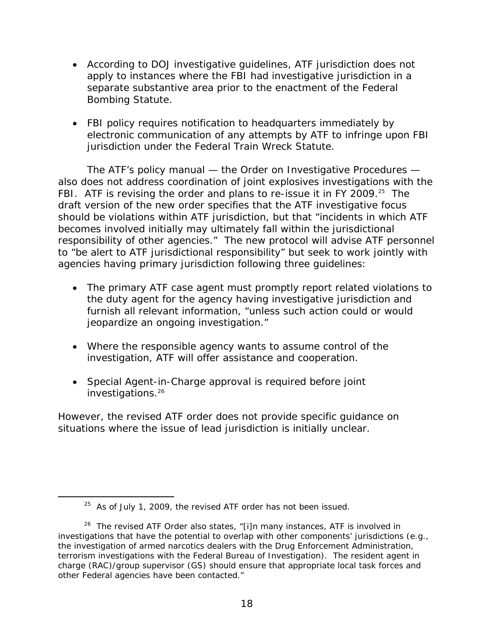- According to DOJ investigative guidelines, ATF jurisdiction does not apply to instances where the FBI had investigative jurisdiction in a separate substantive area prior to the enactment of the Federal Bombing Statute.
- FBI policy requires notification to headquarters immediately by electronic communication of any attempts by ATF to infringe upon FBI jurisdiction under the Federal Train Wreck Statute.

The ATF's policy manual — the Order on Investigative Procedures also does not address coordination of joint explosives investigations with the FBI. ATF is revising the order and plans to re-issue it in FY 2009.<sup>25</sup> The draft version of the new order specifies that the ATF investigative focus should be violations within ATF jurisdiction, but that "incidents in which ATF becomes involved initially may ultimately fall within the jurisdictional responsibility of other agencies." The new protocol will advise ATF personnel to "be alert to ATF jurisdictional responsibility" but seek to work jointly with agencies having primary jurisdiction following three guidelines:

- The primary ATF case agent must promptly report related violations to the duty agent for the agency having investigative jurisdiction and furnish all relevant information, "unless such action could or would jeopardize an ongoing investigation."
- Where the responsible agency wants to assume control of the investigation, ATF will offer assistance and cooperation.
- Special Agent-in-Charge approval is required before joint investigations.<sup>26</sup>

However, the revised ATF order does not provide specific guidance on situations where the issue of lead jurisdiction is initially unclear.

 $25$  As of July 1, 2009, the revised ATF order has not been issued.

 $26$  The revised ATF Order also states, "[i]n many instances, ATF is involved in investigations that have the potential to overlap with other components' jurisdictions (e.g., the investigation of armed narcotics dealers with the Drug Enforcement Administration, terrorism investigations with the Federal Bureau of Investigation). The resident agent in charge (RAC)/group supervisor (GS) should ensure that appropriate local task forces and other Federal agencies have been contacted."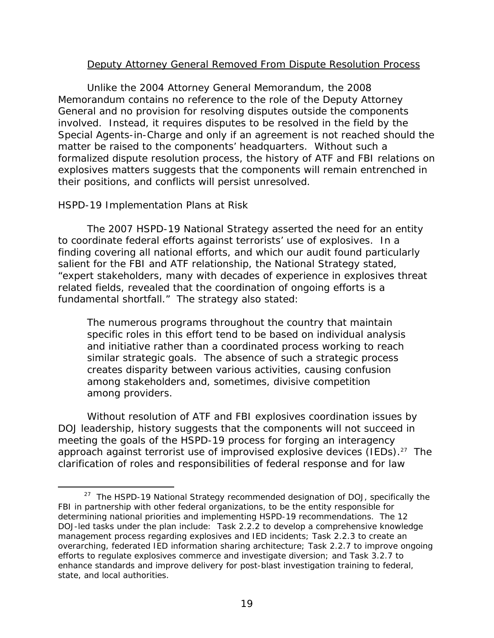#### Deputy Attorney General Removed From Dispute Resolution Process

Unlike the 2004 Attorney General Memorandum, the 2008 Memorandum contains no reference to the role of the Deputy Attorney General and no provision for resolving disputes outside the components involved. Instead, it requires disputes to be resolved in the field by the Special Agents-in-Charge and only if an agreement is not reached should the matter be raised to the components' headquarters. Without such a formalized dispute resolution process, the history of ATF and FBI relations on explosives matters suggests that the components will remain entrenched in their positions, and conflicts will persist unresolved.

#### *HSPD-19 Implementation Plans at Risk*

-

The 2007 HSPD-19 National Strategy asserted the need for an entity to coordinate federal efforts against terrorists' use of explosives. In a finding covering all national efforts, and which our audit found particularly salient for the FBI and ATF relationship, the National Strategy stated, "expert stakeholders, many with decades of experience in explosives threat related fields, revealed that the coordination of ongoing efforts is a fundamental shortfall." The strategy also stated:

The numerous programs throughout the country that maintain specific roles in this effort tend to be based on individual analysis and initiative rather than a coordinated process working to reach similar strategic goals. The absence of such a strategic process creates disparity between various activities, causing confusion among stakeholders and, sometimes, divisive competition among providers.

Without resolution of ATF and FBI explosives coordination issues by DOJ leadership, history suggests that the components will not succeed in meeting the goals of the HSPD-19 process for forging an interagency approach against terrorist use of improvised explosive devices (IEDs).<sup>27</sup> The clarification of roles and responsibilities of federal response and for law

 determining national priorities and implementing HSPD-19 recommendations. The 12  $27$  The HSPD-19 National Strategy recommended designation of DOJ, specifically the FBI in partnership with other federal organizations, to be the entity responsible for DOJ-led tasks under the plan include: Task 2.2.2 to develop a comprehensive knowledge management process regarding explosives and IED incidents; Task 2.2.3 to create an overarching, federated IED information sharing architecture; Task 2.2.7 to improve ongoing efforts to regulate explosives commerce and investigate diversion; and Task 3.2.7 to enhance standards and improve delivery for post-blast investigation training to federal, state, and local authorities.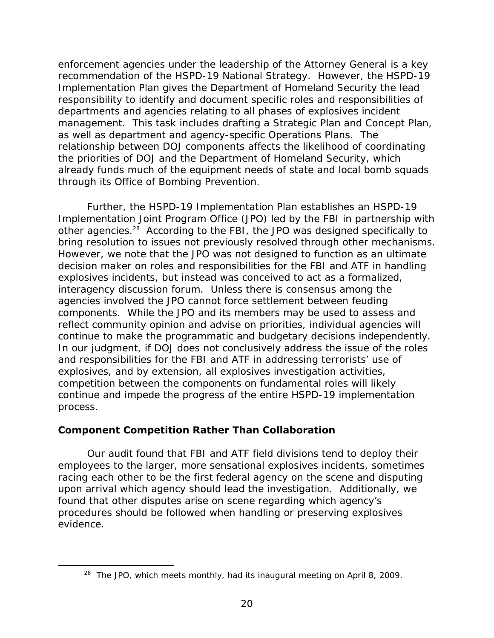enforcement agencies under the leadership of the Attorney General is a key recommendation of the HSPD-19 National Strategy. However, the HSPD-19 Implementation Plan gives the Department of Homeland Security the lead responsibility to identify and document specific roles and responsibilities of departments and agencies relating to all phases of explosives incident management. This task includes drafting a Strategic Plan and Concept Plan, as well as department and agency-specific Operations Plans. The relationship between DOJ components affects the likelihood of coordinating the priorities of DOJ and the Department of Homeland Security, which already funds much of the equipment needs of state and local bomb squads through its Office of Bombing Prevention.

Further, the HSPD-19 Implementation Plan establishes an HSPD-19 Implementation Joint Program Office (JPO) led by the FBI in partnership with other agencies.28 According to the FBI, the JPO was designed specifically to bring resolution to issues not previously resolved through other mechanisms. However, we note that the JPO was not designed to function as an ultimate decision maker on roles and responsibilities for the FBI and ATF in handling explosives incidents, but instead was conceived to act as a formalized, interagency discussion forum. Unless there is consensus among the agencies involved the JPO cannot force settlement between feuding components. While the JPO and its members may be used to assess and reflect community opinion and advise on priorities, individual agencies will continue to make the programmatic and budgetary decisions independently. In our judgment, if DOJ does not conclusively address the issue of the roles and responsibilities for the FBI and ATF in addressing terrorists' use of explosives, and by extension, all explosives investigation activities, competition between the components on fundamental roles will likely continue and impede the progress of the entire HSPD-19 implementation process.

#### **Component Competition Rather Than Collaboration**

 $\overline{a}$ 

Our audit found that FBI and ATF field divisions tend to deploy their employees to the larger, more sensational explosives incidents, sometimes racing each other to be the first federal agency on the scene and disputing upon arrival which agency should lead the investigation. Additionally, we found that other disputes arise on scene regarding which agency's procedures should be followed when handling or preserving explosives evidence.

<sup>&</sup>lt;sup>28</sup> The JPO, which meets monthly, had its inaugural meeting on April 8, 2009.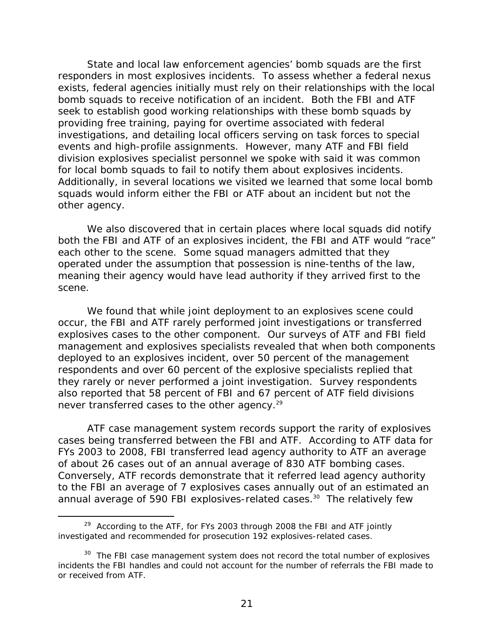State and local law enforcement agencies' bomb squads are the first responders in most explosives incidents. To assess whether a federal nexus exists, federal agencies initially must rely on their relationships with the local bomb squads to receive notification of an incident. Both the FBI and ATF seek to establish good working relationships with these bomb squads by providing free training, paying for overtime associated with federal investigations, and detailing local officers serving on task forces to special events and high-profile assignments. However, many ATF and FBI field division explosives specialist personnel we spoke with said it was common for local bomb squads to fail to notify them about explosives incidents. Additionally, in several locations we visited we learned that some local bomb squads would inform either the FBI or ATF about an incident but not the other agency.

We also discovered that in certain places where local squads did notify both the FBI and ATF of an explosives incident, the FBI and ATF would "race" each other to the scene. Some squad managers admitted that they operated under the assumption that possession is nine-tenths of the law, meaning their agency would have lead authority if they arrived first to the scene.

never transferred cases to the other agency.<sup>29</sup> We found that while joint deployment to an explosives scene could occur, the FBI and ATF rarely performed joint investigations or transferred explosives cases to the other component. Our surveys of ATF and FBI field management and explosives specialists revealed that when both components deployed to an explosives incident, over 50 percent of the management respondents and over 60 percent of the explosive specialists replied that they rarely or never performed a joint investigation. Survey respondents also reported that 58 percent of FBI and 67 percent of ATF field divisions

ATF case management system records support the rarity of explosives cases being transferred between the FBI and ATF. According to ATF data for FYs 2003 to 2008, FBI transferred lead agency authority to ATF an average of about 26 cases out of an annual average of 830 ATF bombing cases. Conversely, ATF records demonstrate that it referred lead agency authority to the FBI an average of 7 explosives cases annually out of an estimated an annual average of 590 FBI explosives-related cases.<sup>30</sup> The relatively few

 $29$  According to the ATF, for FYs 2003 through 2008 the FBI and ATF jointly investigated and recommended for prosecution 192 explosives-related cases.

or received from ATF. <sup>30</sup> The FBI case management system does not record the total number of explosives incidents the FBI handles and could not account for the number of referrals the FBI made to or received from ATF.<br>21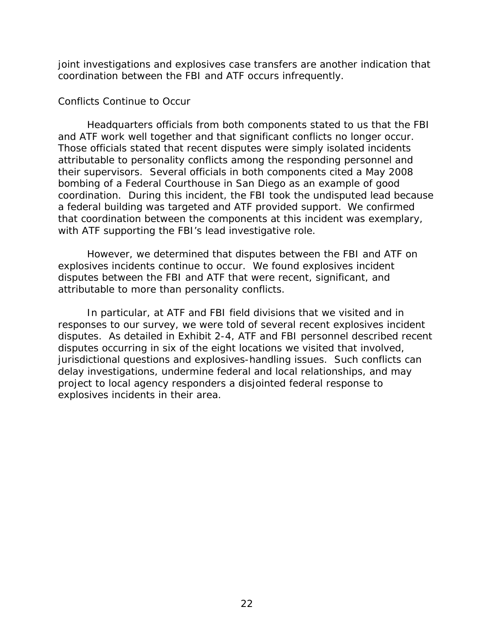joint investigations and explosives case transfers are another indication that coordination between the FBI and ATF occurs infrequently.

#### *Conflicts Continue to Occur*

 a federal building was targeted and ATF provided support. We confirmed Headquarters officials from both components stated to us that the FBI and ATF work well together and that significant conflicts no longer occur. Those officials stated that recent disputes were simply isolated incidents attributable to personality conflicts among the responding personnel and their supervisors. Several officials in both components cited a May 2008 bombing of a Federal Courthouse in San Diego as an example of good coordination. During this incident, the FBI took the undisputed lead because that coordination between the components at this incident was exemplary, with ATF supporting the FBI's lead investigative role.

However, we determined that disputes between the FBI and ATF on explosives incidents continue to occur. We found explosives incident disputes between the FBI and ATF that were recent, significant, and attributable to more than personality conflicts.

In particular, at ATF and FBI field divisions that we visited and in responses to our survey, we were told of several recent explosives incident disputes. As detailed in Exhibit 2-4, ATF and FBI personnel described recent disputes occurring in six of the eight locations we visited that involved, jurisdictional questions and explosives-handling issues. Such conflicts can delay investigations, undermine federal and local relationships, and may project to local agency responders a disjointed federal response to explosives incidents in their area.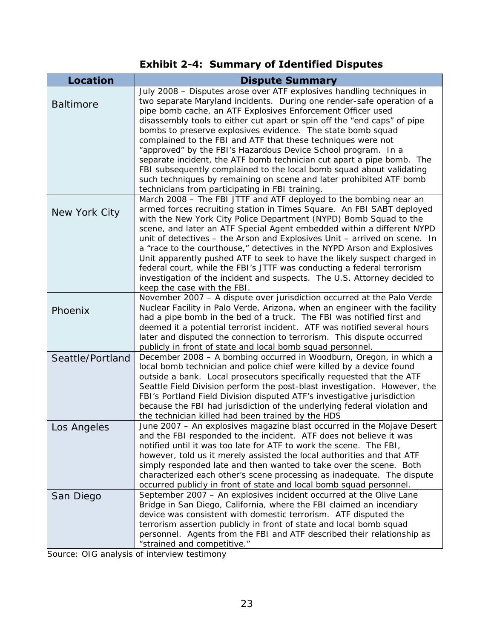# **Exhibit 2-4: Summary of Identified Disputes**

| <b>Location</b>  | <b>Dispute Summary</b>                                                                                                                                |
|------------------|-------------------------------------------------------------------------------------------------------------------------------------------------------|
|                  | July 2008 - Disputes arose over ATF explosives handling techniques in                                                                                 |
| <b>Baltimore</b> | two separate Maryland incidents. During one render-safe operation of a                                                                                |
|                  | pipe bomb cache, an ATF Explosives Enforcement Officer used                                                                                           |
|                  | disassembly tools to either cut apart or spin off the "end caps" of pipe                                                                              |
|                  | bombs to preserve explosives evidence. The state bomb squad                                                                                           |
|                  | complained to the FBI and ATF that these techniques were not<br>"approved" by the FBI's Hazardous Device School program. In a                         |
|                  | separate incident, the ATF bomb technician cut apart a pipe bomb. The                                                                                 |
|                  | FBI subsequently complained to the local bomb squad about validating                                                                                  |
|                  | such techniques by remaining on scene and later prohibited ATF bomb                                                                                   |
|                  | technicians from participating in FBI training.                                                                                                       |
|                  | March 2008 - The FBI JTTF and ATF deployed to the bombing near an                                                                                     |
| New York City    | armed forces recruiting station in Times Square. An FBI SABT deployed                                                                                 |
|                  | with the New York City Police Department (NYPD) Bomb Squad to the                                                                                     |
|                  | scene, and later an ATF Special Agent embedded within a different NYPD                                                                                |
|                  | unit of detectives - the Arson and Explosives Unit - arrived on scene. In                                                                             |
|                  | a "race to the courthouse," detectives in the NYPD Arson and Explosives                                                                               |
|                  | Unit apparently pushed ATF to seek to have the likely suspect charged in                                                                              |
|                  | federal court, while the FBI's JTTF was conducting a federal terrorism                                                                                |
|                  | investigation of the incident and suspects. The U.S. Attorney decided to                                                                              |
|                  | keep the case with the FBI.                                                                                                                           |
|                  | November 2007 - A dispute over jurisdiction occurred at the Palo Verde<br>Nuclear Facility in Palo Verde, Arizona, when an engineer with the facility |
| Phoenix          | had a pipe bomb in the bed of a truck. The FBI was notified first and                                                                                 |
|                  | deemed it a potential terrorist incident. ATF was notified several hours                                                                              |
|                  | later and disputed the connection to terrorism. This dispute occurred                                                                                 |
|                  | publicly in front of state and local bomb squad personnel.                                                                                            |
| Seattle/Portland | December 2008 - A bombing occurred in Woodburn, Oregon, in which a                                                                                    |
|                  | local bomb technician and police chief were killed by a device found                                                                                  |
|                  | outside a bank. Local prosecutors specifically requested that the ATF                                                                                 |
|                  | Seattle Field Division perform the post-blast investigation. However, the                                                                             |
|                  | FBI's Portland Field Division disputed ATF's investigative jurisdiction                                                                               |
|                  | because the FBI had jurisdiction of the underlying federal violation and                                                                              |
|                  | the technician killed had been trained by the HDS                                                                                                     |
| Los Angeles      | June 2007 - An explosives magazine blast occurred in the Mojave Desert                                                                                |
|                  | and the FBI responded to the incident. ATF does not believe it was                                                                                    |
|                  | notified until it was too late for ATF to work the scene. The FBI,<br>however, told us it merely assisted the local authorities and that ATF          |
|                  | simply responded late and then wanted to take over the scene. Both                                                                                    |
|                  | characterized each other's scene processing as inadequate. The dispute                                                                                |
|                  | occurred publicly in front of state and local bomb squad personnel.                                                                                   |
| San Diego        | September 2007 - An explosives incident occurred at the Olive Lane                                                                                    |
|                  | Bridge in San Diego, California, where the FBI claimed an incendiary                                                                                  |
|                  | device was consistent with domestic terrorism. ATF disputed the                                                                                       |
|                  | terrorism assertion publicly in front of state and local bomb squad                                                                                   |
|                  | personnel. Agents from the FBI and ATF described their relationship as                                                                                |
|                  | "strained and competitive."                                                                                                                           |

Source: OIG analysis of interview testimony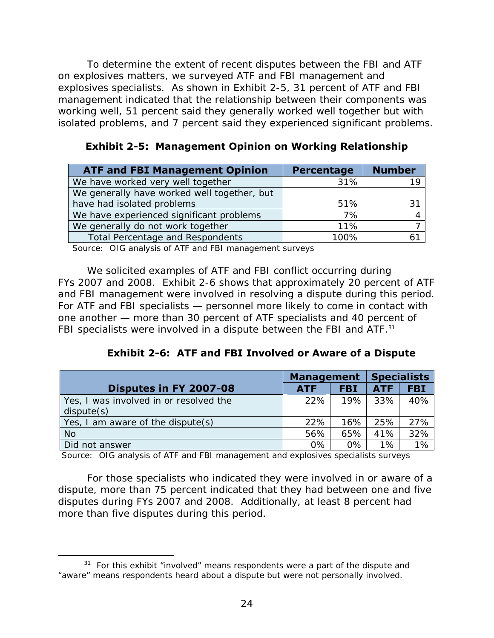isolated problems, and 7 percent said they experienced significant problems. To determine the extent of recent disputes between the FBI and ATF on explosives matters, we surveyed ATF and FBI management and explosives specialists. As shown in Exhibit 2-5, 31 percent of ATF and FBI management indicated that the relationship between their components was working well, 51 percent said they generally worked well together but with

| <b>ATF and FBI Management Opinion</b>       | Percentage | <b>Number</b> |
|---------------------------------------------|------------|---------------|
| We have worked very well together           | 31%        |               |
| We generally have worked well together, but |            |               |
| have had isolated problems                  | 51%        | 31            |
| We have experienced significant problems    | 7%         |               |
| We generally do not work together           | 11%        |               |
| <b>Total Percentage and Respondents</b>     | 100%       |               |

**Exhibit 2-5: Management Opinion on Working Relationship** 

Source: OIG analysis of ATF and FBI management surveys

FBI specialists were involved in a dispute between the FBI and ATF.<sup>31</sup> We solicited examples of ATF and FBI conflict occurring during FYs 2007 and 2008. Exhibit 2-6 shows that approximately 20 percent of ATF and FBI management were involved in resolving a dispute during this period. For ATF and FBI specialists — personnel more likely to come in contact with one another — more than 30 percent of ATF specialists and 40 percent of

**Exhibit 2-6: ATF and FBI Involved or Aware of a Dispute** 

|                                                      | <b>Management</b> |            |            | <b>Specialists</b> |  |  |
|------------------------------------------------------|-------------------|------------|------------|--------------------|--|--|
| Disputes in FY 2007-08                               | <b>ATF</b>        | <b>FBI</b> | <b>ATF</b> | <b>FBI</b>         |  |  |
| Yes, I was involved in or resolved the<br>dispute(s) | 22%               | 19%        | 33%        | 40%                |  |  |
| Yes, I am aware of the dispute(s)                    | 22%               | 16%        | 25%        | 27%                |  |  |
| <b>No</b>                                            | 56%               | 65%        | 41%        | 32%                |  |  |
| Did not answer                                       | 0%                | 0%         | 1%         | 1%                 |  |  |

Source: OIG analysis of ATF and FBI management and explosives specialists surveys

For those specialists who indicated they were involved in or aware of a dispute, more than 75 percent indicated that they had between one and five disputes during FYs 2007 and 2008. Additionally, at least 8 percent had more than five disputes during this period.

 $31$  For this exhibit "involved" means respondents were a part of the dispute and "aware" means respondents heard about a dispute but were not personally involved.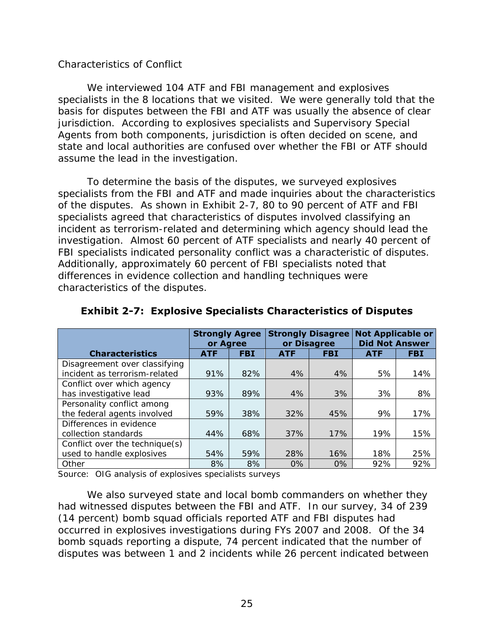#### *Characteristics of Conflict*

We interviewed 104 ATF and FBI management and explosives specialists in the 8 locations that we visited. We were generally told that the basis for disputes between the FBI and ATF was usually the absence of clear jurisdiction. According to explosives specialists and Supervisory Special Agents from both components, jurisdiction is often decided on scene, and state and local authorities are confused over whether the FBI or ATF should assume the lead in the investigation.

To determine the basis of the disputes, we surveyed explosives specialists from the FBI and ATF and made inquiries about the characteristics of the disputes. As shown in Exhibit 2-7, 80 to 90 percent of ATF and FBI specialists agreed that characteristics of disputes involved classifying an incident as terrorism-related and determining which agency should lead the investigation. Almost 60 percent of ATF specialists and nearly 40 percent of FBI specialists indicated personality conflict was a characteristic of disputes. Additionally, approximately 60 percent of FBI specialists noted that differences in evidence collection and handling techniques were characteristics of the disputes.

|                                | <b>Strongly Agree</b><br>or Agree |            | <b>Strongly Disagree</b><br>or Disagree |            | <b>Not Applicable or</b><br><b>Did Not Answer</b> |            |
|--------------------------------|-----------------------------------|------------|-----------------------------------------|------------|---------------------------------------------------|------------|
| <b>Characteristics</b>         | <b>ATF</b>                        | <b>FBI</b> | <b>ATF</b>                              | <b>FBI</b> | <b>ATF</b>                                        | <b>FBI</b> |
| Disagreement over classifying  |                                   |            |                                         |            |                                                   |            |
| incident as terrorism-related  | 91%                               | 82%        | 4%                                      | 4%         | 5%                                                | 14%        |
| Conflict over which agency     |                                   |            |                                         |            |                                                   |            |
| has investigative lead         | 93%                               | 89%        | 4%                                      | 3%         | 3%                                                | 8%         |
| Personality conflict among     |                                   |            |                                         |            |                                                   |            |
| the federal agents involved    | 59%                               | 38%        | 32%                                     | 45%        | 9%                                                | 17%        |
| Differences in evidence        |                                   |            |                                         |            |                                                   |            |
| collection standards           | 44%                               | 68%        | 37%                                     | 17%        | 19%                                               | 15%        |
| Conflict over the technique(s) |                                   |            |                                         |            |                                                   |            |
| used to handle explosives      | 54%                               | 59%        | 28%                                     | 16%        | 18%                                               | 25%        |
| Other                          | 8%                                | 8%         | $0\%$                                   | $0\%$      | 92%                                               | 92%        |

# **Exhibit 2-7: Explosive Specialists Characteristics of Disputes**

Source: OIG analysis of explosives specialists surveys

We also surveyed state and local bomb commanders on whether they had witnessed disputes between the FBI and ATF. In our survey, 34 of 239 (14 percent) bomb squad officials reported ATF and FBI disputes had occurred in explosives investigations during FYs 2007 and 2008. Of the 34 bomb squads reporting a dispute, 74 percent indicated that the number of disputes was between 1 and 2 incidents while 26 percent indicated between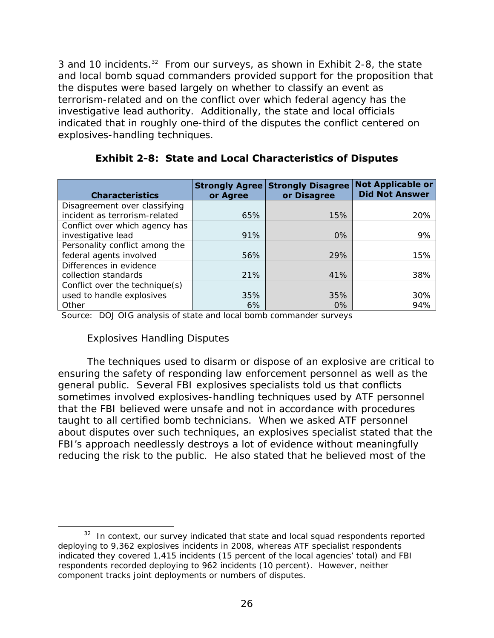3 and 10 incidents.<sup>32</sup> From our surveys, as shown in Exhibit 2-8, the state and local bomb squad commanders provided support for the proposition that the disputes were based largely on whether to classify an event as terrorism-related and on the conflict over which federal agency has the investigative lead authority. Additionally, the state and local officials indicated that in roughly one-third of the disputes the conflict centered on explosives-handling techniques.

| <b>Characteristics</b>         | <b>Strongly Agree</b><br>or Agree | <b>Strongly Disagree</b><br>or Disagree | <b>Not Applicable or</b><br><b>Did Not Answer</b> |
|--------------------------------|-----------------------------------|-----------------------------------------|---------------------------------------------------|
| Disagreement over classifying  |                                   |                                         |                                                   |
| incident as terrorism-related  | 65%                               | 15%                                     | 20%                                               |
| Conflict over which agency has |                                   |                                         |                                                   |
| investigative lead             | 91%                               | $0\%$                                   | 9%                                                |
| Personality conflict among the |                                   |                                         |                                                   |
| federal agents involved        | 56%                               | 29%                                     | 15%                                               |
| Differences in evidence        |                                   |                                         |                                                   |
| collection standards           | 21%                               | 41%                                     | 38%                                               |
| Conflict over the technique(s) |                                   |                                         |                                                   |
| used to handle explosives      | 35%                               | 35%                                     | 30%                                               |
| Other                          | 6%                                | $0\%$                                   | 94%                                               |

# **Exhibit 2-8: State and Local Characteristics of Disputes**

Source: DOJ OIG analysis of state and local bomb commander surveys

#### Explosives Handling Disputes

 $\overline{a}$ 

The techniques used to disarm or dispose of an explosive are critical to ensuring the safety of responding law enforcement personnel as well as the general public. Several FBI explosives specialists told us that conflicts sometimes involved explosives-handling techniques used by ATF personnel that the FBI believed were unsafe and not in accordance with procedures taught to all certified bomb technicians. When we asked ATF personnel about disputes over such techniques, an explosives specialist stated that the FBI's approach needlessly destroys a lot of evidence without meaningfully reducing the risk to the public. He also stated that he believed most of the

 $32$  In context, our survey indicated that state and local squad respondents reported deploying to 9,362 explosives incidents in 2008, whereas ATF specialist respondents indicated they covered 1,415 incidents (15 percent of the local agencies' total) and FBI respondents recorded deploying to 962 incidents (10 percent). However, neither component tracks joint deployments or numbers of disputes.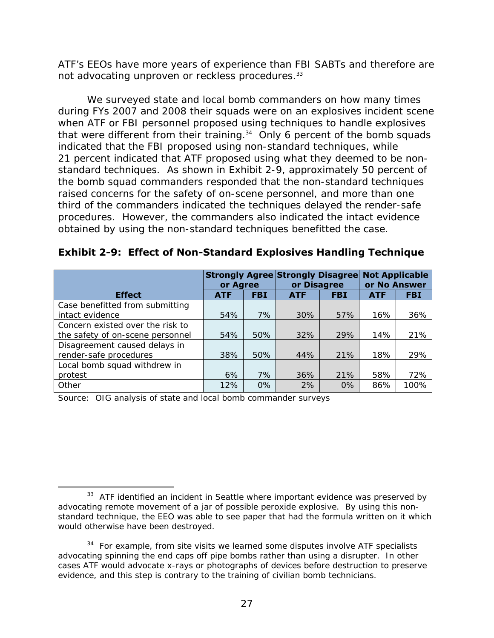ATF's EEOs have more years of experience than FBI SABTs and therefore are not advocating unproven or reckless procedures.<sup>33</sup>

 obtained by using the non-standard techniques benefitted the case. We surveyed state and local bomb commanders on how many times during FYs 2007 and 2008 their squads were on an explosives incident scene when ATF or FBI personnel proposed using techniques to handle explosives that were different from their training.<sup>34</sup> Only 6 percent of the bomb squads indicated that the FBI proposed using non-standard techniques, while 21 percent indicated that ATF proposed using what they deemed to be nonstandard techniques. As shown in Exhibit 2-9, approximately 50 percent of the bomb squad commanders responded that the non-standard techniques raised concerns for the safety of on-scene personnel, and more than one third of the commanders indicated the techniques delayed the render-safe procedures. However, the commanders also indicated the intact evidence

|                                  | or Agree   |            | <b>Strongly Agree Strongly Disagree</b><br>or Disagree |            | <b>Not Applicable</b><br>or No Answer |            |
|----------------------------------|------------|------------|--------------------------------------------------------|------------|---------------------------------------|------------|
| <b>Effect</b>                    | <b>ATF</b> | <b>FBI</b> | <b>ATF</b>                                             | <b>FBI</b> | <b>ATF</b>                            | <b>FBI</b> |
| Case benefitted from submitting  |            |            |                                                        |            |                                       |            |
| intact evidence                  | 54%        | 7%         | 30%                                                    | 57%        | 16%                                   | 36%        |
| Concern existed over the risk to |            |            |                                                        |            |                                       |            |
| the safety of on-scene personnel | 54%        | 50%        | 32%                                                    | 29%        | 14%                                   | 21%        |
| Disagreement caused delays in    |            |            |                                                        |            |                                       |            |
| render-safe procedures           | 38%        | 50%        | 44%                                                    | 21%        | 18%                                   | 29%        |
| Local bomb squad withdrew in     |            |            |                                                        |            |                                       |            |
| protest                          | 6%         | 7%         | 36%                                                    | 21%        | 58%                                   | 72%        |
| Other                            | 12%        | 0%         | 2%                                                     | 0%         | 86%                                   | 100%       |

**Exhibit 2-9: Effect of Non-Standard Explosives Handling Technique** 

Source: OIG analysis of state and local bomb commander surveys

 $33$  ATF identified an incident in Seattle where important evidence was preserved by advocating remote movement of a jar of possible peroxide explosive. By using this nonstandard technique, the EEO was able to see paper that had the formula written on it which would otherwise have been destroyed.

 $34$  For example, from site visits we learned some disputes involve ATF specialists advocating spinning the end caps off pipe bombs rather than using a disrupter. In other cases ATF would advocate x-rays or photographs of devices before destruction to preserve evidence, and this step is contrary to the training of civilian bomb technicians.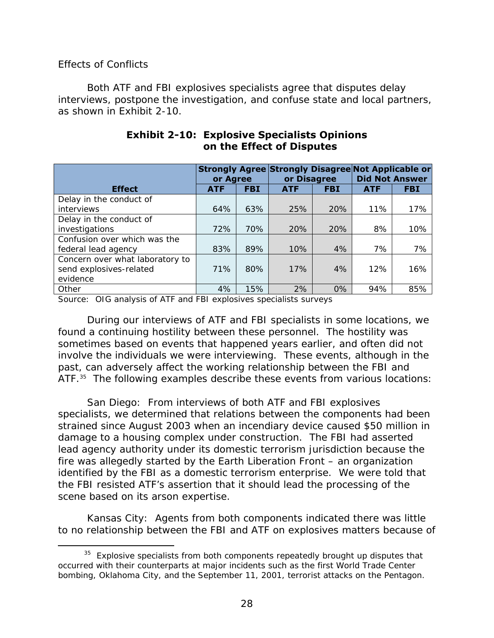#### *Effects of Conflicts*

Both ATF and FBI explosives specialists agree that disputes delay interviews, postpone the investigation, and confuse state and local partners, as shown in Exhibit 2-10.

|                                 | or Agree   |            | Strongly Agree Strongly Disagree Not Applicable or<br>or Disagree |            | <b>Did Not Answer</b> |            |
|---------------------------------|------------|------------|-------------------------------------------------------------------|------------|-----------------------|------------|
| <b>Effect</b>                   | <b>ATF</b> | <b>FBI</b> | <b>ATF</b>                                                        | <b>FBI</b> | <b>ATF</b>            | <b>FBI</b> |
| Delay in the conduct of         |            |            |                                                                   |            |                       |            |
| interviews                      | 64%        | 63%        | 25%                                                               | 20%        | 11%                   | 17%        |
| Delay in the conduct of         |            |            |                                                                   |            |                       |            |
| investigations                  | 72%        | 70%        | 20%                                                               | 20%        | 8%                    | 10%        |
| Confusion over which was the    |            |            |                                                                   |            |                       |            |
| federal lead agency             | 83%        | 89%        | 10%                                                               | 4%         | 7%                    | 7%         |
| Concern over what laboratory to |            |            |                                                                   |            |                       |            |
| send explosives-related         | 71%        | 80%        | 17%                                                               | 4%         | 12%                   | 16%        |
| evidence                        |            |            |                                                                   |            |                       |            |
| Other                           | 4%         | 15%        | 2%                                                                | 0%         | 94%                   | 85%        |

### **Exhibit 2-10: Explosive Specialists Opinions on the Effect of Disputes**

Source: OIG analysis of ATF and FBI explosives specialists surveys

During our interviews of ATF and FBI specialists in some locations, we found a continuing hostility between these personnel. The hostility was sometimes based on events that happened years earlier, and often did not involve the individuals we were interviewing. These events, although in the past, can adversely affect the working relationship between the FBI and ATF.<sup>35</sup> The following examples describe these events from various locations:

San Diego: From interviews of both ATF and FBI explosives specialists, we determined that relations between the components had been strained since August 2003 when an incendiary device caused \$50 million in damage to a housing complex under construction. The FBI had asserted lead agency authority under its domestic terrorism jurisdiction because the fire was allegedly started by the Earth Liberation Front – an organization identified by the FBI as a domestic terrorism enterprise. We were told that the FBI resisted ATF's assertion that it should lead the processing of the scene based on its arson expertise.

Kansas City: Agents from both components indicated there was little to no relationship between the FBI and ATF on explosives matters because of

 $\overline{a}$  $35$  Explosive specialists from both components repeatedly brought up disputes that occurred with their counterparts at major incidents such as the first World Trade Center bombing, Oklahoma City, and the September 11, 2001, terrorist attacks on the Pentagon.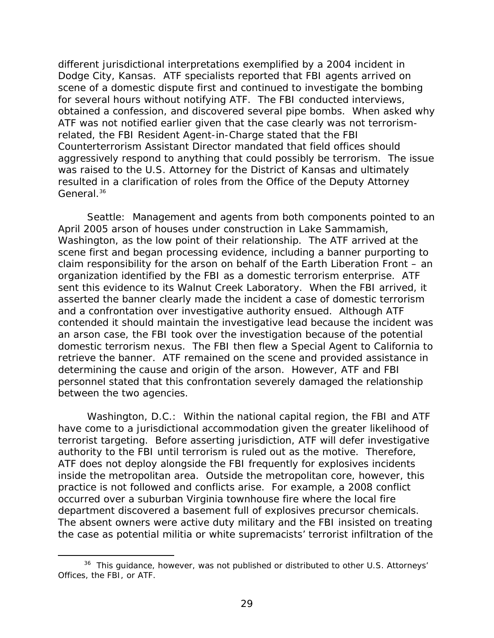different jurisdictional interpretations exemplified by a 2004 incident in Dodge City, Kansas. ATF specialists reported that FBI agents arrived on scene of a domestic dispute first and continued to investigate the bombing for several hours without notifying ATF. The FBI conducted interviews, obtained a confession, and discovered several pipe bombs. When asked why ATF was not notified earlier given that the case clearly was not terrorismrelated, the FBI Resident Agent-in-Charge stated that the FBI Counterterrorism Assistant Director mandated that field offices should aggressively respond to anything that could possibly be terrorism. The issue was raised to the U.S. Attorney for the District of Kansas and ultimately resulted in a clarification of roles from the Office of the Deputy Attorney General.<sup>36</sup>

Seattle: Management and agents from both components pointed to an April 2005 arson of houses under construction in Lake Sammamish, Washington, as the low point of their relationship. The ATF arrived at the scene first and began processing evidence, including a banner purporting to claim responsibility for the arson on behalf of the Earth Liberation Front – an organization identified by the FBI as a domestic terrorism enterprise. ATF sent this evidence to its Walnut Creek Laboratory. When the FBI arrived, it asserted the banner clearly made the incident a case of domestic terrorism and a confrontation over investigative authority ensued. Although ATF contended it should maintain the investigative lead because the incident was an arson case, the FBI took over the investigation because of the potential domestic terrorism nexus. The FBI then flew a Special Agent to California to retrieve the banner. ATF remained on the scene and provided assistance in determining the cause and origin of the arson. However, ATF and FBI personnel stated that this confrontation severely damaged the relationship between the two agencies.

Washington, D.C.: Within the national capital region, the FBI and ATF have come to a jurisdictional accommodation given the greater likelihood of terrorist targeting. Before asserting jurisdiction, ATF will defer investigative authority to the FBI until terrorism is ruled out as the motive. Therefore, ATF does not deploy alongside the FBI frequently for explosives incidents inside the metropolitan area. Outside the metropolitan core, however, this practice is not followed and conflicts arise. For example, a 2008 conflict occurred over a suburban Virginia townhouse fire where the local fire department discovered a basement full of explosives precursor chemicals. The absent owners were active duty military and the FBI insisted on treating the case as potential militia or white supremacists' terrorist infiltration of the

<sup>&</sup>lt;sup>36</sup> This guidance, however, was not published or distributed to other U.S. Attorneys' Offices, the FBI, or ATF.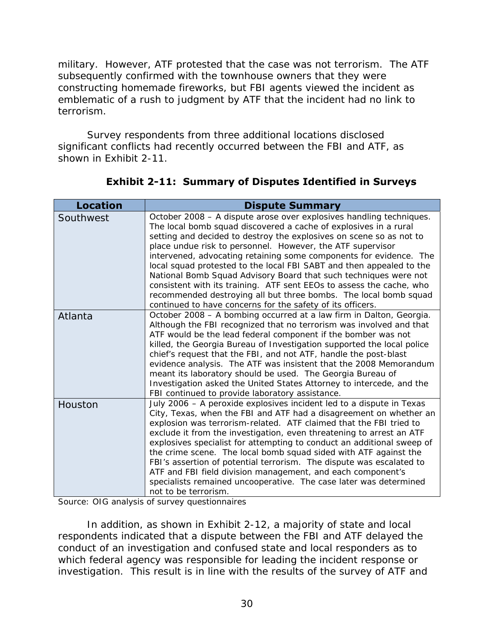military. However, ATF protested that the case was not terrorism. The ATF subsequently confirmed with the townhouse owners that they were constructing homemade fireworks, but FBI agents viewed the incident as emblematic of a rush to judgment by ATF that the incident had no link to terrorism.

Survey respondents from three additional locations disclosed significant conflicts had recently occurred between the FBI and ATF, as shown in Exhibit 2-11.

| <b>Location</b> | <b>Dispute Summary</b>                                                                                                                                                                                                                                                                                                                                                                                                                                                                                                                                                                                                                                                                                   |
|-----------------|----------------------------------------------------------------------------------------------------------------------------------------------------------------------------------------------------------------------------------------------------------------------------------------------------------------------------------------------------------------------------------------------------------------------------------------------------------------------------------------------------------------------------------------------------------------------------------------------------------------------------------------------------------------------------------------------------------|
| Southwest       | October 2008 - A dispute arose over explosives handling techniques.<br>The local bomb squad discovered a cache of explosives in a rural<br>setting and decided to destroy the explosives on scene so as not to<br>place undue risk to personnel. However, the ATF supervisor<br>intervened, advocating retaining some components for evidence. The<br>local squad protested to the local FBI SABT and then appealed to the<br>National Bomb Squad Advisory Board that such techniques were not<br>consistent with its training. ATF sent EEOs to assess the cache, who<br>recommended destroying all but three bombs. The local bomb squad<br>continued to have concerns for the safety of its officers. |
| Atlanta         | October 2008 - A bombing occurred at a law firm in Dalton, Georgia.<br>Although the FBI recognized that no terrorism was involved and that<br>ATF would be the lead federal component if the bomber was not<br>killed, the Georgia Bureau of Investigation supported the local police<br>chief's request that the FBI, and not ATF, handle the post-blast<br>evidence analysis. The ATF was insistent that the 2008 Memorandum<br>meant its laboratory should be used. The Georgia Bureau of<br>Investigation asked the United States Attorney to intercede, and the<br>FBI continued to provide laboratory assistance.                                                                                  |
| Houston         | July 2006 – A peroxide explosives incident led to a dispute in Texas<br>City, Texas, when the FBI and ATF had a disagreement on whether an<br>explosion was terrorism-related. ATF claimed that the FBI tried to<br>exclude it from the investigation, even threatening to arrest an ATF<br>explosives specialist for attempting to conduct an additional sweep of<br>the crime scene. The local bomb squad sided with ATF against the<br>FBI's assertion of potential terrorism. The dispute was escalated to<br>ATF and FBI field division management, and each component's<br>specialists remained uncooperative. The case later was determined<br>not to be terrorism.                               |

**Exhibit 2-11: Summary of Disputes Identified in Surveys** 

Source: OIG analysis of survey questionnaires

In addition, as shown in Exhibit 2-12, a majority of state and local respondents indicated that a dispute between the FBI and ATF delayed the conduct of an investigation and confused state and local responders as to which federal agency was responsible for leading the incident response or investigation. This result is in line with the results of the survey of ATF and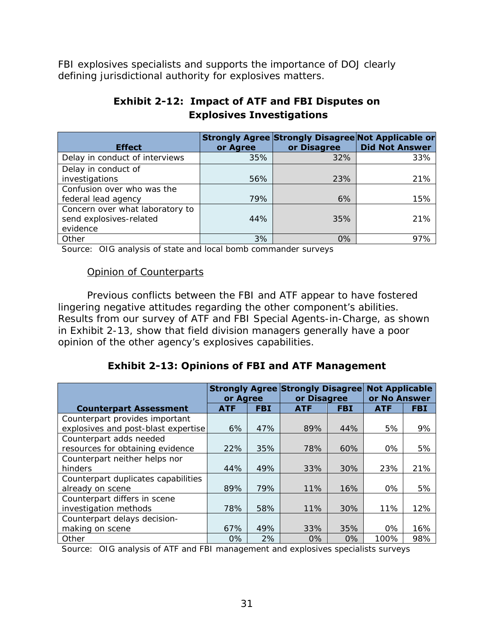FBI explosives specialists and supports the importance of DOJ clearly defining jurisdictional authority for explosives matters.

# **Exhibit 2-12: Impact of ATF and FBI Disputes on Explosives Investigations**

| <b>Effect</b>                   | or Agree | <b>Strongly Agree Strongly Disagree Not Applicable or</b><br>or Disagree | <b>Did Not Answer</b> |
|---------------------------------|----------|--------------------------------------------------------------------------|-----------------------|
| Delay in conduct of interviews  | 35%      | 32%                                                                      | 33%                   |
| Delay in conduct of             |          |                                                                          |                       |
| investigations                  | 56%      | 23%                                                                      | 21%                   |
| Confusion over who was the      |          |                                                                          |                       |
| federal lead agency             | 79%      | 6%                                                                       | 15%                   |
| Concern over what laboratory to |          |                                                                          |                       |
| send explosives-related         | 44%      | 35%                                                                      | 21%                   |
| evidence                        |          |                                                                          |                       |
| Other                           | 3%       | 0%                                                                       | 97%                   |

Source: OIG analysis of state and local bomb commander surveys

#### Opinion of Counterparts

Previous conflicts between the FBI and ATF appear to have fostered lingering negative attitudes regarding the other component's abilities. Results from our survey of ATF and FBI Special Agents-in-Charge, as shown in Exhibit 2-13, show that field division managers generally have a poor opinion of the other agency's explosives capabilities.

# **Exhibit 2-13: Opinions of FBI and ATF Management**

|                                     | or Agree   |            | <b>Strongly Agree Strongly Disagree</b><br>or Disagree |            | <b>Not Applicable</b><br>or No Answer |            |
|-------------------------------------|------------|------------|--------------------------------------------------------|------------|---------------------------------------|------------|
| <b>Counterpart Assessment</b>       | <b>ATF</b> | <b>FBI</b> | <b>ATF</b>                                             | <b>FBI</b> | <b>ATF</b>                            | <b>FBI</b> |
| Counterpart provides important      |            |            |                                                        |            |                                       |            |
| explosives and post-blast expertise | 6%         | 47%        | 89%                                                    | 44%        | 5%                                    | 9%         |
| Counterpart adds needed             |            |            |                                                        |            |                                       |            |
| resources for obtaining evidence    | 22%        | 35%        | 78%                                                    | 60%        | $0\%$                                 | 5%         |
| Counterpart neither helps nor       |            |            |                                                        |            |                                       |            |
| hinders                             | 44%        | 49%        | 33%                                                    | 30%        | 23%                                   | 21%        |
| Counterpart duplicates capabilities |            |            |                                                        |            |                                       |            |
| already on scene                    | 89%        | 79%        | 11%                                                    | 16%        | $0\%$                                 | 5%         |
| Counterpart differs in scene        |            |            |                                                        |            |                                       |            |
| investigation methods               | 78%        | 58%        | 11%                                                    | 30%        | 11%                                   | 12%        |
| Counterpart delays decision-        |            |            |                                                        |            |                                       |            |
| making on scene                     | 67%        | 49%        | 33%                                                    | 35%        | $0\%$                                 | 16%        |
| Other                               | $0\%$      | 2%         | $0\%$                                                  | 0%         | 100%                                  | 98%        |

Source: OIG analysis of ATF and FBI management and explosives specialists surveys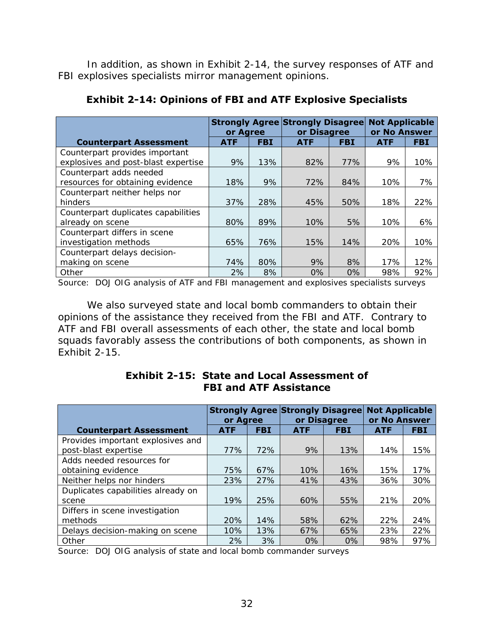In addition, as shown in Exhibit 2-14, the survey responses of ATF and FBI explosives specialists mirror management opinions.

|                                     | or Agree   |            | <b>Strongly Agree Strongly Disagree</b><br>or Disagree |            | <b>Not Applicable</b><br>or No Answer |            |
|-------------------------------------|------------|------------|--------------------------------------------------------|------------|---------------------------------------|------------|
| <b>Counterpart Assessment</b>       | <b>ATF</b> | <b>FBI</b> | <b>ATF</b>                                             | <b>FBI</b> | <b>ATF</b>                            | <b>FBI</b> |
| Counterpart provides important      |            |            |                                                        |            |                                       |            |
| explosives and post-blast expertise | 9%         | 13%        | 82%                                                    | 77%        | 9%                                    | 10%        |
| Counterpart adds needed             |            |            |                                                        |            |                                       |            |
| resources for obtaining evidence    | 18%        | 9%         | 72%                                                    | 84%        | 10%                                   | 7%         |
| Counterpart neither helps nor       |            |            |                                                        |            |                                       |            |
| hinders                             | 37%        | 28%        | 45%                                                    | 50%        | 18%                                   | 22%        |
| Counterpart duplicates capabilities |            |            |                                                        |            |                                       |            |
| already on scene                    | 80%        | 89%        | 10%                                                    | 5%         | 10%                                   | 6%         |
| Counterpart differs in scene        |            |            |                                                        |            |                                       |            |
| investigation methods               | 65%        | 76%        | 15%                                                    | 14%        | 20%                                   | 10%        |
| Counterpart delays decision-        |            |            |                                                        |            |                                       |            |
| making on scene                     | 74%        | 80%        | 9%                                                     | 8%         | 17%                                   | 12%        |
| Other                               | 2%         | 8%         | $0\%$                                                  | $0\%$      | 98%                                   | 92%        |

**Exhibit 2-14: Opinions of FBI and ATF Explosive Specialists** 

Source: DOJ OIG analysis of ATF and FBI management and explosives specialists surveys

We also surveyed state and local bomb commanders to obtain their opinions of the assistance they received from the FBI and ATF. Contrary to ATF and FBI overall assessments of each other, the state and local bomb squads favorably assess the contributions of both components, as shown in Exhibit 2-15.

|                                    | or Agree   |            | <b>Strongly Agree Strongly Disagree</b><br>or Disagree |            | <b>Not Applicable</b><br>or No Answer |            |
|------------------------------------|------------|------------|--------------------------------------------------------|------------|---------------------------------------|------------|
| <b>Counterpart Assessment</b>      | <b>ATF</b> | <b>FBI</b> | <b>ATF</b>                                             | <b>FBI</b> | <b>ATF</b>                            | <b>FBI</b> |
| Provides important explosives and  |            |            |                                                        |            |                                       |            |
| post-blast expertise               | 77%        | 72%        | 9%                                                     | 13%        | 14%                                   | 15%        |
| Adds needed resources for          |            |            |                                                        |            |                                       |            |
| obtaining evidence                 | 75%        | 67%        | 10%                                                    | 16%        | 15%                                   | 17%        |
| Neither helps nor hinders          | 23%        | 27%        | 41%                                                    | 43%        | 36%                                   | 30%        |
| Duplicates capabilities already on |            |            |                                                        |            |                                       |            |
| scene                              | 19%        | 25%        | 60%                                                    | 55%        | 21%                                   | 20%        |
| Differs in scene investigation     |            |            |                                                        |            |                                       |            |
| methods                            | 20%        | 14%        | 58%                                                    | 62%        | 22%                                   | 24%        |
| Delays decision-making on scene    | 10%        | 13%        | 67%                                                    | 65%        | 23%                                   | 22%        |
| Other                              | 2%         | 3%         | 0%                                                     | 0%         | 98%                                   | 97%        |

**Exhibit 2-15: State and Local Assessment of FBI and ATF Assistance** 

Source: DOJ OIG analysis of state and local bomb commander surveys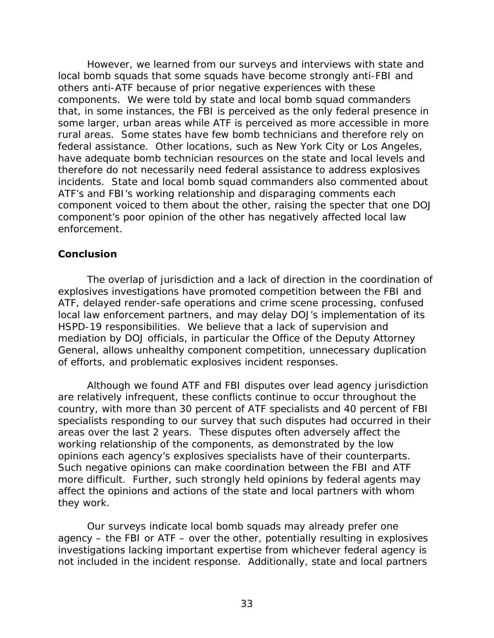However, we learned from our surveys and interviews with state and local bomb squads that some squads have become strongly anti-FBI and others anti-ATF because of prior negative experiences with these components. We were told by state and local bomb squad commanders that, in some instances, the FBI is perceived as the only federal presence in some larger, urban areas while ATF is perceived as more accessible in more rural areas. Some states have few bomb technicians and therefore rely on federal assistance. Other locations, such as New York City or Los Angeles, have adequate bomb technician resources on the state and local levels and therefore do not necessarily need federal assistance to address explosives incidents. State and local bomb squad commanders also commented about ATF's and FBI's working relationship and disparaging comments each component voiced to them about the other, raising the specter that one DOJ component's poor opinion of the other has negatively affected local law enforcement.

# **Conclusion**

The overlap of jurisdiction and a lack of direction in the coordination of explosives investigations have promoted competition between the FBI and ATF, delayed render-safe operations and crime scene processing, confused local law enforcement partners, and may delay DOJ's implementation of its HSPD-19 responsibilities. We believe that a lack of supervision and mediation by DOJ officials, in particular the Office of the Deputy Attorney General, allows unhealthy component competition, unnecessary duplication of efforts, and problematic explosives incident responses.

Although we found ATF and FBI disputes over lead agency jurisdiction are relatively infrequent, these conflicts continue to occur throughout the country, with more than 30 percent of ATF specialists and 40 percent of FBI specialists responding to our survey that such disputes had occurred in their areas over the last 2 years. These disputes often adversely affect the working relationship of the components, as demonstrated by the low opinions each agency's explosives specialists have of their counterparts. Such negative opinions can make coordination between the FBI and ATF more difficult. Further, such strongly held opinions by federal agents may affect the opinions and actions of the state and local partners with whom they work.

Our surveys indicate local bomb squads may already prefer one agency – the FBI or ATF – over the other, potentially resulting in explosives investigations lacking important expertise from whichever federal agency is not included in the incident response. Additionally, state and local partners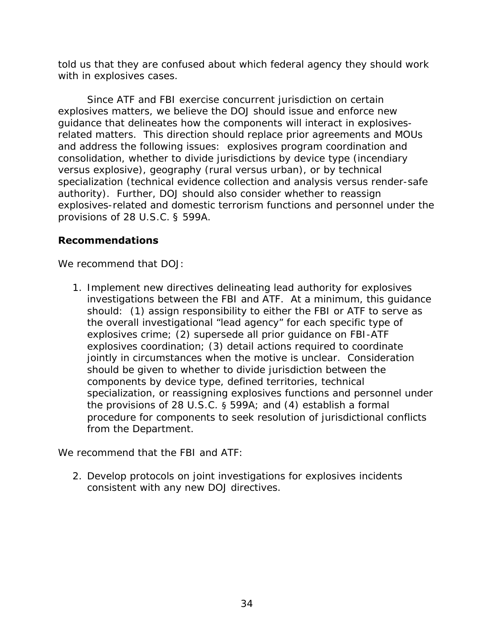told us that they are confused about which federal agency they should work with in explosives cases.

Since ATF and FBI exercise concurrent jurisdiction on certain explosives matters, we believe the DOJ should issue and enforce new guidance that delineates how the components will interact in explosivesrelated matters. This direction should replace prior agreements and MOUs and address the following issues: explosives program coordination and consolidation, whether to divide jurisdictions by device type (incendiary versus explosive), geography (rural versus urban), or by technical specialization (technical evidence collection and analysis versus render-safe authority). Further, DOJ should also consider whether to reassign explosives-related and domestic terrorism functions and personnel under the provisions of 28 U.S.C. § 599A.

# **Recommendations**

We recommend that DOJ:

1. Implement new directives delineating lead authority for explosives investigations between the FBI and ATF. At a minimum, this guidance should: (1) assign responsibility to either the FBI or ATF to serve as the overall investigational "lead agency" for each specific type of explosives crime; (2) supersede all prior guidance on FBI-ATF explosives coordination; (3) detail actions required to coordinate jointly in circumstances when the motive is unclear. Consideration should be given to whether to divide jurisdiction between the components by device type, defined territories, technical specialization, or reassigning explosives functions and personnel under the provisions of 28 U.S.C. § 599A; and (4) establish a formal procedure for components to seek resolution of jurisdictional conflicts from the Department.

We recommend that the FBI and ATF:

2. Develop protocols on joint investigations for explosives incidents consistent with any new DOJ directives.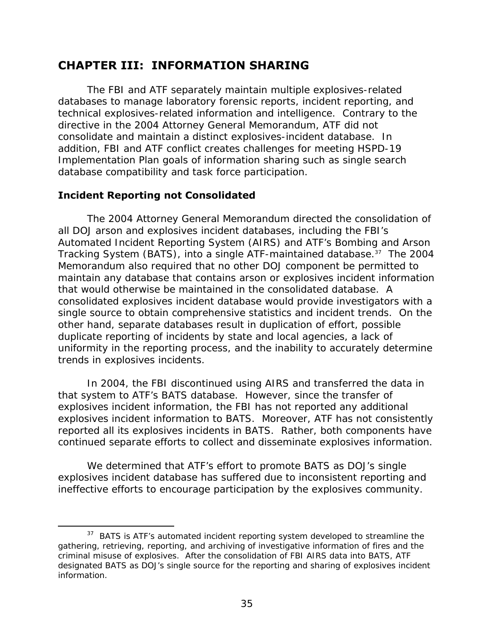# **CHAPTER III: INFORMATION SHARING**

The FBI and ATF separately maintain multiple explosives-related databases to manage laboratory forensic reports, incident reporting, and technical explosives-related information and intelligence. Contrary to the directive in the 2004 Attorney General Memorandum, ATF did not consolidate and maintain a distinct explosives-incident database. In addition, FBI and ATF conflict creates challenges for meeting HSPD-19 Implementation Plan goals of information sharing such as single search database compatibility and task force participation.

# **Incident Reporting not Consolidated**

 $\overline{a}$ 

The 2004 Attorney General Memorandum directed the consolidation of all DOJ arson and explosives incident databases, including the FBI's Automated Incident Reporting System (AIRS) and ATF's Bombing and Arson Tracking System (BATS), into a single ATF-maintained database.37 The 2004 Memorandum also required that no other DOJ component be permitted to maintain any database that contains arson or explosives incident information that would otherwise be maintained in the consolidated database. A consolidated explosives incident database would provide investigators with a single source to obtain comprehensive statistics and incident trends. On the other hand, separate databases result in duplication of effort, possible duplicate reporting of incidents by state and local agencies, a lack of uniformity in the reporting process, and the inability to accurately determine trends in explosives incidents.

In 2004, the FBI discontinued using AIRS and transferred the data in that system to ATF's BATS database. However, since the transfer of explosives incident information, the FBI has not reported any additional explosives incident information to BATS. Moreover, ATF has not consistently reported all its explosives incidents in BATS. Rather, both components have continued separate efforts to collect and disseminate explosives information.

We determined that ATF's effort to promote BATS as DOJ's single explosives incident database has suffered due to inconsistent reporting and ineffective efforts to encourage participation by the explosives community.

information. <sup>37</sup> BATS is ATF's automated incident reporting system developed to streamline the gathering, retrieving, reporting, and archiving of investigative information of fires and the criminal misuse of explosives. After the consolidation of FBI AIRS data into BATS, ATF designated BATS as DOJ's single source for the reporting and sharing of explosives incident information.<br>
35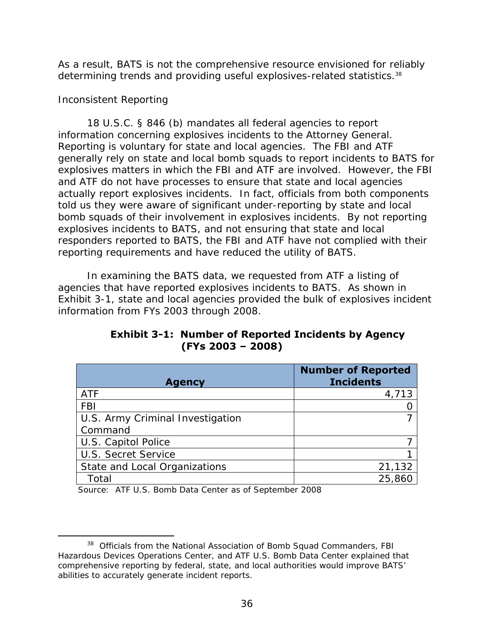determining trends and providing useful explosives-related statistics.<sup>38</sup> As a result, BATS is not the comprehensive resource envisioned for reliably

# *Inconsistent Reporting*

 $\overline{a}$ 

18 U.S.C. § 846 (b) mandates all federal agencies to report information concerning explosives incidents to the Attorney General. Reporting is voluntary for state and local agencies. The FBI and ATF generally rely on state and local bomb squads to report incidents to BATS for explosives matters in which the FBI and ATF are involved. However, the FBI and ATF do not have processes to ensure that state and local agencies actually report explosives incidents. In fact, officials from both components told us they were aware of significant under-reporting by state and local bomb squads of their involvement in explosives incidents. By not reporting explosives incidents to BATS, and not ensuring that state and local responders reported to BATS, the FBI and ATF have not complied with their reporting requirements and have reduced the utility of BATS.

In examining the BATS data, we requested from ATF a listing of agencies that have reported explosives incidents to BATS. As shown in Exhibit 3-1, state and local agencies provided the bulk of explosives incident information from FYs 2003 through 2008.

| <b>Agency</b>                    | <b>Number of Reported</b><br><b>Incidents</b> |
|----------------------------------|-----------------------------------------------|
| <b>ATF</b>                       | 4,713                                         |
| <b>FBI</b>                       |                                               |
| U.S. Army Criminal Investigation |                                               |
| Command                          |                                               |
| U.S. Capitol Police              |                                               |
| U.S. Secret Service              |                                               |
| State and Local Organizations    | 21,132                                        |
| Total                            | 25,860                                        |

**Exhibit 3-1: Number of Reported Incidents by Agency (FYs 2003 – 2008)** 

Source: ATF U.S. Bomb Data Center as of September 2008

<sup>&</sup>lt;sup>38</sup> Officials from the National Association of Bomb Squad Commanders, FBI Hazardous Devices Operations Center, and ATF U.S. Bomb Data Center explained that comprehensive reporting by federal, state, and local authorities would improve BATS' abilities to accurately generate incident reports.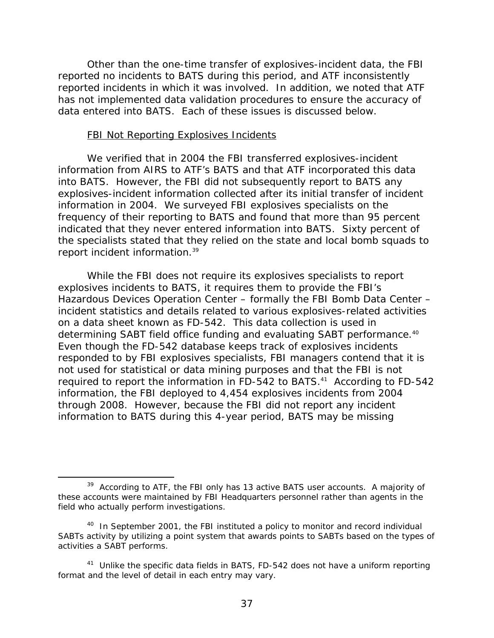Other than the one-time transfer of explosives-incident data, the FBI reported no incidents to BATS during this period, and ATF inconsistently reported incidents in which it was involved. In addition, we noted that ATF has not implemented data validation procedures to ensure the accuracy of data entered into BATS. Each of these issues is discussed below.

#### FBI Not Reporting Explosives Incidents

report incident information.<sup>39</sup> We verified that in 2004 the FBI transferred explosives-incident information from AIRS to ATF's BATS and that ATF incorporated this data into BATS. However, the FBI did not subsequently report to BATS any explosives-incident information collected after its initial transfer of incident information in 2004. We surveyed FBI explosives specialists on the frequency of their reporting to BATS and found that more than 95 percent indicated that they never entered information into BATS. Sixty percent of the specialists stated that they relied on the state and local bomb squads to

determining SABT field office funding and evaluating SABT performance.<sup>40</sup> While the FBI does not require its explosives specialists to report explosives incidents to BATS, it requires them to provide the FBI's Hazardous Devices Operation Center – formally the FBI Bomb Data Center – incident statistics and details related to various explosives-related activities on a data sheet known as FD-542. This data collection is used in Even though the FD-542 database keeps track of explosives incidents responded to by FBI explosives specialists, FBI managers contend that it is not used for statistical or data mining purposes and that the FBI is not required to report the information in FD-542 to BATS.<sup>41</sup> According to FD-542 information, the FBI deployed to 4,454 explosives incidents from 2004 through 2008. However, because the FBI did not report any incident information to BATS during this 4-year period, BATS may be missing

 $39$  According to ATF, the FBI only has 13 active BATS user accounts. A majority of these accounts were maintained by FBI Headquarters personnel rather than agents in the field who actually perform investigations.

 $40$  In September 2001, the FBI instituted a policy to monitor and record individual SABTs activity by utilizing a point system that awards points to SABTs based on the types of activities a SABT performs.

 $41$  Unlike the specific data fields in BATS, FD-542 does not have a uniform reporting format and the level of detail in each entry may vary.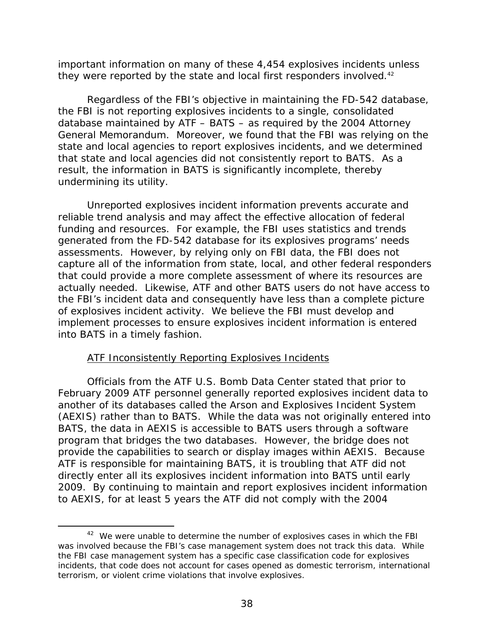they were reported by the state and local first responders involved.<sup>42</sup> important information on many of these 4,454 explosives incidents unless

Regardless of the FBI's objective in maintaining the FD-542 database, the FBI is not reporting explosives incidents to a single, consolidated database maintained by ATF – BATS – as required by the 2004 Attorney General Memorandum. Moreover, we found that the FBI was relying on the state and local agencies to report explosives incidents, and we determined that state and local agencies did not consistently report to BATS. As a result, the information in BATS is significantly incomplete, thereby undermining its utility.

Unreported explosives incident information prevents accurate and reliable trend analysis and may affect the effective allocation of federal funding and resources. For example, the FBI uses statistics and trends generated from the FD-542 database for its explosives programs' needs assessments. However, by relying only on FBI data, the FBI does not capture all of the information from state, local, and other federal responders that could provide a more complete assessment of where its resources are actually needed. Likewise, ATF and other BATS users do not have access to the FBI's incident data and consequently have less than a complete picture of explosives incident activity. We believe the FBI must develop and implement processes to ensure explosives incident information is entered into BATS in a timely fashion.

# **ATF Inconsistently Reporting Explosives Incidents**

 $\overline{a}$ 

Officials from the ATF U.S. Bomb Data Center stated that prior to February 2009 ATF personnel generally reported explosives incident data to another of its databases called the Arson and Explosives Incident System (AEXIS) rather than to BATS. While the data was not originally entered into BATS, the data in AEXIS is accessible to BATS users through a software program that bridges the two databases. However, the bridge does not provide the capabilities to search or display images within AEXIS. Because ATF is responsible for maintaining BATS, it is troubling that ATF did not directly enter all its explosives incident information into BATS until early 2009. By continuing to maintain and report explosives incident information to AEXIS, for at least 5 years the ATF did not comply with the 2004

 $42$  We were unable to determine the number of explosives cases in which the FBI was involved because the FBI's case management system does not track this data. While the FBI case management system has a specific case classification code for explosives incidents, that code does not account for cases opened as domestic terrorism, international terrorism, or violent crime violations that involve explosives.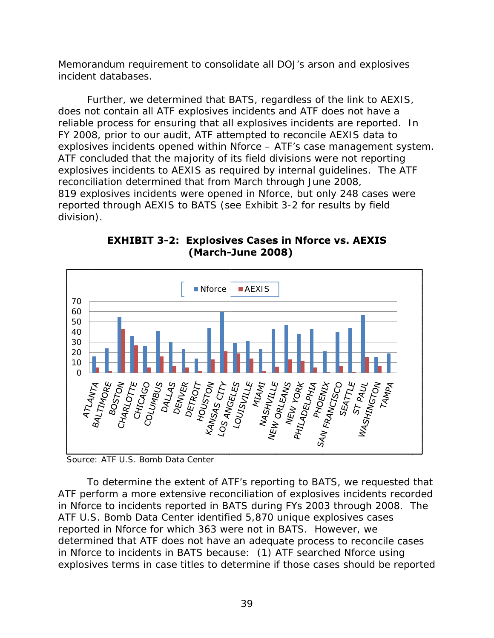Memorandum requirement to consolidate all DOJ's arson and explosives incident databases.

Further, we determined that BATS, regardless of the link to AEXIS, does not contain all ATF explosives incidents and ATF does not have a reliable process for ensuring that all explosives incidents are reported. In FY 2008, prior to our audit, ATF attempted to reconcile AEXIS data to explosives incidents opened within Nforce – ATF's case management system. ATF concluded that the majority of its field divisions were not reporting explosives incidents to AEXIS as required by internal quidelines. The ATF reconciliation determined that from March through June 2008, 819 explosives incidents were opened in Nforce, but only 248 cases were reported through AEXIS to BATS (see Exhibit 3-2 for results by field division).



**EXHIBIT 3-2: Explosives Cases in Nforce vs. AEXIS (March-June 2008)** 

Source: ATF U.S. Bomb Data Center

To determine the extent of ATF's reporting to BATS, we requested that ATF perform a more extensive reconciliation of explosives incidents recorded in Nforce to incidents reported in BATS during FYs 2003 through 2008. The ATF U.S. Bomb Data Center identified 5,870 unique explosives cases reported in Nforce for which 363 were not in BATS. However, we determined that ATF does not have an adequate process to reconcile cases in Nforce to incidents in BATS because: (1) ATF searched Nforce using explosives terms in case titles to determine if those cases should be reported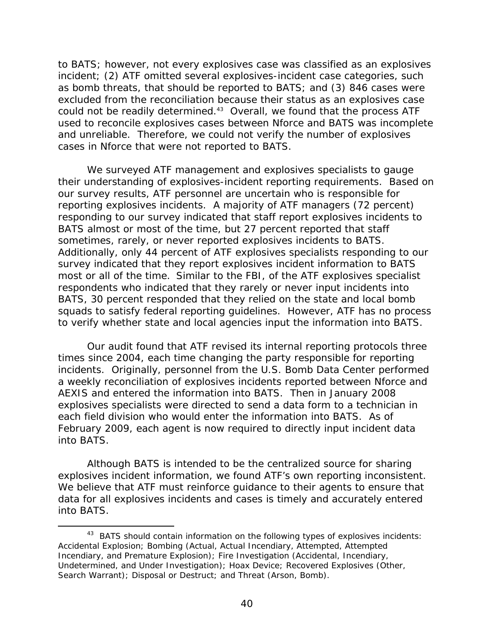to BATS; however, not every explosives case was classified as an explosives incident; (2) ATF omitted several explosives-incident case categories, such as bomb threats, that should be reported to BATS; and (3) 846 cases were excluded from the reconciliation because their status as an explosives case could not be readily determined.<sup>43</sup> Overall, we found that the process ATF used to reconcile explosives cases between Nforce and BATS was incomplete and unreliable. Therefore, we could not verify the number of explosives cases in Nforce that were not reported to BATS.

We surveyed ATF management and explosives specialists to gauge their understanding of explosives-incident reporting requirements. Based on our survey results, ATF personnel are uncertain who is responsible for reporting explosives incidents. A majority of ATF managers (72 percent) responding to our survey indicated that staff report explosives incidents to BATS almost or most of the time, but 27 percent reported that staff sometimes, rarely, or never reported explosives incidents to BATS. Additionally, only 44 percent of ATF explosives specialists responding to our survey indicated that they report explosives incident information to BATS most or all of the time. Similar to the FBI, of the ATF explosives specialist respondents who indicated that they rarely or never input incidents into BATS, 30 percent responded that they relied on the state and local bomb squads to satisfy federal reporting guidelines. However, ATF has no process to verify whether state and local agencies input the information into BATS.

Our audit found that ATF revised its internal reporting protocols three times since 2004, each time changing the party responsible for reporting incidents. Originally, personnel from the U.S. Bomb Data Center performed a weekly reconciliation of explosives incidents reported between Nforce and AEXIS and entered the information into BATS. Then in January 2008 explosives specialists were directed to send a data form to a technician in each field division who would enter the information into BATS. As of February 2009, each agent is now required to directly input incident data into BATS.

Although BATS is intended to be the centralized source for sharing explosives incident information, we found ATF's own reporting inconsistent. We believe that ATF must reinforce guidance to their agents to ensure that data for all explosives incidents and cases is timely and accurately entered into BATS.

-

<sup>&</sup>lt;sup>43</sup> BATS should contain information on the following types of explosives incidents: Accidental Explosion; Bombing (Actual, Actual Incendiary, Attempted, Attempted Incendiary, and Premature Explosion); Fire Investigation (Accidental, Incendiary, Undetermined, and Under Investigation); Hoax Device; Recovered Explosives (Other, Search Warrant); Disposal or Destruct; and Threat (Arson, Bomb).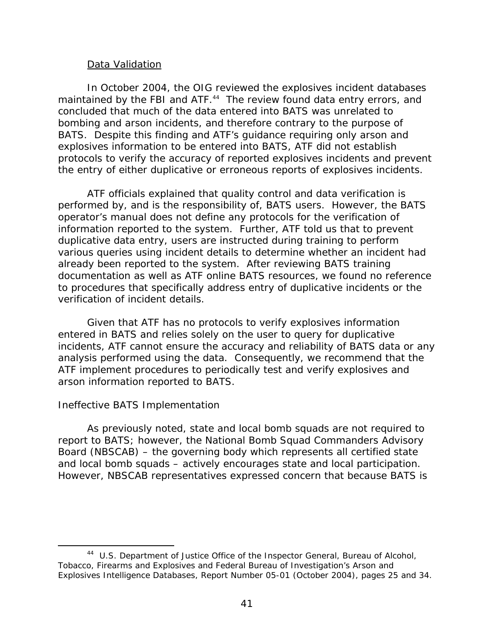#### Data Validation

In October 2004, the OIG reviewed the explosives incident databases maintained by the FBI and ATF.<sup>44</sup> The review found data entry errors, and concluded that much of the data entered into BATS was unrelated to bombing and arson incidents, and therefore contrary to the purpose of BATS. Despite this finding and ATF's guidance requiring only arson and explosives information to be entered into BATS, ATF did not establish protocols to verify the accuracy of reported explosives incidents and prevent the entry of either duplicative or erroneous reports of explosives incidents.

ATF officials explained that quality control and data verification is performed by, and is the responsibility of, BATS users. However, the BATS operator's manual does not define any protocols for the verification of information reported to the system. Further, ATF told us that to prevent duplicative data entry, users are instructed during training to perform various queries using incident details to determine whether an incident had already been reported to the system. After reviewing BATS training documentation as well as ATF online BATS resources, we found no reference to procedures that specifically address entry of duplicative incidents or the verification of incident details.

Given that ATF has no protocols to verify explosives information entered in BATS and relies solely on the user to query for duplicative incidents, ATF cannot ensure the accuracy and reliability of BATS data or any analysis performed using the data. Consequently, we recommend that the ATF implement procedures to periodically test and verify explosives and arson information reported to BATS.

#### *Ineffective BATS Implementation*

-

As previously noted, state and local bomb squads are not required to report to BATS; however, the National Bomb Squad Commanders Advisory Board (NBSCAB) – the governing body which represents all certified state and local bomb squads – actively encourages state and local participation. However, NBSCAB representatives expressed concern that because BATS is

<sup>44</sup> U.S. Department of Justice Office of the Inspector General, *Bureau of Alcohol, Tobacco, Firearms and Explosives and Federal Bureau of Investigation's Arson and Explosives Intelligence Databases,* Report Number 05-01 (October 2004), pages 25 and 34.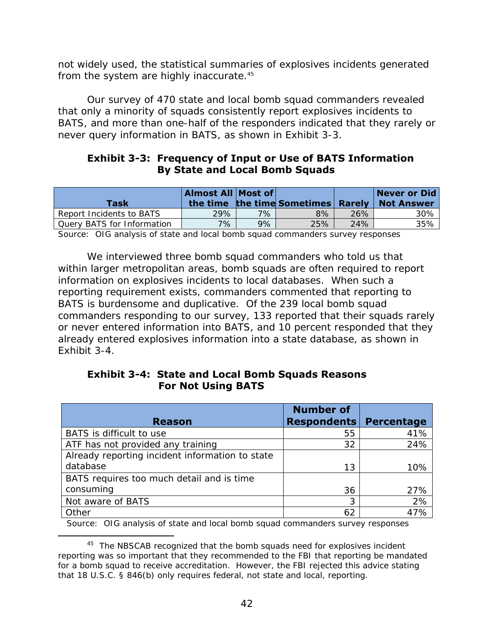from the system are highly inaccurate.<sup>45</sup> not widely used, the statistical summaries of explosives incidents generated

Our survey of 470 state and local bomb squad commanders revealed that only a minority of squads consistently report explosives incidents to BATS, and more than one-half of the responders indicated that they rarely or never query information in BATS, as shown in Exhibit 3-3.

# **Exhibit 3-3: Frequency of Input or Use of BATS Information By State and Local Bomb Squads**

| Task                       | Almost All Most of |       | the time the time Sometimes Rarely |     | Never or Did<br><b>Not Answer</b> |
|----------------------------|--------------------|-------|------------------------------------|-----|-----------------------------------|
| Report Incidents to BATS   | 29% '              | $7\%$ | 8%                                 | 26% | 30%                               |
| Query BATS for Information | 7%                 | 9%    | 25%                                | 24% | 35%                               |

Source: OIG analysis of state and local bomb squad commanders survey responses

We interviewed three bomb squad commanders who told us that within larger metropolitan areas, bomb squads are often required to report information on explosives incidents to local databases. When such a reporting requirement exists, commanders commented that reporting to BATS is burdensome and duplicative. Of the 239 local bomb squad commanders responding to our survey, 133 reported that their squads rarely or never entered information into BATS, and 10 percent responded that they already entered explosives information into a state database, as shown in Exhibit 3-4.

# **Exhibit 3-4: State and Local Bomb Squads Reasons For Not Using BATS**

| <b>Reason</b>                                   | <b>Number of</b><br><b>Respondents</b> | Percentage |
|-------------------------------------------------|----------------------------------------|------------|
| BATS is difficult to use                        | 55                                     | 41%        |
| ATF has not provided any training               | 32                                     | 24%        |
| Already reporting incident information to state |                                        |            |
| database                                        | 13                                     | 10%        |
| BATS requires too much detail and is time       |                                        |            |
| consuming                                       | 36                                     | 27%        |
| Not aware of BATS                               | 3                                      | 2%         |
| Other                                           | 62                                     | 47%        |

Source: OIG analysis of state and local bomb squad commanders survey responses

<sup>&</sup>lt;sup>45</sup> The NBSCAB recognized that the bomb squads need for explosives incident reporting was so important that they recommended to the FBI that reporting be mandated for a bomb squad to receive accreditation. However, the FBI rejected this advice stating that 18 U.S.C. § 846(b) only requires federal, not state and local, reporting.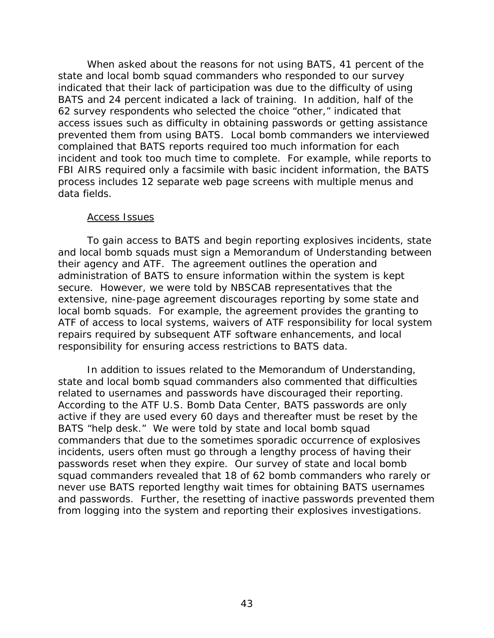When asked about the reasons for not using BATS, 41 percent of the state and local bomb squad commanders who responded to our survey indicated that their lack of participation was due to the difficulty of using BATS and 24 percent indicated a lack of training. In addition, half of the 62 survey respondents who selected the choice "other," indicated that access issues such as difficulty in obtaining passwords or getting assistance prevented them from using BATS. Local bomb commanders we interviewed complained that BATS reports required too much information for each incident and took too much time to complete. For example, while reports to FBI AIRS required only a facsimile with basic incident information, the BATS process includes 12 separate web page screens with multiple menus and data fields.

#### Access Issues

To gain access to BATS and begin reporting explosives incidents, state and local bomb squads must sign a Memorandum of Understanding between their agency and ATF. The agreement outlines the operation and administration of BATS to ensure information within the system is kept secure. However, we were told by NBSCAB representatives that the extensive, nine-page agreement discourages reporting by some state and local bomb squads. For example, the agreement provides the granting to ATF of access to local systems, waivers of ATF responsibility for local system repairs required by subsequent ATF software enhancements, and local responsibility for ensuring access restrictions to BATS data.

In addition to issues related to the Memorandum of Understanding, state and local bomb squad commanders also commented that difficulties related to usernames and passwords have discouraged their reporting. According to the ATF U.S. Bomb Data Center, BATS passwords are only active if they are used every 60 days and thereafter must be reset by the BATS "help desk." We were told by state and local bomb squad commanders that due to the sometimes sporadic occurrence of explosives incidents, users often must go through a lengthy process of having their passwords reset when they expire. Our survey of state and local bomb squad commanders revealed that 18 of 62 bomb commanders who rarely or never use BATS reported lengthy wait times for obtaining BATS usernames and passwords. Further, the resetting of inactive passwords prevented them from logging into the system and reporting their explosives investigations.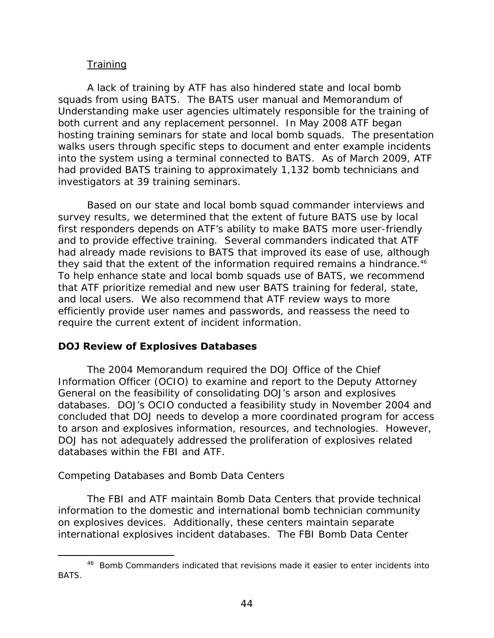# **Training**

A lack of training by ATF has also hindered state and local bomb squads from using BATS. The BATS user manual and Memorandum of Understanding make user agencies ultimately responsible for the training of both current and any replacement personnel. In May 2008 ATF began hosting training seminars for state and local bomb squads. The presentation walks users through specific steps to document and enter example incidents into the system using a terminal connected to BATS. As of March 2009, ATF had provided BATS training to approximately 1,132 bomb technicians and investigators at 39 training seminars.

they said that the extent of the information required remains a hindrance.<sup>46</sup> Based on our state and local bomb squad commander interviews and survey results, we determined that the extent of future BATS use by local first responders depends on ATF's ability to make BATS more user-friendly and to provide effective training. Several commanders indicated that ATF had already made revisions to BATS that improved its ease of use, although To help enhance state and local bomb squads use of BATS, we recommend that ATF prioritize remedial and new user BATS training for federal, state, and local users. We also recommend that ATF review ways to more efficiently provide user names and passwords, and reassess the need to require the current extent of incident information.

# **DOJ Review of Explosives Databases**

The 2004 Memorandum required the DOJ Office of the Chief Information Officer (OCIO) to examine and report to the Deputy Attorney General on the feasibility of consolidating DOJ's arson and explosives databases. DOJ's OCIO conducted a feasibility study in November 2004 and concluded that DOJ needs to develop a more coordinated program for access to arson and explosives information, resources, and technologies. However, DOJ has not adequately addressed the proliferation of explosives related databases within the FBI and ATF.

#### *Competing Databases and Bomb Data Centers*

-

The FBI and ATF maintain Bomb Data Centers that provide technical information to the domestic and international bomb technician community on explosives devices. Additionally, these centers maintain separate international explosives incident databases. The FBI Bomb Data Center

<sup>&</sup>lt;sup>46</sup> Bomb Commanders indicated that revisions made it easier to enter incidents into BATS.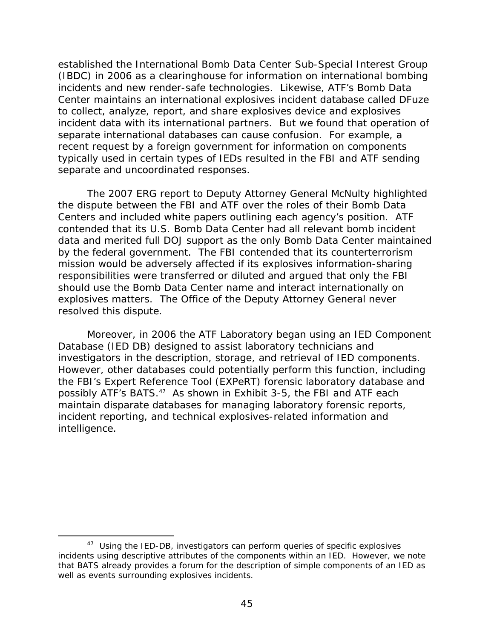established the International Bomb Data Center Sub-Special Interest Group (IBDC) in 2006 as a clearinghouse for information on international bombing incidents and new render-safe technologies. Likewise, ATF's Bomb Data Center maintains an international explosives incident database called DFuze to collect, analyze, report, and share explosives device and explosives incident data with its international partners. But we found that operation of separate international databases can cause confusion. For example, a recent request by a foreign government for information on components typically used in certain types of IEDs resulted in the FBI and ATF sending separate and uncoordinated responses.

The 2007 ERG report to Deputy Attorney General McNulty highlighted the dispute between the FBI and ATF over the roles of their Bomb Data Centers and included white papers outlining each agency's position. ATF contended that its U.S. Bomb Data Center had all relevant bomb incident data and merited full DOJ support as the only Bomb Data Center maintained by the federal government. The FBI contended that its counterterrorism mission would be adversely affected if its explosives information-sharing responsibilities were transferred or diluted and argued that only the FBI should use the Bomb Data Center name and interact internationally on explosives matters. The Office of the Deputy Attorney General never resolved this dispute.

Moreover, in 2006 the ATF Laboratory began using an IED Component Database (IED DB) designed to assist laboratory technicians and investigators in the description, storage, and retrieval of IED components. However, other databases could potentially perform this function, including the FBI's Expert Reference Tool (EXPeRT) forensic laboratory database and possibly ATF's BATS.<sup>47</sup> As shown in Exhibit 3-5, the FBI and ATF each maintain disparate databases for managing laboratory forensic reports, incident reporting, and technical explosives-related information and intelligence.

<sup>&</sup>lt;sup>47</sup> Using the IED-DB, investigators can perform queries of specific explosives incidents using descriptive attributes of the components within an IED. However, we note that BATS already provides a forum for the description of simple components of an IED as well as events surrounding explosives incidents.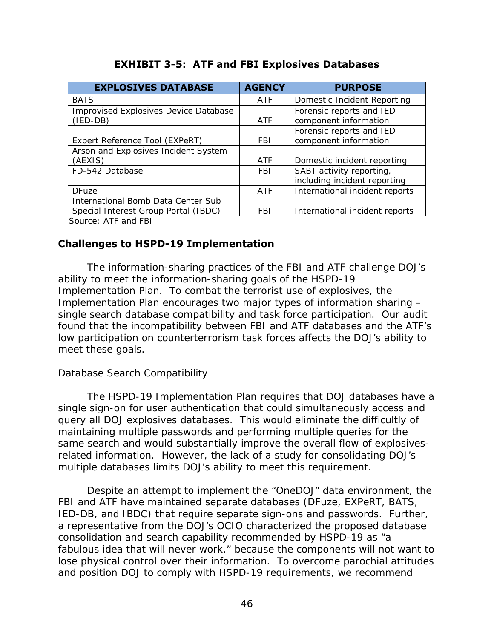| <b>EXPLOSIVES DATABASE</b>            | <b>AGENCY</b> | <b>PURPOSE</b>                 |
|---------------------------------------|---------------|--------------------------------|
| <b>BATS</b>                           | <b>ATF</b>    | Domestic Incident Reporting    |
| Improvised Explosives Device Database |               | Forensic reports and IED       |
| $(IED-DB)$                            | ATF           | component information          |
|                                       |               | Forensic reports and IED       |
| Expert Reference Tool (EXPeRT)        | FBI.          | component information          |
| Arson and Explosives Incident System  |               |                                |
| (AEXIS)                               | ATF           | Domestic incident reporting    |
| FD-542 Database                       | <b>FBI</b>    | SABT activity reporting,       |
|                                       |               | including incident reporting   |
| <b>DFuze</b>                          | <b>ATF</b>    | International incident reports |
| International Bomb Data Center Sub    |               |                                |
| Special Interest Group Portal (IBDC)  | <b>FBI</b>    | International incident reports |
| Course, ATE and EDI                   |               |                                |

# **EXHIBIT 3-5: ATF and FBI Explosives Databases**

Source: ATF and FBI

# **Challenges to HSPD-19 Implementation**

The information-sharing practices of the FBI and ATF challenge DOJ's ability to meet the information-sharing goals of the HSPD-19 Implementation Plan. To combat the terrorist use of explosives, the Implementation Plan encourages two major types of information sharing – single search database compatibility and task force participation. Our audit found that the incompatibility between FBI and ATF databases and the ATF's low participation on counterterrorism task forces affects the DOJ's ability to meet these goals.

# *Database Search Compatibility*

The HSPD-19 Implementation Plan requires that DOJ databases have a single sign-on for user authentication that could simultaneously access and query all DOJ explosives databases. This would eliminate the difficultly of maintaining multiple passwords and performing multiple queries for the same search and would substantially improve the overall flow of explosivesrelated information. However, the lack of a study for consolidating DOJ's multiple databases limits DOJ's ability to meet this requirement.

Despite an attempt to implement the "OneDOJ" data environment, the FBI and ATF have maintained separate databases (DFuze, EXPeRT, BATS, IED-DB, and IBDC) that require separate sign-ons and passwords. Further, a representative from the DOJ's OCIO characterized the proposed database consolidation and search capability recommended by HSPD-19 as "a fabulous idea that will never work," because the components will not want to lose physical control over their information. To overcome parochial attitudes and position DOJ to comply with HSPD-19 requirements, we recommend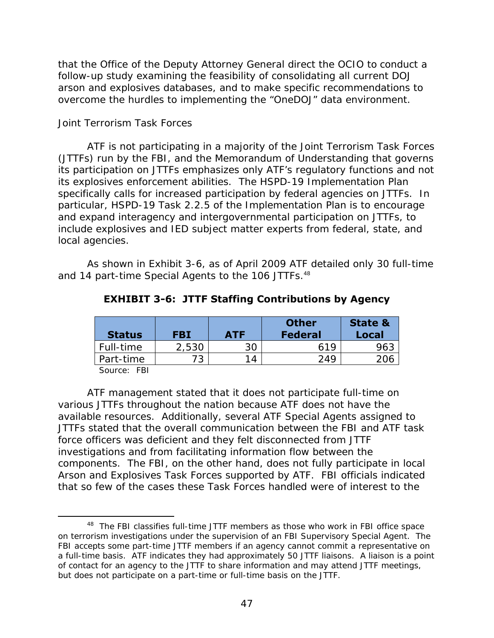that the Office of the Deputy Attorney General direct the OCIO to conduct a follow-up study examining the feasibility of consolidating all current DOJ arson and explosives databases, and to make specific recommendations to overcome the hurdles to implementing the "OneDOJ" data environment.

#### *Joint Terrorism Task Forces*

ATF is not participating in a majority of the Joint Terrorism Task Forces (JTTFs) run by the FBI, and the Memorandum of Understanding that governs its participation on JTTFs emphasizes only ATF's regulatory functions and not its explosives enforcement abilities. The HSPD-19 Implementation Plan specifically calls for increased participation by federal agencies on JTTFs. In particular, HSPD-19 Task 2.2.5 of the Implementation Plan is to encourage and expand interagency and intergovernmental participation on JTTFs, to include explosives and IED subject matter experts from federal, state, and local agencies.

and 14 part-time Special Agents to the 106 JTTFs.<sup>48</sup> As shown in Exhibit 3-6, as of April 2009 ATF detailed only 30 full-time

| <b>Status</b>    | <b>FBI</b> | <b>ATF</b> | <b>Other</b><br><b>Federal</b> | <b>State &amp;</b><br>Local |
|------------------|------------|------------|--------------------------------|-----------------------------|
| Full-time        | 2,530      | 30         | 619                            | 963                         |
| Part-time        | 73         | 14         | 249                            | 206                         |
| $\sim$<br>$-  -$ |            |            |                                |                             |

**EXHIBIT 3-6: JTTF Staffing Contributions by Agency** 

Source: FBI

 $\overline{a}$ 

ATF management stated that it does not participate full-time on various JTTFs throughout the nation because ATF does not have the available resources. Additionally, several ATF Special Agents assigned to JTTFs stated that the overall communication between the FBI and ATF task force officers was deficient and they felt disconnected from JTTF investigations and from facilitating information flow between the components. The FBI, on the other hand, does not fully participate in local Arson and Explosives Task Forces supported by ATF. FBI officials indicated that so few of the cases these Task Forces handled were of interest to the

<sup>&</sup>lt;sup>48</sup> The FBI classifies full-time JTTF members as those who work in FBI office space on terrorism investigations under the supervision of an FBI Supervisory Special Agent. The FBI accepts some part-time JTTF members if an agency cannot commit a representative on a full-time basis. ATF indicates they had approximately 50 JTTF liaisons. A liaison is a point of contact for an agency to the JTTF to share information and may attend JTTF meetings, but does not participate on a part-time or full-time basis on the JTTF.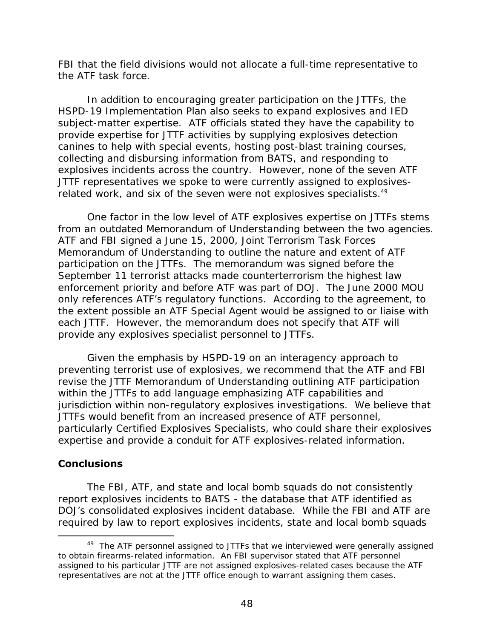the ATF task force. FBI that the field divisions would not allocate a full-time representative to

In addition to encouraging greater participation on the JTTFs, the HSPD-19 Implementation Plan also seeks to expand explosives and IED subject-matter expertise. ATF officials stated they have the capability to provide expertise for JTTF activities by supplying explosives detection canines to help with special events, hosting post-blast training courses, collecting and disbursing information from BATS, and responding to explosives incidents across the country. However, none of the seven ATF JTTF representatives we spoke to were currently assigned to explosivesrelated work, and six of the seven were not explosives specialists.<sup>49</sup>

One factor in the low level of ATF explosives expertise on JTTFs stems from an outdated Memorandum of Understanding between the two agencies. ATF and FBI signed a June 15, 2000, Joint Terrorism Task Forces Memorandum of Understanding to outline the nature and extent of ATF participation on the JTTFs. The memorandum was signed before the September 11 terrorist attacks made counterterrorism the highest law enforcement priority and before ATF was part of DOJ. The June 2000 MOU only references ATF's regulatory functions. According to the agreement, to the extent possible an ATF Special Agent would be assigned to or liaise with each JTTF. However, the memorandum does not specify that ATF will provide any explosives specialist personnel to JTTFs.

Given the emphasis by HSPD-19 on an interagency approach to preventing terrorist use of explosives, we recommend that the ATF and FBI revise the JTTF Memorandum of Understanding outlining ATF participation within the JTTFs to add language emphasizing ATF capabilities and jurisdiction within non-regulatory explosives investigations. We believe that JTTFs would benefit from an increased presence of ATF personnel, particularly Certified Explosives Specialists, who could share their explosives expertise and provide a conduit for ATF explosives-related information.

# **Conclusions**

-

The FBI, ATF, and state and local bomb squads do not consistently report explosives incidents to BATS - the database that ATF identified as DOJ's consolidated explosives incident database. While the FBI and ATF are required by law to report explosives incidents, state and local bomb squads

<sup>&</sup>lt;sup>49</sup> The ATF personnel assigned to JTTFs that we interviewed were generally assigned to obtain firearms-related information. An FBI supervisor stated that ATF personnel assigned to his particular JTTF are not assigned explosives-related cases because the ATF representatives are not at the JTTF office enough to warrant assigning them cases.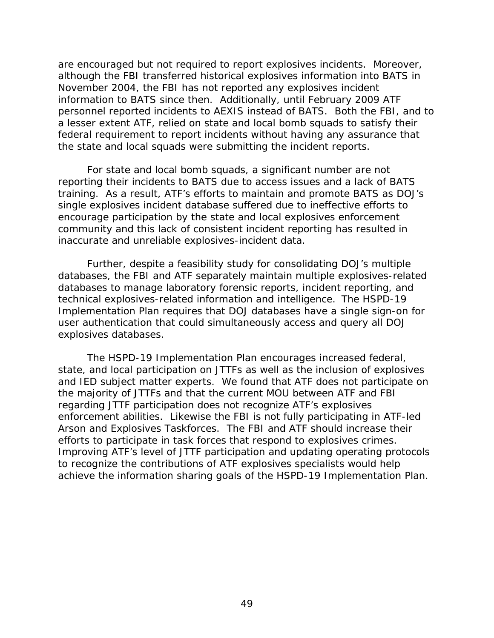are encouraged but not required to report explosives incidents. Moreover, although the FBI transferred historical explosives information into BATS in November 2004, the FBI has not reported any explosives incident information to BATS since then. Additionally, until February 2009 ATF personnel reported incidents to AEXIS instead of BATS. Both the FBI, and to a lesser extent ATF, relied on state and local bomb squads to satisfy their federal requirement to report incidents without having any assurance that the state and local squads were submitting the incident reports.

For state and local bomb squads, a significant number are not reporting their incidents to BATS due to access issues and a lack of BATS training. As a result, ATF's efforts to maintain and promote BATS as DOJ's single explosives incident database suffered due to ineffective efforts to encourage participation by the state and local explosives enforcement community and this lack of consistent incident reporting has resulted in inaccurate and unreliable explosives-incident data.

 technical explosives-related information and intelligence. The HSPD-19 Further, despite a feasibility study for consolidating DOJ's multiple databases, the FBI and ATF separately maintain multiple explosives-related databases to manage laboratory forensic reports, incident reporting, and Implementation Plan requires that DOJ databases have a single sign-on for user authentication that could simultaneously access and query all DOJ explosives databases.

The HSPD-19 Implementation Plan encourages increased federal, state, and local participation on JTTFs as well as the inclusion of explosives and IED subject matter experts. We found that ATF does not participate on the majority of JTTFs and that the current MOU between ATF and FBI regarding JTTF participation does not recognize ATF's explosives enforcement abilities. Likewise the FBI is not fully participating in ATF-led Arson and Explosives Taskforces. The FBI and ATF should increase their efforts to participate in task forces that respond to explosives crimes. Improving ATF's level of JTTF participation and updating operating protocols to recognize the contributions of ATF explosives specialists would help achieve the information sharing goals of the HSPD-19 Implementation Plan.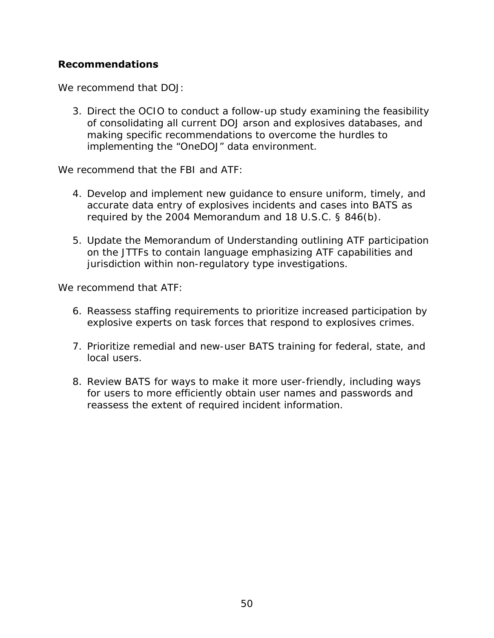## **Recommendations**

We recommend that DOJ:

3. Direct the OCIO to conduct a follow-up study examining the feasibility of consolidating all current DOJ arson and explosives databases, and making specific recommendations to overcome the hurdles to implementing the "OneDOJ" data environment.

We recommend that the FBI and ATF:

- 4. Develop and implement new guidance to ensure uniform, timely, and accurate data entry of explosives incidents and cases into BATS as required by the 2004 Memorandum and 18 U.S.C. § 846(b).
- 5. Update the Memorandum of Understanding outlining ATF participation on the JTTFs to contain language emphasizing ATF capabilities and jurisdiction within non-regulatory type investigations.

We recommend that ATF:

- 6. Reassess staffing requirements to prioritize increased participation by explosive experts on task forces that respond to explosives crimes.
- 7. Prioritize remedial and new-user BATS training for federal, state, and local users.
- 8. Review BATS for ways to make it more user-friendly, including ways for users to more efficiently obtain user names and passwords and reassess the extent of required incident information.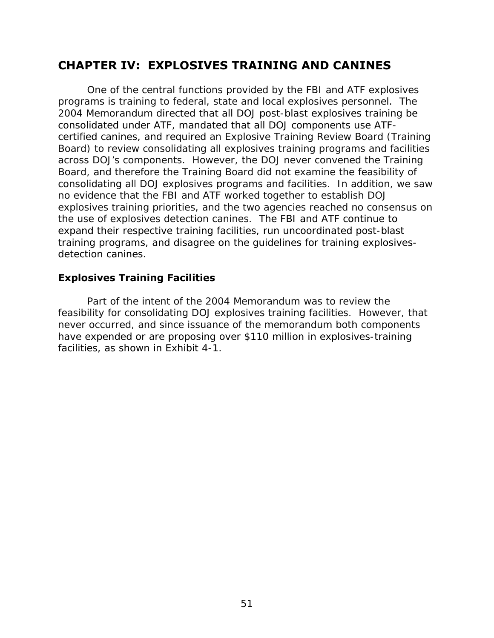# **CHAPTER IV: EXPLOSIVES TRAINING AND CANINES**

 detection canines. One of the central functions provided by the FBI and ATF explosives programs is training to federal, state and local explosives personnel. The 2004 Memorandum directed that all DOJ post-blast explosives training be consolidated under ATF, mandated that all DOJ components use ATFcertified canines, and required an Explosive Training Review Board (Training Board) to review consolidating all explosives training programs and facilities across DOJ's components. However, the DOJ never convened the Training Board, and therefore the Training Board did not examine the feasibility of consolidating all DOJ explosives programs and facilities. In addition, we saw no evidence that the FBI and ATF worked together to establish DOJ explosives training priorities, and the two agencies reached no consensus on the use of explosives detection canines. The FBI and ATF continue to expand their respective training facilities, run uncoordinated post-blast training programs, and disagree on the guidelines for training explosives-

## **Explosives Training Facilities**

Part of the intent of the 2004 Memorandum was to review the feasibility for consolidating DOJ explosives training facilities. However, that never occurred, and since issuance of the memorandum both components have expended or are proposing over \$110 million in explosives-training facilities, as shown in Exhibit 4-1.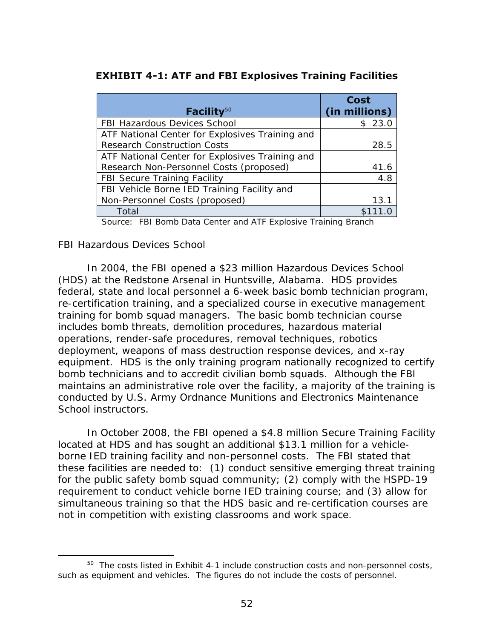## **EXHIBIT 4-1: ATF and FBI Explosives Training Facilities**

| Facility $50$                                   | <b>Cost</b><br>(in millions) |
|-------------------------------------------------|------------------------------|
| <b>FBI Hazardous Devices School</b>             | \$23.0                       |
| ATF National Center for Explosives Training and |                              |
| <b>Research Construction Costs</b>              | 28.5                         |
| ATF National Center for Explosives Training and |                              |
| Research Non-Personnel Costs (proposed)         | 41.6                         |
| <b>FBI Secure Training Facility</b>             | 4.8                          |
| FBI Vehicle Borne IED Training Facility and     |                              |
| Non-Personnel Costs (proposed)                  | 13.1                         |
| Total                                           |                              |

Source: FBI Bomb Data Center and ATF Explosive Training Branch

#### *FBI Hazardous Devices School*

 $\overline{a}$ 

In 2004, the FBI opened a \$23 million Hazardous Devices School (HDS) at the Redstone Arsenal in Huntsville, Alabama. HDS provides federal, state and local personnel a 6-week basic bomb technician program, re-certification training, and a specialized course in executive management training for bomb squad managers. The basic bomb technician course includes bomb threats, demolition procedures, hazardous material operations, render-safe procedures, removal techniques, robotics deployment, weapons of mass destruction response devices, and x-ray equipment. HDS is the only training program nationally recognized to certify bomb technicians and to accredit civilian bomb squads. Although the FBI maintains an administrative role over the facility, a majority of the training is conducted by U.S. Army Ordnance Munitions and Electronics Maintenance School instructors.

not in competition with existing classrooms and work space. In October 2008, the FBI opened a \$4.8 million Secure Training Facility located at HDS and has sought an additional \$13.1 million for a vehicleborne IED training facility and non-personnel costs. The FBI stated that these facilities are needed to: (1) conduct sensitive emerging threat training for the public safety bomb squad community; (2) comply with the HSPD-19 requirement to conduct vehicle borne IED training course; and (3) allow for simultaneous training so that the HDS basic and re-certification courses are

 $50$  The costs listed in Exhibit 4-1 include construction costs and non-personnel costs, such as equipment and vehicles. The figures do not include the costs of personnel.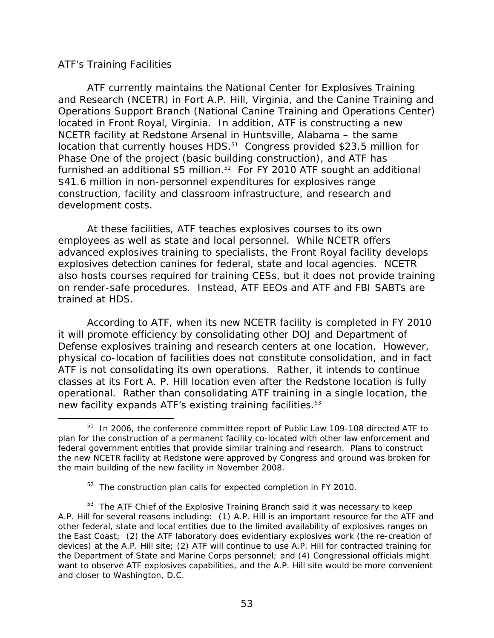#### *ATF's Training Facilities*

-

ATF currently maintains the National Center for Explosives Training and Research (NCETR) in Fort A.P. Hill, Virginia, and the Canine Training and Operations Support Branch (National Canine Training and Operations Center) located in Front Royal, Virginia. In addition, ATF is constructing a new NCETR facility at Redstone Arsenal in Huntsville, Alabama – the same location that currently houses HDS.<sup>51</sup> Congress provided \$23.5 million for Phase One of the project (basic building construction), and ATF has furnished an additional \$5 million.<sup>52</sup> For FY 2010 ATF sought an additional \$41.6 million in non-personnel expenditures for explosives range construction, facility and classroom infrastructure, and research and development costs.

At these facilities, ATF teaches explosives courses to its own employees as well as state and local personnel. While NCETR offers advanced explosives training to specialists, the Front Royal facility develops explosives detection canines for federal, state and local agencies. NCETR also hosts courses required for training CESs, but it does not provide training on render-safe procedures. Instead, ATF EEOs and ATF and FBI SABTs are trained at HDS.

new facility expands ATF's existing training facilities.<sup>53</sup> According to ATF, when its new NCETR facility is completed in FY 2010 it will promote efficiency by consolidating other DOJ and Department of Defense explosives training and research centers at one location. However, physical co-location of facilities does not constitute consolidation, and in fact ATF is not consolidating its own operations. Rather, it intends to continue classes at its Fort A. P. Hill location even after the Redstone location is fully operational. Rather than consolidating ATF training in a single location, the

<sup>51</sup> In 2006, the conference committee report of Public Law 109-108 directed ATF to plan for the construction of a permanent facility co-located with other law enforcement and federal government entities that provide similar training and research. Plans to construct the new NCETR facility at Redstone were approved by Congress and ground was broken for the main building of the new facility in November 2008.

<sup>&</sup>lt;sup>52</sup> The construction plan calls for expected completion in FY 2010.

 A.P. Hill for several reasons including: (1) A.P. Hill is an important resource for the ATF and <sup>53</sup> The ATF Chief of the Explosive Training Branch said it was necessary to keep other federal, state and local entities due to the limited availability of explosives ranges on the East Coast; (2) the ATF laboratory does evidentiary explosives work (the re-creation of devices) at the A.P. Hill site; (2) ATF will continue to use A.P. Hill for contracted training for the Department of State and Marine Corps personnel; and (4) Congressional officials might want to observe ATF explosives capabilities, and the A.P. Hill site would be more convenient and closer to Washington, D.C.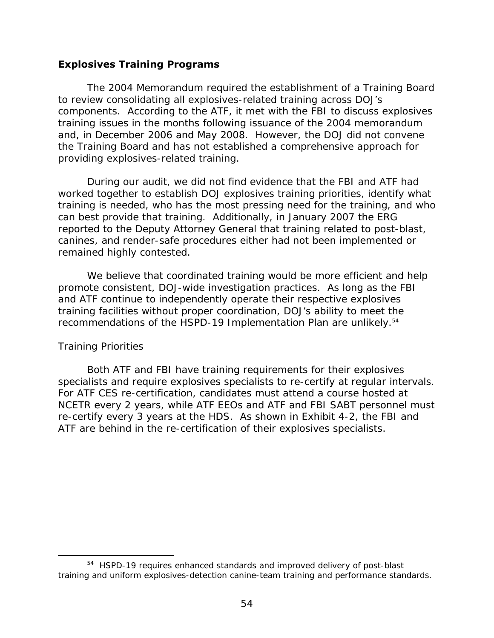### **Explosives Training Programs**

The 2004 Memorandum required the establishment of a Training Board to review consolidating all explosives-related training across DOJ's components. According to the ATF, it met with the FBI to discuss explosives training issues in the months following issuance of the 2004 memorandum and, in December 2006 and May 2008. However, the DOJ did not convene the Training Board and has not established a comprehensive approach for providing explosives-related training.

During our audit, we did not find evidence that the FBI and ATF had worked together to establish DOJ explosives training priorities, identify what training is needed, who has the most pressing need for the training, and who can best provide that training. Additionally, in January 2007 the ERG reported to the Deputy Attorney General that training related to post-blast, canines, and render-safe procedures either had not been implemented or remained highly contested.

recommendations of the HSPD-19 Implementation Plan are unlikely.<sup>54</sup> We believe that coordinated training would be more efficient and help promote consistent, DOJ-wide investigation practices. As long as the FBI and ATF continue to independently operate their respective explosives training facilities without proper coordination, DOJ's ability to meet the

#### *Training Priorities*

 $\overline{a}$ 

Both ATF and FBI have training requirements for their explosives specialists and require explosives specialists to re-certify at regular intervals. For ATF CES re-certification, candidates must attend a course hosted at NCETR every 2 years, while ATF EEOs and ATF and FBI SABT personnel must re-certify every 3 years at the HDS. As shown in Exhibit 4-2, the FBI and ATF are behind in the re-certification of their explosives specialists.

<sup>54</sup> HSPD-19 requires enhanced standards and improved delivery of post-blast training and uniform explosives-detection canine-team training and performance standards.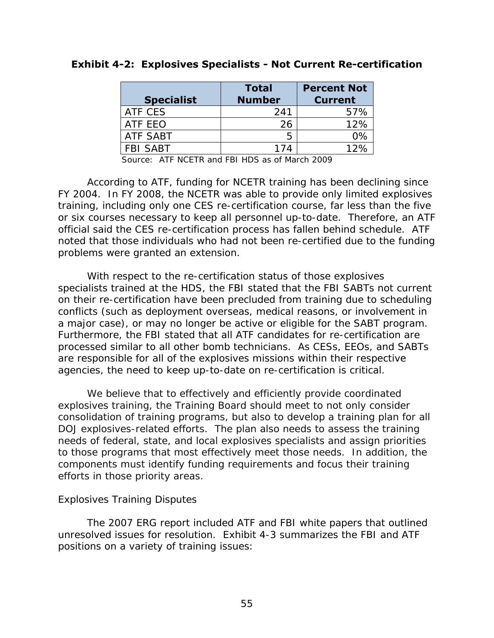|                   | <b>Total</b>  | <b>Percent Not</b> |
|-------------------|---------------|--------------------|
| <b>Specialist</b> | <b>Number</b> | <b>Current</b>     |
| ATF CES           | 241           | 57%                |
| ATF EEO           | 26            | 12%                |
| <b>ATF SABT</b>   | h             | በ%                 |
| <b>FBI SABT</b>   | 174           | 12%                |

#### **Exhibit 4-2: Explosives Specialists - Not Current Re-certification**

Source: ATF NCETR and FBI HDS as of March 2009

According to ATF, funding for NCETR training has been declining since FY 2004. In FY 2008, the NCETR was able to provide only limited explosives training, including only one CES re-certification course, far less than the five or six courses necessary to keep all personnel up-to-date. Therefore, an ATF official said the CES re-certification process has fallen behind schedule. ATF noted that those individuals who had not been re-certified due to the funding problems were granted an extension.

With respect to the re-certification status of those explosives specialists trained at the HDS, the FBI stated that the FBI SABTs not current on their re-certification have been precluded from training due to scheduling conflicts (such as deployment overseas, medical reasons, or involvement in a major case), or may no longer be active or eligible for the SABT program. Furthermore, the FBI stated that all ATF candidates for re-certification are processed similar to all other bomb technicians. As CESs, EEOs, and SABTs are responsible for all of the explosives missions within their respective agencies, the need to keep up-to-date on re-certification is critical.

 efforts in those priority areas. We believe that to effectively and efficiently provide coordinated explosives training, the Training Board should meet to not only consider consolidation of training programs, but also to develop a training plan for all DOJ explosives-related efforts. The plan also needs to assess the training needs of federal, state, and local explosives specialists and assign priorities to those programs that most effectively meet those needs. In addition, the components must identify funding requirements and focus their training

#### *Explosives Training Disputes*

The 2007 ERG report included ATF and FBI white papers that outlined unresolved issues for resolution. Exhibit 4-3 summarizes the FBI and ATF positions on a variety of training issues: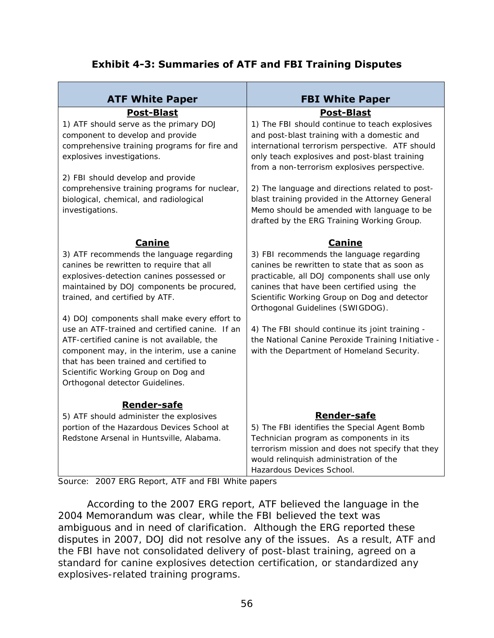## **Exhibit 4-3: Summaries of ATF and FBI Training Disputes**

| <b>ATF White Paper</b>                                                                                                                                                                                                                                                                                                                                                                                                                                                                                                              | <b>FBI White Paper</b>                                                                                                                                                                                                                                                                                                                                                                                                              |
|-------------------------------------------------------------------------------------------------------------------------------------------------------------------------------------------------------------------------------------------------------------------------------------------------------------------------------------------------------------------------------------------------------------------------------------------------------------------------------------------------------------------------------------|-------------------------------------------------------------------------------------------------------------------------------------------------------------------------------------------------------------------------------------------------------------------------------------------------------------------------------------------------------------------------------------------------------------------------------------|
| <b>Post-Blast</b>                                                                                                                                                                                                                                                                                                                                                                                                                                                                                                                   | <b>Post-Blast</b>                                                                                                                                                                                                                                                                                                                                                                                                                   |
| 1) ATF should serve as the primary DOJ<br>component to develop and provide<br>comprehensive training programs for fire and<br>explosives investigations.                                                                                                                                                                                                                                                                                                                                                                            | 1) The FBI should continue to teach explosives<br>and post-blast training with a domestic and<br>international terrorism perspective. ATF should<br>only teach explosives and post-blast training<br>from a non-terrorism explosives perspective.                                                                                                                                                                                   |
| 2) FBI should develop and provide<br>comprehensive training programs for nuclear,<br>biological, chemical, and radiological<br>investigations.                                                                                                                                                                                                                                                                                                                                                                                      | 2) The language and directions related to post-<br>blast training provided in the Attorney General<br>Memo should be amended with language to be<br>drafted by the ERG Training Working Group.                                                                                                                                                                                                                                      |
| <b>Canine</b>                                                                                                                                                                                                                                                                                                                                                                                                                                                                                                                       | <b>Canine</b>                                                                                                                                                                                                                                                                                                                                                                                                                       |
| 3) ATF recommends the language regarding<br>canines be rewritten to require that all<br>explosives-detection canines possessed or<br>maintained by DOJ components be procured,<br>trained, and certified by ATF.<br>4) DOJ components shall make every effort to<br>use an ATF-trained and certified canine. If an<br>ATF-certified canine is not available, the<br>component may, in the interim, use a canine<br>that has been trained and certified to<br>Scientific Working Group on Dog and<br>Orthogonal detector Guidelines. | 3) FBI recommends the language regarding<br>canines be rewritten to state that as soon as<br>practicable, all DOJ components shall use only<br>canines that have been certified using the<br>Scientific Working Group on Dog and detector<br>Orthogonal Guidelines (SWIGDOG).<br>4) The FBI should continue its joint training -<br>the National Canine Peroxide Training Initiative -<br>with the Department of Homeland Security. |
| <b>Render-safe</b><br>5) ATF should administer the explosives<br>portion of the Hazardous Devices School at<br>Redstone Arsenal in Huntsville, Alabama.                                                                                                                                                                                                                                                                                                                                                                             | <b>Render-safe</b><br>5) The FBI identifies the Special Agent Bomb<br>Technician program as components in its<br>terrorism mission and does not specify that they<br>would relinquish administration of the<br>Hazardous Devices School.                                                                                                                                                                                            |

Source: 2007 ERG Report, ATF and FBI White papers

According to the 2007 ERG report, ATF believed the language in the 2004 Memorandum was clear, while the FBI believed the text was ambiguous and in need of clarification. Although the ERG reported these disputes in 2007, DOJ did not resolve any of the issues. As a result, ATF and the FBI have not consolidated delivery of post-blast training, agreed on a standard for canine explosives detection certification, or standardized any explosives-related training programs.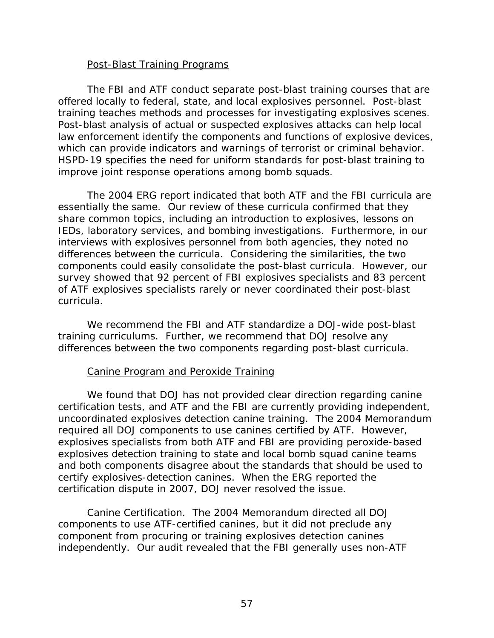#### Post-Blast Training Programs

The FBI and ATF conduct separate post-blast training courses that are offered locally to federal, state, and local explosives personnel. Post-blast training teaches methods and processes for investigating explosives scenes. Post-blast analysis of actual or suspected explosives attacks can help local law enforcement identify the components and functions of explosive devices, which can provide indicators and warnings of terrorist or criminal behavior. HSPD-19 specifies the need for uniform standards for post-blast training to improve joint response operations among bomb squads*.* 

The 2004 ERG report indicated that both ATF and the FBI curricula are essentially the same. Our review of these curricula confirmed that they share common topics, including an introduction to explosives, lessons on IEDs, laboratory services, and bombing investigations. Furthermore, in our interviews with explosives personnel from both agencies, they noted no differences between the curricula. Considering the similarities, the two components could easily consolidate the post-blast curricula. However, our survey showed that 92 percent of FBI explosives specialists and 83 percent of ATF explosives specialists rarely or never coordinated their post-blast curricula.

We recommend the FBI and ATF standardize a DOJ-wide post-blast training curriculums. Further, we recommend that DOJ resolve any differences between the two components regarding post-blast curricula.

#### Canine Program and Peroxide Training

We found that DOJ has not provided clear direction regarding canine certification tests, and ATF and the FBI are currently providing independent, uncoordinated explosives detection canine training. The 2004 Memorandum required all DOJ components to use canines certified by ATF. However, explosives specialists from both ATF and FBI are providing peroxide-based explosives detection training to state and local bomb squad canine teams and both components disagree about the standards that should be used to certify explosives-detection canines. When the ERG reported the certification dispute in 2007, DOJ never resolved the issue.

*Canine Certification*. The 2004 Memorandum directed all DOJ components to use ATF-certified canines, but it did not preclude any component from procuring or training explosives detection canines independently. Our audit revealed that the FBI generally uses non-ATF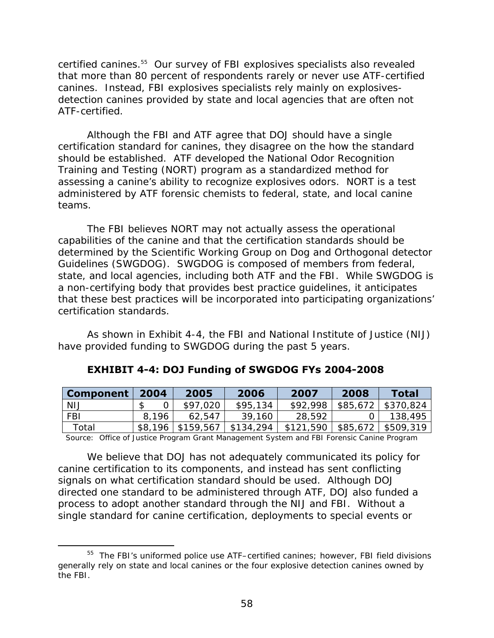certified canines.55 Our survey of FBI explosives specialists also revealed that more than 80 percent of respondents rarely or never use ATF-certified canines. Instead, FBI explosives specialists rely mainly on explosivesdetection canines provided by state and local agencies that are often not ATF-certified.

Although the FBI and ATF agree that DOJ should have a single certification standard for canines, they disagree on the how the standard should be established. ATF developed the National Odor Recognition Training and Testing (NORT) program as a standardized method for assessing a canine's ability to recognize explosives odors. NORT is a test administered by ATF forensic chemists to federal, state, and local canine teams.

The FBI believes NORT may not actually assess the operational capabilities of the canine and that the certification standards should be determined by the Scientific Working Group on Dog and Orthogonal detector Guidelines (SWGDOG). SWGDOG is composed of members from federal, state, and local agencies, including both ATF and the FBI. While SWGDOG is a non-certifying body that provides best practice guidelines, it anticipates that these best practices will be incorporated into participating organizations' certification standards.

As shown in Exhibit 4-4, the FBI and National Institute of Justice (NIJ) have provided funding to SWGDOG during the past 5 years.

| <b>Component</b> | 2004    | 2005      | 2006      | 2007      | 2008     | <b>Total</b> |
|------------------|---------|-----------|-----------|-----------|----------|--------------|
| <b>NIJ</b>       |         | \$97,020  | \$95,134  | \$92,998  | \$85,672 | \$370,824    |
| <b>FBI</b>       | 8.196   | 62.547    | 39,160    | 28,592    |          | 138,495      |
| Total            | \$8,196 | \$159,567 | \$134,294 | \$121,590 | \$85,672 | \$509,319    |

## **EXHIBIT 4-4: DOJ Funding of SWGDOG FYs 2004-2008**

Source: Office of Justice Program Grant Management System and FBI Forensic Canine Program

We believe that DOJ has not adequately communicated its policy for canine certification to its components, and instead has sent conflicting signals on what certification standard should be used. Although DOJ directed one standard to be administered through ATF, DOJ also funded a process to adopt another standard through the NIJ and FBI. Without a single standard for canine certification, deployments to special events or

 $\overline{a}$ 

<sup>&</sup>lt;sup>55</sup> The FBI's uniformed police use ATF-certified canines; however, FBI field divisions generally rely on state and local canines or the four explosive detection canines owned by the FBI.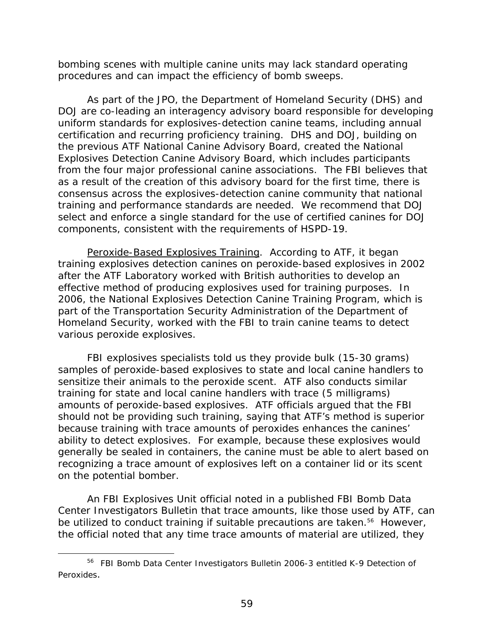bombing scenes with multiple canine units may lack standard operating procedures and can impact the efficiency of bomb sweeps.

As part of the JPO, the Department of Homeland Security (DHS) and DOJ are co-leading an interagency advisory board responsible for developing uniform standards for explosives-detection canine teams, including annual certification and recurring proficiency training. DHS and DOJ, building on the previous ATF National Canine Advisory Board, created the National Explosives Detection Canine Advisory Board, which includes participants from the four major professional canine associations. The FBI believes that as a result of the creation of this advisory board for the first time, there is consensus across the explosives-detection canine community that national training and performance standards are needed. We recommend that DOJ select and enforce a single standard for the use of certified canines for DOJ components, consistent with the requirements of HSPD-19.

various peroxide explosives. *Peroxide-Based Explosives Training*. According to ATF, it began training explosives detection canines on peroxide-based explosives in 2002 after the ATF Laboratory worked with British authorities to develop an effective method of producing explosives used for training purposes. In 2006, the National Explosives Detection Canine Training Program, which is part of the Transportation Security Administration of the Department of Homeland Security, worked with the FBI to train canine teams to detect

FBI explosives specialists told us they provide bulk (15-30 grams) samples of peroxide-based explosives to state and local canine handlers to sensitize their animals to the peroxide scent. ATF also conducts similar training for state and local canine handlers with trace (5 milligrams) amounts of peroxide-based explosives. ATF officials argued that the FBI should not be providing such training, saying that ATF's method is superior because training with trace amounts of peroxides enhances the canines' ability to detect explosives. For example, because these explosives would generally be sealed in containers, the canine must be able to alert based on recognizing a trace amount of explosives left on a container lid or its scent on the potential bomber.

An FBI Explosives Unit official noted in a published FBI Bomb Data Center Investigators Bulletin that trace amounts, like those used by ATF, can be utilized to conduct training if suitable precautions are taken.<sup>56</sup> However, the official noted that any time trace amounts of material are utilized, they

-

 56 FBI Bomb Data Center Investigators Bulletin 2006-3 entitled *K-9 Detection of Peroxides*.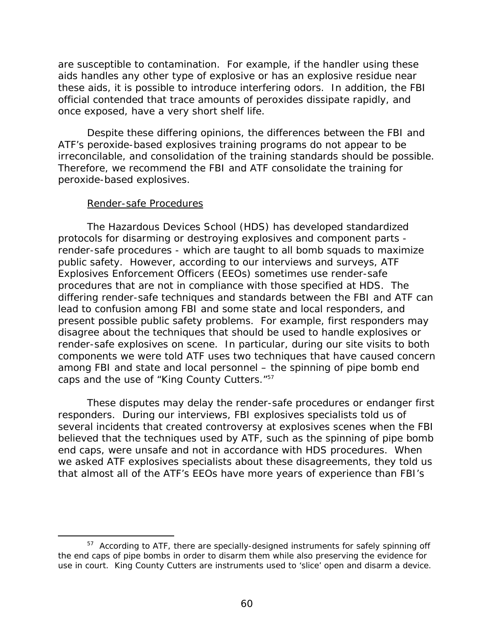are susceptible to contamination. For example, if the handler using these aids handles any other type of explosive or has an explosive residue near these aids, it is possible to introduce interfering odors. In addition, the FBI official contended that trace amounts of peroxides dissipate rapidly, and once exposed, have a very short shelf life.

Despite these differing opinions, the differences between the FBI and ATF's peroxide-based explosives training programs do not appear to be irreconcilable, and consolidation of the training standards should be possible. Therefore, we recommend the FBI and ATF consolidate the training for peroxide-based explosives.

#### Render-safe Procedures

 $\overline{a}$ 

caps and the use of "King County Cutters."<sup>57</sup> The Hazardous Devices School (HDS) has developed standardized protocols for disarming or destroying explosives and component parts render-safe procedures - which are taught to all bomb squads to maximize public safety. However, according to our interviews and surveys, ATF Explosives Enforcement Officers (EEOs) sometimes use render-safe procedures that are not in compliance with those specified at HDS. The differing render-safe techniques and standards between the FBI and ATF can lead to confusion among FBI and some state and local responders, and present possible public safety problems. For example, first responders may disagree about the techniques that should be used to handle explosives or render-safe explosives on scene. In particular, during our site visits to both components we were told ATF uses two techniques that have caused concern among FBI and state and local personnel – the spinning of pipe bomb end

These disputes may delay the render-safe procedures or endanger first responders. During our interviews, FBI explosives specialists told us of several incidents that created controversy at explosives scenes when the FBI believed that the techniques used by ATF, such as the spinning of pipe bomb end caps, were unsafe and not in accordance with HDS procedures. When we asked ATF explosives specialists about these disagreements, they told us that almost all of the ATF's EEOs have more years of experience than FBI's

 use in court. King County Cutters are instruments used to 'slice' open and disarm a device. <sup>57</sup> According to ATF, there are specially-designed instruments for safely spinning off the end caps of pipe bombs in order to disarm them while also preserving the evidence for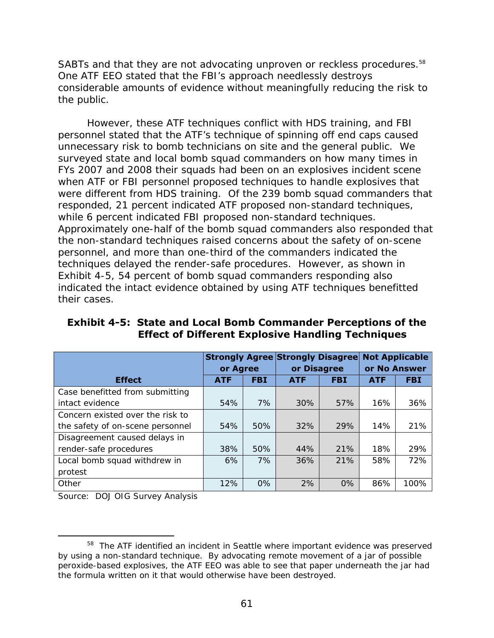SABTs and that they are not advocating unproven or reckless procedures.<sup>58</sup> One ATF EEO stated that the FBI's approach needlessly destroys considerable amounts of evidence without meaningfully reducing the risk to the public.

However, these ATF techniques conflict with HDS training, and FBI personnel stated that the ATF's technique of spinning off end caps caused unnecessary risk to bomb technicians on site and the general public. We surveyed state and local bomb squad commanders on how many times in FYs 2007 and 2008 their squads had been on an explosives incident scene when ATF or FBI personnel proposed techniques to handle explosives that were different from HDS training. Of the 239 bomb squad commanders that responded, 21 percent indicated ATF proposed non-standard techniques, while 6 percent indicated FBI proposed non-standard techniques. Approximately one-half of the bomb squad commanders also responded that the non-standard techniques raised concerns about the safety of on-scene personnel, and more than one-third of the commanders indicated the techniques delayed the render-safe procedures. However, as shown in Exhibit 4-5, 54 percent of bomb squad commanders responding also indicated the intact evidence obtained by using ATF techniques benefitted their cases.

|                                  | or Agree   |            | <b>Strongly Agree Strongly Disagree</b><br>or Disagree |            | <b>Not Applicable</b><br>or No Answer |            |
|----------------------------------|------------|------------|--------------------------------------------------------|------------|---------------------------------------|------------|
| <b>Effect</b>                    | <b>ATF</b> | <b>FBI</b> | <b>ATF</b>                                             | <b>FBI</b> | <b>ATF</b>                            | <b>FBI</b> |
| Case benefitted from submitting  |            |            |                                                        |            |                                       |            |
| intact evidence                  | 54%        | 7%         | 30%                                                    | 57%        | 16%                                   | 36%        |
| Concern existed over the risk to |            |            |                                                        |            |                                       |            |
| the safety of on-scene personnel | 54%        | 50%        | 32%                                                    | 29%        | 14%                                   | 21%        |
| Disagreement caused delays in    |            |            |                                                        |            |                                       |            |
| render-safe procedures           | 38%        | 50%        | 44%                                                    | 21%        | 18%                                   | 29%        |
| Local bomb squad withdrew in     | 6%         | 7%         | 36%                                                    | 21%        | 58%                                   | 72%        |
| protest                          |            |            |                                                        |            |                                       |            |
| Other                            | 12%        | $0\%$      | 2%                                                     | 0%         | 86%                                   | 100%       |

**Exhibit 4-5: State and Local Bomb Commander Perceptions of the Effect of Different Explosive Handling Techniques** 

Source: DOJ OIG Survey Analysis

 $\overline{a}$ 

<sup>&</sup>lt;sup>58</sup> The ATF identified an incident in Seattle where important evidence was preserved by using a non-standard technique. By advocating remote movement of a jar of possible peroxide-based explosives, the ATF EEO was able to see that paper underneath the jar had the formula written on it that would otherwise have been destroyed.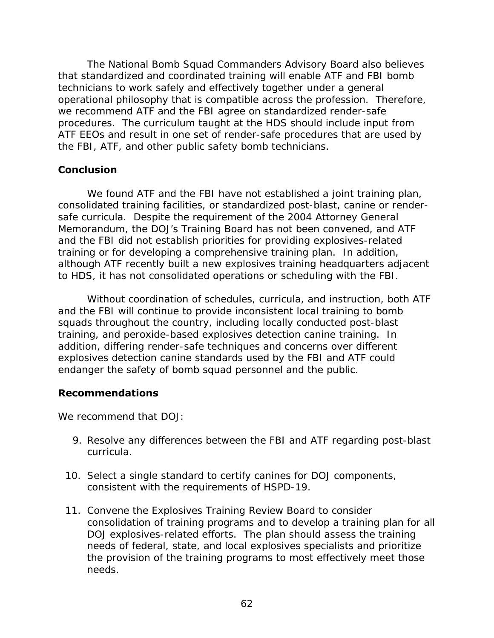The National Bomb Squad Commanders Advisory Board also believes that standardized and coordinated training will enable ATF and FBI bomb technicians to work safely and effectively together under a general operational philosophy that is compatible across the profession. Therefore, we recommend ATF and the FBI agree on standardized render-safe procedures. The curriculum taught at the HDS should include input from ATF EEOs and result in one set of render-safe procedures that are used by the FBI, ATF, and other public safety bomb technicians.

## **Conclusion**

We found ATF and the FBI have not established a joint training plan, consolidated training facilities, or standardized post-blast, canine or rendersafe curricula. Despite the requirement of the 2004 Attorney General Memorandum, the DOJ's Training Board has not been convened, and ATF and the FBI did not establish priorities for providing explosives-related training or for developing a comprehensive training plan. In addition, although ATF recently built a new explosives training headquarters adjacent to HDS, it has not consolidated operations or scheduling with the FBI.

Without coordination of schedules, curricula, and instruction, both ATF and the FBI will continue to provide inconsistent local training to bomb squads throughout the country, including locally conducted post-blast training, and peroxide-based explosives detection canine training. In addition, differing render-safe techniques and concerns over different explosives detection canine standards used by the FBI and ATF could endanger the safety of bomb squad personnel and the public.

## **Recommendations**

We recommend that DOJ:

- 9. Resolve any differences between the FBI and ATF regarding post-blast curricula.
- 10. Select a single standard to certify canines for DOJ components, consistent with the requirements of HSPD-19.
- 11. Convene the Explosives Training Review Board to consider consolidation of training programs and to develop a training plan for all DOJ explosives-related efforts. The plan should assess the training needs of federal, state, and local explosives specialists and prioritize the provision of the training programs to most effectively meet those needs.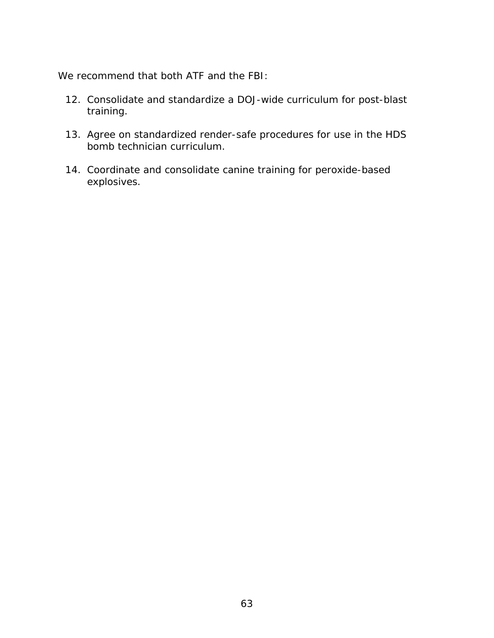We recommend that both ATF and the FBI:

- 12. Consolidate and standardize a DOJ-wide curriculum for post-blast training.
- 13. Agree on standardized render-safe procedures for use in the HDS bomb technician curriculum.
- 14. Coordinate and consolidate canine training for peroxide-based explosives.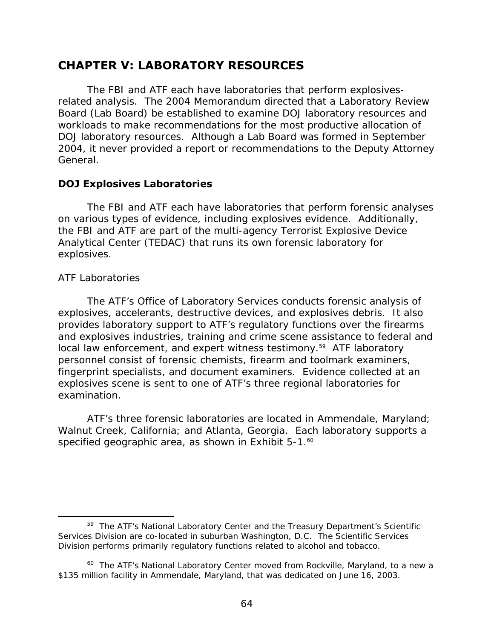# **CHAPTER V: LABORATORY RESOURCES**

The FBI and ATF each have laboratories that perform explosivesrelated analysis. The 2004 Memorandum directed that a Laboratory Review Board (Lab Board) be established to examine DOJ laboratory resources and workloads to make recommendations for the most productive allocation of DOJ laboratory resources. Although a Lab Board was formed in September 2004, it never provided a report or recommendations to the Deputy Attorney General.

## **DOJ Explosives Laboratories**

The FBI and ATF each have laboratories that perform forensic analyses on various types of evidence, including explosives evidence. Additionally, the FBI and ATF are part of the multi-agency Terrorist Explosive Device Analytical Center (TEDAC) that runs its own forensic laboratory for explosives.

#### *ATF Laboratories*

 $\overline{a}$ 

The ATF's Office of Laboratory Services conducts forensic analysis of explosives, accelerants, destructive devices, and explosives debris. It also provides laboratory support to ATF's regulatory functions over the firearms and explosives industries, training and crime scene assistance to federal and local law enforcement, and expert witness testimony.<sup>59</sup> ATF laboratory personnel consist of forensic chemists, firearm and toolmark examiners, fingerprint specialists, and document examiners. Evidence collected at an explosives scene is sent to one of ATF's three regional laboratories for examination.

specified geographic area, as shown in Exhibit 5-1.<sup>60</sup> ATF's three forensic laboratories are located in Ammendale, Maryland; Walnut Creek, California; and Atlanta, Georgia. Each laboratory supports a

<sup>&</sup>lt;sup>59</sup> The ATF's National Laboratory Center and the Treasury Department's Scientific Services Division are co-located in suburban Washington, D.C. The Scientific Services Division performs primarily regulatory functions related to alcohol and tobacco.

<sup>&</sup>lt;sup>60</sup> The ATF's National Laboratory Center moved from Rockville, Maryland, to a new a \$135 million facility in Ammendale, Maryland, that was dedicated on June 16, 2003.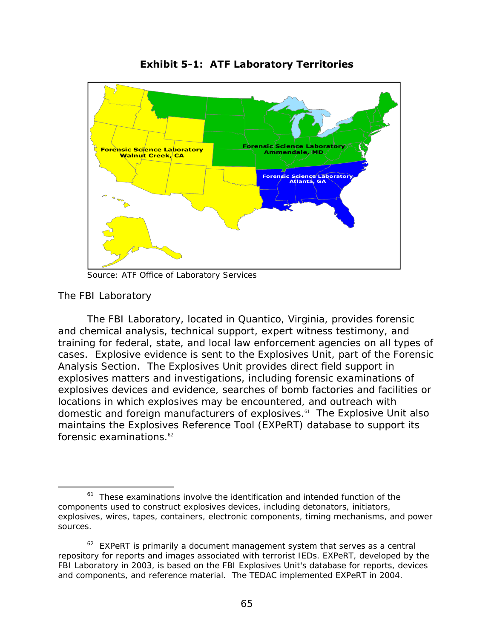

**Exhibit 5-1: ATF Laboratory Territories** 

Source: ATF Office of Laboratory Services

## *The FBI Laboratory*

 $\overline{a}$ 

forensic examinations. $62$ The FBI Laboratory, located in Quantico, Virginia, provides forensic and chemical analysis, technical support, expert witness testimony, and training for federal, state, and local law enforcement agencies on all types of cases. Explosive evidence is sent to the Explosives Unit, part of the Forensic Analysis Section. The Explosives Unit provides direct field support in explosives matters and investigations, including forensic examinations of explosives devices and evidence, searches of bomb factories and facilities or locations in which explosives may be encountered, and outreach with domestic and foreign manufacturers of explosives.61 The Explosive Unit also maintains the Explosives Reference Tool (EXPeRT) database to support its

 $61$  These examinations involve the identification and intended function of the components used to construct explosives devices, including detonators, initiators, explosives, wires, tapes, containers, electronic components, timing mechanisms, and power sources.

 $62$  EXPeRT is primarily a document management system that serves as a central repository for reports and images associated with terrorist IEDs. EXPeRT, developed by the FBI Laboratory in 2003, is based on the FBI Explosives Unit's database for reports, devices and components, and reference material. The TEDAC implemented EXPeRT in 2004.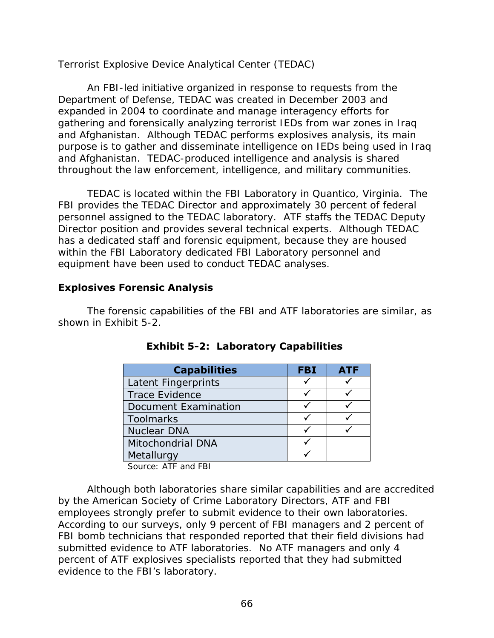## *Terrorist Explosive Device Analytical Center (TEDAC)*

An FBI-led initiative organized in response to requests from the Department of Defense, TEDAC was created in December 2003 and expanded in 2004 to coordinate and manage interagency efforts for gathering and forensically analyzing terrorist IEDs from war zones in Iraq and Afghanistan. Although TEDAC performs explosives analysis, its main purpose is to gather and disseminate intelligence on IEDs being used in Iraq and Afghanistan. TEDAC-produced intelligence and analysis is shared throughout the law enforcement, intelligence, and military communities.

TEDAC is located within the FBI Laboratory in Quantico, Virginia. The FBI provides the TEDAC Director and approximately 30 percent of federal personnel assigned to the TEDAC laboratory. ATF staffs the TEDAC Deputy Director position and provides several technical experts. Although TEDAC has a dedicated staff and forensic equipment, because they are housed within the FBI Laboratory dedicated FBI Laboratory personnel and equipment have been used to conduct TEDAC analyses.

## **Explosives Forensic Analysis**

The forensic capabilities of the FBI and ATF laboratories are similar, as shown in Exhibit 5-2.

| <b>Capabilities</b>                       | <b>FBI</b> | <b>ATF</b> |
|-------------------------------------------|------------|------------|
| Latent Fingerprints                       |            |            |
| <b>Trace Evidence</b>                     |            |            |
| Document Examination                      |            |            |
| <b>Toolmarks</b>                          |            |            |
| <b>Nuclear DNA</b>                        |            |            |
| <b>Mitochondrial DNA</b>                  |            |            |
| Metallurgy                                |            |            |
| $\sim$ $\sim$ $\sim$ $\sim$ $\sim$ $\sim$ |            |            |

|  |  | <b>Exhibit 5-2: Laboratory Capabilities</b> |
|--|--|---------------------------------------------|
|--|--|---------------------------------------------|

Source: ATF and FBI

Although both laboratories share similar capabilities and are accredited by the American Society of Crime Laboratory Directors, ATF and FBI employees strongly prefer to submit evidence to their own laboratories. According to our surveys, only 9 percent of FBI managers and 2 percent of FBI bomb technicians that responded reported that their field divisions had submitted evidence to ATF laboratories. No ATF managers and only 4 percent of ATF explosives specialists reported that they had submitted evidence to the FBI's laboratory.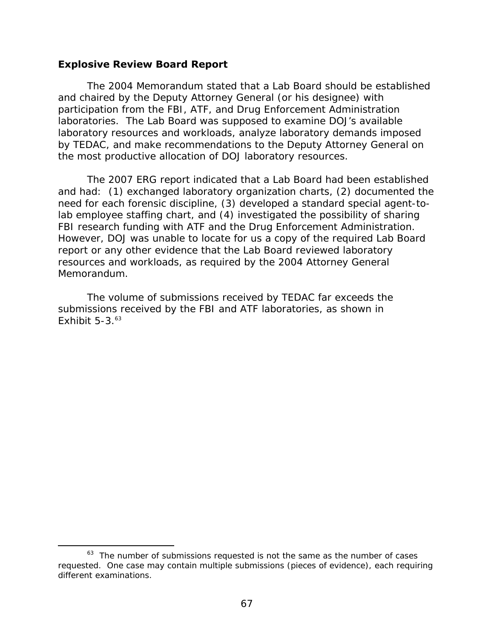#### **Explosive Review Board Report**

 $\overline{a}$ 

the most productive allocation of DOJ laboratory resources. The 2004 Memorandum stated that a Lab Board should be established and chaired by the Deputy Attorney General (or his designee) with participation from the FBI, ATF, and Drug Enforcement Administration laboratories. The Lab Board was supposed to examine DOJ's available laboratory resources and workloads, analyze laboratory demands imposed by TEDAC, and make recommendations to the Deputy Attorney General on

The 2007 ERG report indicated that a Lab Board had been established and had: (1) exchanged laboratory organization charts, (2) documented the need for each forensic discipline, (3) developed a standard special agent-tolab employee staffing chart, and (4) investigated the possibility of sharing FBI research funding with ATF and the Drug Enforcement Administration. However, DOJ was unable to locate for us a copy of the required Lab Board report or any other evidence that the Lab Board reviewed laboratory resources and workloads, as required by the 2004 Attorney General Memorandum.

Exhibit  $5-3.^{63}$ The volume of submissions received by TEDAC far exceeds the submissions received by the FBI and ATF laboratories, as shown in

 $63$  The number of submissions requested is not the same as the number of cases requested. One case may contain multiple submissions (pieces of evidence), each requiring different examinations.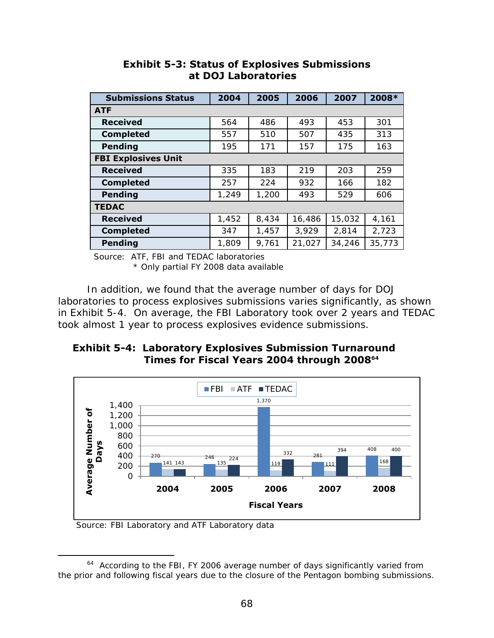| <b>Submissions Status</b>  | 2004  | 2005  | 2006   | 2007   | 2008*  |
|----------------------------|-------|-------|--------|--------|--------|
| <b>ATF</b>                 |       |       |        |        |        |
| <b>Received</b>            | 564   | 486   | 493    | 453    | 301    |
| <b>Completed</b>           | 557   | 510   | 507    | 435    | 313    |
| <b>Pending</b>             | 195   | 171   | 157    | 175    | 163    |
| <b>FBI Explosives Unit</b> |       |       |        |        |        |
| <b>Received</b>            | 335   | 183   | 219    | 203    | 259    |
| <b>Completed</b>           | 257   | 224   | 932    | 166    | 182    |
| <b>Pending</b>             | 1,249 | 1,200 | 493    | 529    | 606    |
| <b>TEDAC</b>               |       |       |        |        |        |
| <b>Received</b>            | 1,452 | 8,434 | 16,486 | 15,032 | 4,161  |
| <b>Completed</b>           | 347   | 1,457 | 3,929  | 2,814  | 2,723  |
| <b>Pending</b>             | 1,809 | 9,761 | 21,027 | 34,246 | 35,773 |

## **Exhibit 5-3: Status of Explosives Submissions at DOJ Laboratories**

Source: ATF, FBI and TEDAC laboratories

\* Only partial FY 2008 data available

In addition, we found that the average number of days for DOJ laboratories to process explosives submissions varies significantly, as shown in Exhibit 5-4. On average, the FBI Laboratory took over 2 years and TEDAC took almost 1 year to process explosives evidence submissions.

## **Exhibit 5-4: Laboratory Explosives Submission Turnaround Times for Fiscal Years 2004 through 200864**



Source: FBI Laboratory and ATF Laboratory data

 $\overline{a}$ 

<sup>&</sup>lt;sup>64</sup> According to the FBI, FY 2006 average number of days significantly varied from the prior and following fiscal years due to the closure of the Pentagon bombing submissions.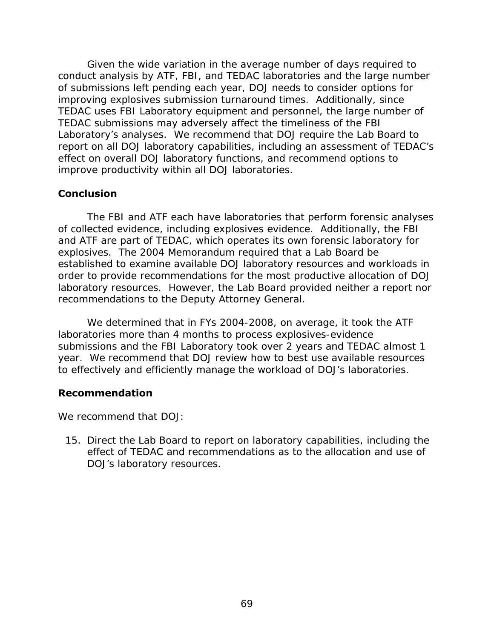Given the wide variation in the average number of days required to conduct analysis by ATF, FBI, and TEDAC laboratories and the large number of submissions left pending each year, DOJ needs to consider options for improving explosives submission turnaround times. Additionally, since TEDAC uses FBI Laboratory equipment and personnel, the large number of TEDAC submissions may adversely affect the timeliness of the FBI Laboratory's analyses. We recommend that DOJ require the Lab Board to report on all DOJ laboratory capabilities, including an assessment of TEDAC's effect on overall DOJ laboratory functions, and recommend options to improve productivity within all DOJ laboratories.

## **Conclusion**

The FBI and ATF each have laboratories that perform forensic analyses of collected evidence, including explosives evidence. Additionally, the FBI and ATF are part of TEDAC, which operates its own forensic laboratory for explosives. The 2004 Memorandum required that a Lab Board be established to examine available DOJ laboratory resources and workloads in order to provide recommendations for the most productive allocation of DOJ laboratory resources. However, the Lab Board provided neither a report nor recommendations to the Deputy Attorney General.

We determined that in FYs 2004-2008, on average, it took the ATF laboratories more than 4 months to process explosives-evidence submissions and the FBI Laboratory took over 2 years and TEDAC almost 1 year. We recommend that DOJ review how to best use available resources to effectively and efficiently manage the workload of DOJ's laboratories.

## **Recommendation**

We recommend that DOJ:

15. Direct the Lab Board to report on laboratory capabilities, including the effect of TEDAC and recommendations as to the allocation and use of DOJ's laboratory resources.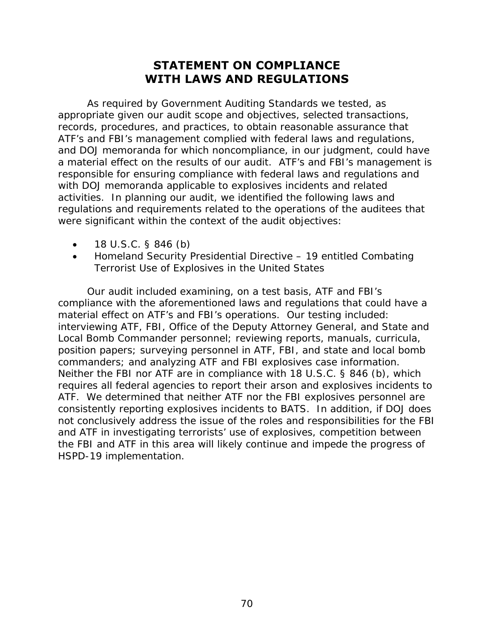# **STATEMENT ON COMPLIANCE WITH LAWS AND REGULATIONS**

As required by *Government Auditing Standards* we tested, as appropriate given our audit scope and objectives, selected transactions, records, procedures, and practices, to obtain reasonable assurance that ATF's and FBI's management complied with federal laws and regulations, and DOJ memoranda for which noncompliance, in our judgment, could have a material effect on the results of our audit. ATF's and FBI's management is responsible for ensuring compliance with federal laws and regulations and with DOJ memoranda applicable to explosives incidents and related activities. In planning our audit, we identified the following laws and regulations and requirements related to the operations of the auditees that were significant within the context of the audit objectives:

- $\bullet$  18 U.S.C. § 846 (b)
- • Homeland Security Presidential Directive 19 entitled *Combating Terrorist Use of Explosives in the United States*

Our audit included examining, on a test basis, ATF and FBI's compliance with the aforementioned laws and regulations that could have a material effect on ATF's and FBI's operations. Our testing included: interviewing ATF, FBI, Office of the Deputy Attorney General, and State and Local Bomb Commander personnel; reviewing reports, manuals, curricula, position papers; surveying personnel in ATF, FBI, and state and local bomb commanders; and analyzing ATF and FBI explosives case information. Neither the FBI nor ATF are in compliance with 18 U.S.C. § 846 (b), which requires all federal agencies to report their arson and explosives incidents to ATF. We determined that neither ATF nor the FBI explosives personnel are consistently reporting explosives incidents to BATS. In addition, if DOJ does not conclusively address the issue of the roles and responsibilities for the FBI and ATF in investigating terrorists' use of explosives, competition between the FBI and ATF in this area will likely continue and impede the progress of HSPD-19 implementation.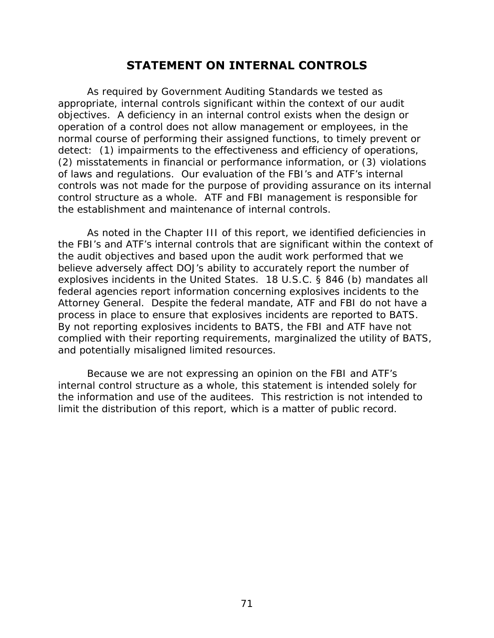## **STATEMENT ON INTERNAL CONTROLS**

As required by *Government Auditing Standards* we tested as appropriate, internal controls significant within the context of our audit objectives. A deficiency in an internal control exists when the design or operation of a control does not allow management or employees, in the normal course of performing their assigned functions, to timely prevent or detect: (1) impairments to the effectiveness and efficiency of operations, (2) misstatements in financial or performance information, or (3) violations of laws and regulations. Our evaluation of the FBI's and ATF's internal controls was *not* made for the purpose of providing assurance on its internal control structure as a whole. ATF and FBI management is responsible for the establishment and maintenance of internal controls.

As noted in the Chapter III of this report, we identified deficiencies in the FBI's and ATF's internal controls that are significant within the context of the audit objectives and based upon the audit work performed that we believe adversely affect DOJ's ability to accurately report the number of explosives incidents in the United States. 18 U.S.C. § 846 (b) mandates all federal agencies report information concerning explosives incidents to the Attorney General. Despite the federal mandate, ATF and FBI do not have a process in place to ensure that explosives incidents are reported to BATS. By not reporting explosives incidents to BATS, the FBI and ATF have not complied with their reporting requirements, marginalized the utility of BATS, and potentially misaligned limited resources.

Because we are not expressing an opinion on the FBI and ATF's internal control structure as a whole, this statement is intended solely for the information and use of the auditees. This restriction is not intended to limit the distribution of this report, which is a matter of public record.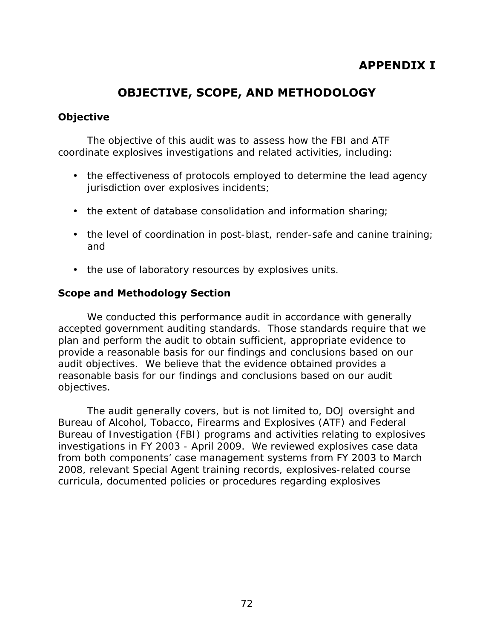# **APPENDIX I**

# **OBJECTIVE, SCOPE, AND METHODOLOGY**

## **Objective**

The objective of this audit was to assess how the FBI and ATF coordinate explosives investigations and related activities, including:

- the effectiveness of protocols employed to determine the lead agency jurisdiction over explosives incidents;
- the extent of database consolidation and information sharing;
- the level of coordination in post-blast, render-safe and canine training; and
- the use of laboratory resources by explosives units.

## **Scope and Methodology Section**

We conducted this performance audit in accordance with generally accepted government auditing standards. Those standards require that we plan and perform the audit to obtain sufficient, appropriate evidence to provide a reasonable basis for our findings and conclusions based on our audit objectives. We believe that the evidence obtained provides a reasonable basis for our findings and conclusions based on our audit objectives.

The audit generally covers, but is not limited to, DOJ oversight and Bureau of Alcohol, Tobacco, Firearms and Explosives (ATF) and Federal Bureau of Investigation (FBI) programs and activities relating to explosives investigations in FY 2003 - April 2009. We reviewed explosives case data from both components' case management systems from FY 2003 to March 2008, relevant Special Agent training records, explosives-related course curricula, documented policies or procedures regarding explosives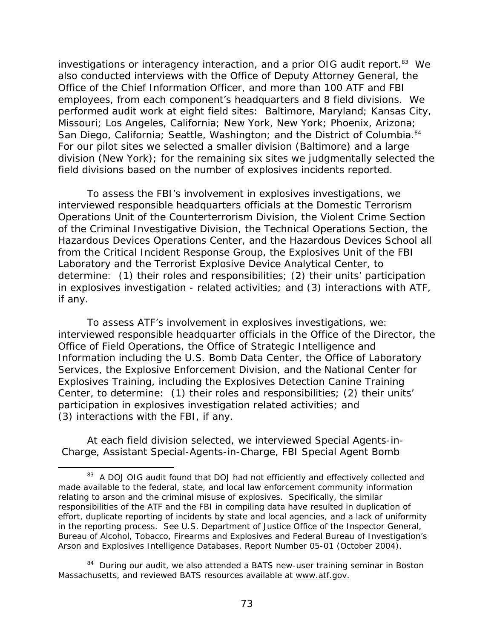San Diego, California; Seattle, Washington; and the District of Columbia.<sup>84</sup> investigations or interagency interaction, and a prior OIG audit report.<sup>83</sup> We also conducted interviews with the Office of Deputy Attorney General, the Office of the Chief Information Officer, and more than 100 ATF and FBI employees, from each component's headquarters and 8 field divisions. We performed audit work at eight field sites: Baltimore, Maryland; Kansas City, Missouri; Los Angeles, California; New York, New York; Phoenix, Arizona; For our pilot sites we selected a smaller division (Baltimore) and a large division (New York); for the remaining six sites we judgmentally selected the field divisions based on the number of explosives incidents reported.

To assess the FBI's involvement in explosives investigations, we interviewed responsible headquarters officials at the Domestic Terrorism Operations Unit of the Counterterrorism Division, the Violent Crime Section of the Criminal Investigative Division, the Technical Operations Section, the Hazardous Devices Operations Center, and the Hazardous Devices School all from the Critical Incident Response Group, the Explosives Unit of the FBI Laboratory and the Terrorist Explosive Device Analytical Center, to determine: (1) their roles and responsibilities; (2) their units' participation in explosives investigation - related activities; and (3) interactions with ATF, if any.

To assess ATF's involvement in explosives investigations, we: interviewed responsible headquarter officials in the Office of the Director, the Office of Field Operations, the Office of Strategic Intelligence and Information including the U.S. Bomb Data Center, the Office of Laboratory Services, the Explosive Enforcement Division, and the National Center for Explosives Training, including the Explosives Detection Canine Training Center, to determine: (1) their roles and responsibilities; (2) their units' participation in explosives investigation related activities; and (3) interactions with the FBI, if any.

At each field division selected, we interviewed Special Agents-in-Charge, Assistant Special-Agents-in-Charge, FBI Special Agent Bomb

 $\overline{a}$ 

 relating to arson and the criminal misuse of explosives. Specifically, the similar <sup>83</sup> A DOJ OIG audit found that DOJ had not efficiently and effectively collected and made available to the federal, state, and local law enforcement community information responsibilities of the ATF and the FBI in compiling data have resulted in duplication of effort, duplicate reporting of incidents by state and local agencies, and a lack of uniformity in the reporting process. See U.S. Department of Justice Office of the Inspector General, *Bureau of Alcohol, Tobacco, Firearms and Explosives and Federal Bureau of Investigation's Arson and Explosives Intelligence Databases, Report Number 05-01 (October 2004)*.

<sup>&</sup>lt;sup>84</sup> During our audit, we also attended a BATS new-user training seminar in Boston Massachusetts, and reviewed BATS resources available at www.atf.gov.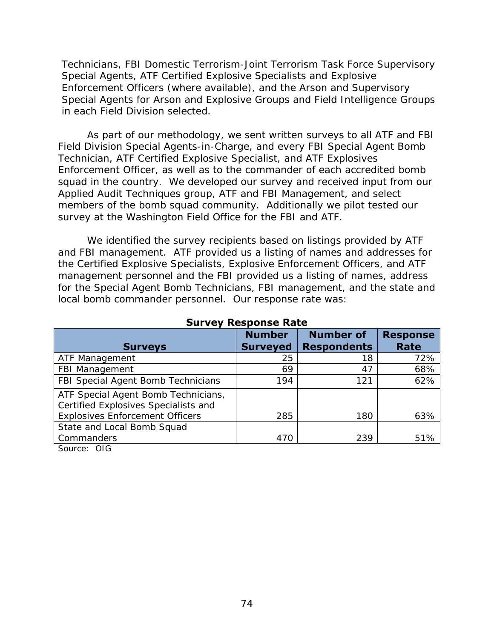Technicians, FBI Domestic Terrorism-Joint Terrorism Task Force Supervisory Special Agents, ATF Certified Explosive Specialists and Explosive Enforcement Officers (where available), and the Arson and Supervisory Special Agents for Arson and Explosive Groups and Field Intelligence Groups in each Field Division selected.

As part of our methodology, we sent written surveys to all ATF and FBI Field Division Special Agents-in-Charge, and every FBI Special Agent Bomb Technician, ATF Certified Explosive Specialist, and ATF Explosives Enforcement Officer, as well as to the commander of each accredited bomb squad in the country. We developed our survey and received input from our Applied Audit Techniques group, ATF and FBI Management, and select members of the bomb squad community. Additionally we pilot tested our survey at the Washington Field Office for the FBI and ATF.

We identified the survey recipients based on listings provided by ATF and FBI management. ATF provided us a listing of names and addresses for the Certified Explosive Specialists, Explosive Enforcement Officers, and ATF management personnel and the FBI provided us a listing of names, address for the Special Agent Bomb Technicians, FBI management, and the state and local bomb commander personnel. Our response rate was:

| <b>Surveys</b>                                                              | <b>Number</b><br><b>Surveyed</b> | <b>Number of</b><br><b>Respondents</b> | <b>Response</b><br>Rate |
|-----------------------------------------------------------------------------|----------------------------------|----------------------------------------|-------------------------|
| ATF Management                                                              | 25                               | 18                                     | 72%                     |
| FBI Management                                                              | 69                               | 47                                     | 68%                     |
| FBI Special Agent Bomb Technicians                                          | 194                              | 121                                    | 62%                     |
| ATF Special Agent Bomb Technicians,<br>Certified Explosives Specialists and |                                  |                                        |                         |
| <b>Explosives Enforcement Officers</b>                                      | 285                              | 180                                    | 63%                     |
| State and Local Bomb Squad                                                  |                                  |                                        |                         |
| Commanders                                                                  | 470                              | 239                                    | 51%                     |
| $\sim$ $\sim$ $\sim$                                                        |                                  |                                        |                         |

#### **Survey Response Rate**

Source: OIG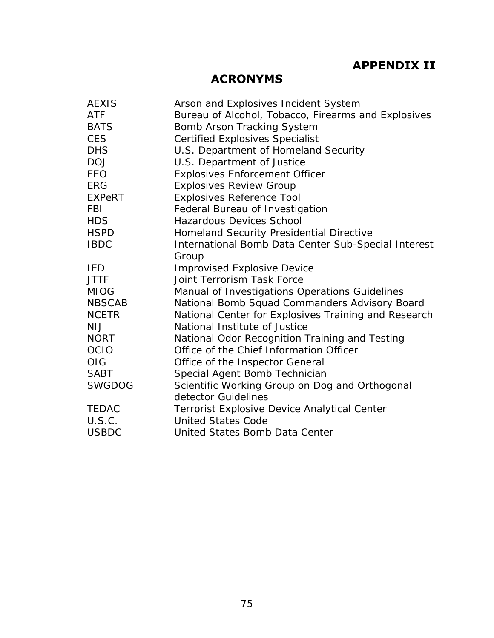# **APPENDIX II**

# **ACRONYMS**

| <b>AEXIS</b>  | Arson and Explosives Incident System                 |
|---------------|------------------------------------------------------|
| <b>ATF</b>    | Bureau of Alcohol, Tobacco, Firearms and Explosives  |
| <b>BATS</b>   | Bomb Arson Tracking System                           |
| <b>CES</b>    | <b>Certified Explosives Specialist</b>               |
| <b>DHS</b>    | U.S. Department of Homeland Security                 |
| <b>DOJ</b>    | U.S. Department of Justice                           |
| <b>EEO</b>    | <b>Explosives Enforcement Officer</b>                |
| <b>ERG</b>    | <b>Explosives Review Group</b>                       |
| EXPeRT        | <b>Explosives Reference Tool</b>                     |
| <b>FBI</b>    | Federal Bureau of Investigation                      |
| <b>HDS</b>    | <b>Hazardous Devices School</b>                      |
| <b>HSPD</b>   | Homeland Security Presidential Directive             |
| <b>IBDC</b>   | International Bomb Data Center Sub-Special Interest  |
|               | Group                                                |
| IED           | <b>Improvised Explosive Device</b>                   |
| <b>JTTF</b>   | <b>Joint Terrorism Task Force</b>                    |
| <b>MIOG</b>   | Manual of Investigations Operations Guidelines       |
| NBSCAB        | National Bomb Squad Commanders Advisory Board        |
| <b>NCETR</b>  | National Center for Explosives Training and Research |
| <b>NIJ</b>    | National Institute of Justice                        |
| <b>NORT</b>   | National Odor Recognition Training and Testing       |
| <b>OCIO</b>   | Office of the Chief Information Officer              |
| OIG           | Office of the Inspector General                      |
| <b>SABT</b>   | Special Agent Bomb Technician                        |
| <b>SWGDOG</b> | Scientific Working Group on Dog and Orthogonal       |
|               | detector Guidelines                                  |
| <b>TEDAC</b>  | <b>Terrorist Explosive Device Analytical Center</b>  |
| U.S.C.        | <b>United States Code</b>                            |
| <b>USBDC</b>  | United States Bomb Data Center                       |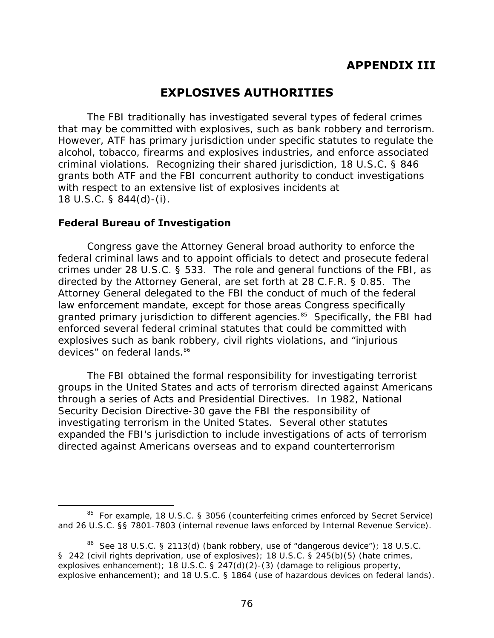# **EXPLOSIVES AUTHORITIES**

that may be committed with explosives, such as bank robbery and terrorism. The FBI traditionally has investigated several types of federal crimes However, ATF has primary jurisdiction under specific statutes to regulate the alcohol, tobacco, firearms and explosives industries, and enforce associated criminal violations. Recognizing their shared jurisdiction, 18 U.S.C. § 846 grants both ATF and the FBI concurrent authority to conduct investigations with respect to an extensive list of explosives incidents at 18 U.S.C. § 844(d)-(i).

## **Federal Bureau of Investigation**

Congress gave the Attorney General broad authority to enforce the federal criminal laws and to appoint officials to detect and prosecute federal crimes under 28 U.S.C. § 533. The role and general functions of the FBI, as directed by the Attorney General, are set forth at 28 C.F.R. § 0.85. The Attorney General delegated to the FBI the conduct of much of the federal law enforcement mandate, except for those areas Congress specifically granted primary jurisdiction to different agencies.<sup>85</sup> Specifically, the FBI had enforced several federal criminal statutes that could be committed with explosives such as bank robbery, civil rights violations, and "injurious devices" on federal lands.<sup>86</sup>

The FBI obtained the formal responsibility for investigating terrorist groups in the United States and acts of terrorism directed against Americans through a series of Acts and Presidential Directives. In 1982, National Security Decision Directive-30 gave the FBI the responsibility of investigating terrorism in the United States. Several other statutes expanded the FBI's jurisdiction to include investigations of acts of terrorism directed against Americans overseas and to expand counterterrorism

 $\overline{a}$ <sup>85</sup> For example, 18 U.S.C. § 3056 (counterfeiting crimes enforced by Secret Service) and 26 U.S.C. §§ 7801-7803 (internal revenue laws enforced by Internal Revenue Service).

<sup>&</sup>lt;sup>86</sup> See 18 U.S.C. § 2113(d) (bank robbery, use of "dangerous device"); 18 U.S.C.<br>§ 242 (civil rights deprivation, use of explosives); 18 U.S.C. § 245(b)(5) (hate crimes, explosive enhancement); and 18 U.S.C. § 1864 (use of hazardous devices on federal lands).<br>76 explosives enhancement); 18 U.S.C. § 247(d)(2)-(3) (damage to religious property,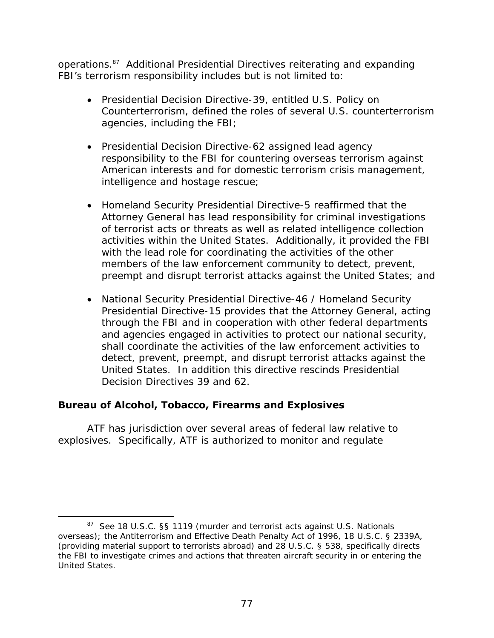operations.87 Additional Presidential Directives reiterating and expanding FBI's terrorism responsibility includes but is not limited to:

- • Presidential Decision Directive-39, entitled *U.S. Policy on Counterterrorism*, defined the roles of several U.S. counterterrorism agencies, including the FBI;
- Presidential Decision Directive-62 assigned lead agency responsibility to the FBI for countering overseas terrorism against American interests and for domestic terrorism crisis management, intelligence and hostage rescue;
- Homeland Security Presidential Directive-5 reaffirmed that the Attorney General has lead responsibility for criminal investigations of terrorist acts or threats as well as related intelligence collection activities within the United States. Additionally, it provided the FBI with the lead role for coordinating the activities of the other members of the law enforcement community to detect, prevent, preempt and disrupt terrorist attacks against the United States; and
- National Security Presidential Directive-46 / Homeland Security Presidential Directive-15 provides that the Attorney General, acting through the FBI and in cooperation with other federal departments and agencies engaged in activities to protect our national security, shall coordinate the activities of the law enforcement activities to detect, prevent, preempt, and disrupt terrorist attacks against the United States. In addition this directive rescinds Presidential Decision Directives 39 and 62.

## **Bureau of Alcohol, Tobacco, Firearms and Explosives**

 $\overline{a}$ 

ATF has jurisdiction over several areas of federal law relative to explosives. Specifically, ATF is authorized to monitor and regulate

<sup>87</sup> See 18 U.S.C. §§ 1119 (murder and terrorist acts against U.S. Nationals overseas); the Antiterrorism and Effective Death Penalty Act of 1996, 18 U.S.C. § 2339A, (providing material support to terrorists abroad) and 28 U.S.C. § 538, specifically directs the FBI to investigate crimes and actions that threaten aircraft security in or entering the United States.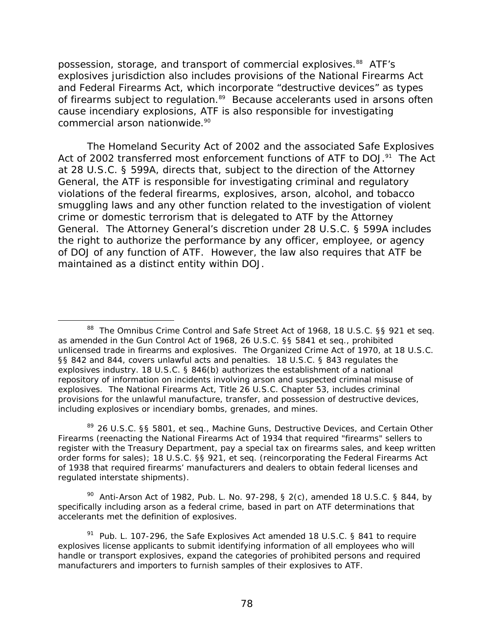commercial arson nationwide.<sup>90</sup> possession, storage, and transport of commercial explosives.<sup>88</sup> ATF's explosives jurisdiction also includes provisions of the National Firearms Act and Federal Firearms Act, which incorporate "destructive devices" as types of firearms subject to regulation.<sup>89</sup> Because accelerants used in arsons often cause incendiary explosions, ATF is also responsible for investigating

The Homeland Security Act of 2002 and the associated Safe Explosives Act of 2002 transferred most enforcement functions of ATF to DOJ.<sup>91</sup> The Act at 28 U.S.C. § 599A, directs that, subject to the direction of the Attorney General, the ATF is responsible for investigating criminal and regulatory violations of the federal firearms, explosives, arson, alcohol, and tobacco smuggling laws and any other function related to the investigation of violent crime or domestic terrorism that is delegated to ATF by the Attorney General. The Attorney General's discretion under 28 U.S.C. § 599A includes the right to authorize the performance by any officer, employee, or agency of DOJ of any function of ATF. However, the law also requires that ATF be maintained as a distinct entity within DOJ.

 $\overline{a}$ 

89 26 U.S.C. §§ 5801, et seq., *Machine Guns, Destructive Devices, and Certain Other Firearms* (reenacting the *National Firearms Act of 1934* that required "firearms" sellers to register with the Treasury Department, pay a special tax on firearms sales, and keep written order forms for sales); 18 U.S.C. §§ 921, et seq. (reincorporating the *Federal Firearms Act of 1938* that required firearms' manufacturers and dealers to obtain federal licenses and regulated interstate shipments).

 <sup>90</sup>*Anti-Arson Act of 1982*, Pub. L. No. 97-298, § 2(c), amended 18 U.S.C. § 844, by specifically including arson as a federal crime, based in part on ATF determinations that accelerants met the definition of explosives.

 including explosives or incendiary bombs, grenades, and mines. 88 The Omnibus Crime Control and Safe Street Act of 1968, 18 U.S.C. §§ 921 et seq. as amended in the Gun Control Act of 1968, 26 U.S.C. §§ 5841 et seq., prohibited unlicensed trade in firearms and explosives. The Organized Crime Act of 1970, at 18 U.S.C. §§ 842 and 844, covers unlawful acts and penalties. 18 U.S.C. § 843 regulates the explosives industry. 18 U.S.C. § 846(b) authorizes the establishment of a national repository of information on incidents involving arson and suspected criminal misuse of explosives. The National Firearms Act, Title 26 U.S.C. Chapter 53, includes criminal provisions for the unlawful manufacture, transfer, and possession of destructive devices,

manufacturers and importers to furnish samples of their explosives to ATF.<br>78 91 Pub. L. 107-296, the *Safe Explosives Act* amended 18 U.S.C. § 841 to require explosives license applicants to submit identifying information of all employees who will handle or transport explosives, expand the categories of prohibited persons and required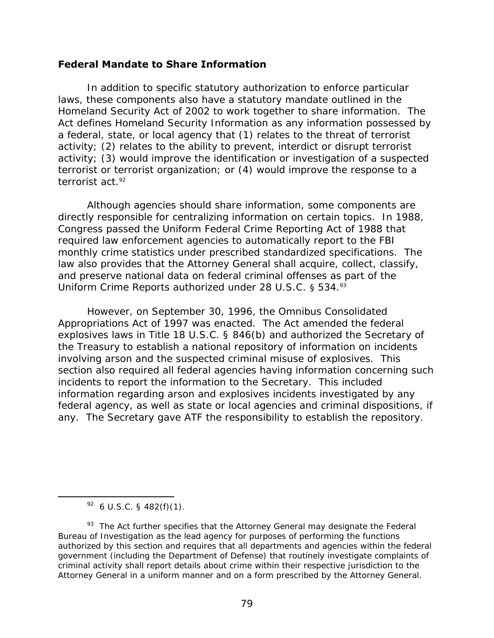#### **Federal Mandate to Share Information**

terrorist act.<sup>92</sup> In addition to specific statutory authorization to enforce particular laws, these components also have a statutory mandate outlined in the Homeland Security Act of 2002 to work together to share information. The Act defines Homeland Security Information as any information possessed by a federal, state, or local agency that (1) relates to the threat of terrorist activity; (2) relates to the ability to prevent, interdict or disrupt terrorist activity; (3) would improve the identification or investigation of a suspected terrorist or terrorist organization; or (4) would improve the response to a

Uniform Crime Reports authorized under 28 U.S.C. § 534.93 Although agencies should share information, some components are directly responsible for centralizing information on certain topics. In 1988, Congress passed the Uniform Federal Crime Reporting Act of 1988 that required law enforcement agencies to automatically report to the FBI monthly crime statistics under prescribed standardized specifications. The law also provides that the Attorney General shall acquire, collect, classify, and preserve national data on federal criminal offenses as part of the

However, on September 30, 1996, the Omnibus Consolidated Appropriations Act of 1997 was enacted. The Act amended the federal explosives laws in Title 18 U.S.C. § 846(b) and authorized the Secretary of the Treasury to establish a national repository of information on incidents involving arson and the suspected criminal misuse of explosives. This section also required all federal agencies having information concerning such incidents to report the information to the Secretary. This included information regarding arson and explosives incidents investigated by any federal agency, as well as state or local agencies and criminal dispositions, if any. The Secretary gave ATF the responsibility to establish the repository.

 $92$  6 U.S.C. § 482(f)(1).

 $\overline{a}$ 

 $93$  The Act further specifies that the Attorney General may designate the Federal Bureau of Investigation as the lead agency for purposes of performing the functions authorized by this section and requires that all departments and agencies within the federal government (including the Department of Defense) that routinely investigate complaints of criminal activity shall report details about crime within their respective jurisdiction to the Attorney General in a uniform manner and on a form prescribed by the Attorney General.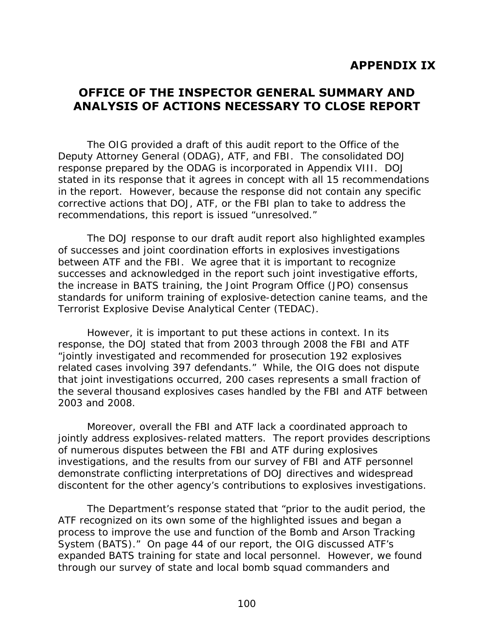# **OFFICE OF THE INSPECTOR GENERAL SUMMARY AND ANALYSIS OF ACTIONS NECESSARY TO CLOSE REPORT**

The OIG provided a draft of this audit report to the Office of the Deputy Attorney General (ODAG), ATF, and FBI. The consolidated DOJ response prepared by the ODAG is incorporated in Appendix VIII. DOJ stated in its response that it agrees *in concept* with all 15 recommendations in the report. However, because the response did not contain any specific corrective actions that DOJ, ATF, or the FBI plan to take to address the recommendations, this report is issued "unresolved."

The DOJ response to our draft audit report also highlighted examples of successes and joint coordination efforts in explosives investigations between ATF and the FBI. We agree that it is important to recognize successes and acknowledged in the report such joint investigative efforts, the increase in BATS training, the Joint Program Office (JPO) consensus standards for uniform training of explosive-detection canine teams, and the Terrorist Explosive Devise Analytical Center (TEDAC).

However, it is important to put these actions in context. In its response, the DOJ stated that from 2003 through 2008 the FBI and ATF "jointly investigated and recommended for prosecution 192 explosives related cases involving 397 defendants." While, the OIG does not dispute that joint investigations occurred, 200 cases represents a small fraction of the several thousand explosives cases handled by the FBI and ATF between 2003 and 2008.

Moreover, overall the FBI and ATF lack a coordinated approach to jointly address explosives-related matters. The report provides descriptions of numerous disputes between the FBI and ATF during explosives investigations, and the results from our survey of FBI and ATF personnel demonstrate conflicting interpretations of DOJ directives and widespread discontent for the other agency's contributions to explosives investigations.

The Department's response stated that "prior to the audit period, the ATF recognized on its own some of the highlighted issues and began a process to improve the use and function of the Bomb and Arson Tracking System (BATS)." On page 44 of our report, the OIG discussed ATF's expanded BATS training for state and local personnel. However, we found through our survey of state and local bomb squad commanders and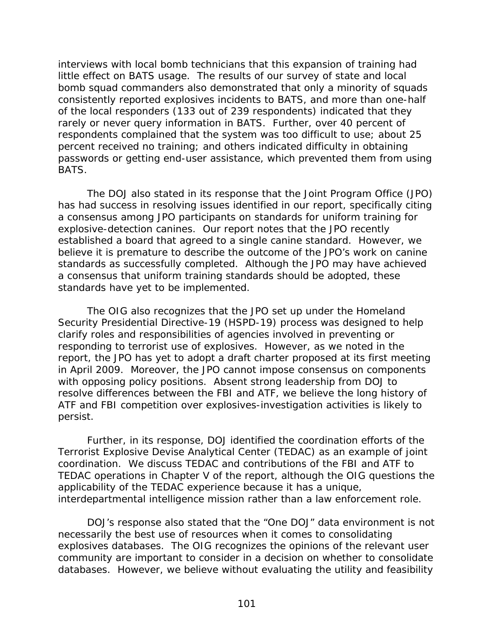interviews with local bomb technicians that this expansion of training had little effect on BATS usage. The results of our survey of state and local bomb squad commanders also demonstrated that only a minority of squads consistently reported explosives incidents to BATS, and more than one-half of the local responders (133 out of 239 respondents) indicated that they rarely or never query information in BATS. Further, over 40 percent of respondents complained that the system was too difficult to use; about 25 percent received no training; and others indicated difficulty in obtaining passwords or getting end-user assistance, which prevented them from using BATS.

 standards have yet to be implemented. The DOJ also stated in its response that the Joint Program Office (JPO) has had success in resolving issues identified in our report, specifically citing a consensus among JPO participants on standards for uniform training for explosive-detection canines. Our report notes that the JPO recently established a board that agreed to a single canine standard. However, we believe it is premature to describe the outcome of the JPO's work on canine standards as successfully completed. Although the JPO may have achieved a consensus that uniform training standards should be adopted, these

The OIG also recognizes that the JPO set up under the Homeland Security Presidential Directive-19 (HSPD-19) process was designed to help clarify roles and responsibilities of agencies involved in preventing or responding to terrorist use of explosives. However, as we noted in the report, the JPO has yet to adopt a draft charter proposed at its first meeting in April 2009. Moreover, the JPO cannot impose consensus on components with opposing policy positions. Absent strong leadership from DOJ to resolve differences between the FBI and ATF, we believe the long history of ATF and FBI competition over explosives-investigation activities is likely to persist.

Further, in its response, DOJ identified the coordination efforts of the Terrorist Explosive Devise Analytical Center (TEDAC) as an example of joint coordination. We discuss TEDAC and contributions of the FBI and ATF to TEDAC operations in Chapter V of the report, although the OIG questions the applicability of the TEDAC experience because it has a unique, interdepartmental intelligence mission rather than a law enforcement role.

DOJ's response also stated that the "One DOJ" data environment is not necessarily the best use of resources when it comes to consolidating explosives databases. The OIG recognizes the opinions of the relevant user community are important to consider in a decision on whether to consolidate databases. However, we believe without evaluating the utility and feasibility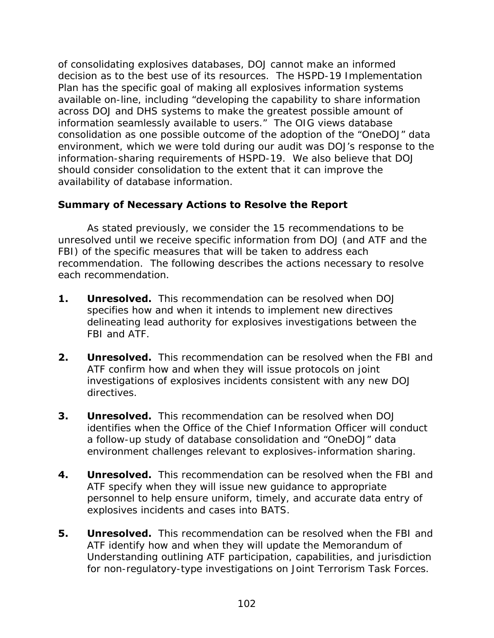of consolidating explosives databases, DOJ cannot make an informed decision as to the best use of its resources. The HSPD-19 Implementation Plan has the specific goal of making all explosives information systems available on-line, including "developing the capability to share information across DOJ and DHS systems to make the greatest possible amount of information seamlessly available to users." The OIG views database consolidation as one possible outcome of the adoption of the "OneDOJ" data environment, which we were told during our audit was DOJ's response to the information-sharing requirements of HSPD-19. We also believe that DOJ should consider consolidation to the extent that it can improve the availability of database information.

## **Summary of Necessary Actions to Resolve the Report**

As stated previously, we consider the 15 recommendations to be unresolved until we receive specific information from DOJ (and ATF and the FBI) of the specific measures that will be taken to address each recommendation. The following describes the actions necessary to resolve each recommendation.

- **1. Unresolved.** This recommendation can be resolved when DOJ specifies how and when it intends to implement new directives delineating lead authority for explosives investigations between the FBI and ATF.
- **2. Unresolved.** This recommendation can be resolved when the FBI and ATF confirm how and when they will issue protocols on joint investigations of explosives incidents consistent with any new DOJ directives.
- **3. Unresolved.** This recommendation can be resolved when DOJ identifies when the Office of the Chief Information Officer will conduct a follow-up study of database consolidation and "OneDOJ" data environment challenges relevant to explosives-information sharing.
- **4. Unresolved.** This recommendation can be resolved when the FBI and ATF specify when they will issue new guidance to appropriate personnel to help ensure uniform, timely, and accurate data entry of explosives incidents and cases into BATS.
- for non-regulatory-type investigations on Joint Terrorism Task Forces. 102 **5. Unresolved.** This recommendation can be resolved when the FBI and ATF identify how and when they will update the Memorandum of Understanding outlining ATF participation, capabilities, and jurisdiction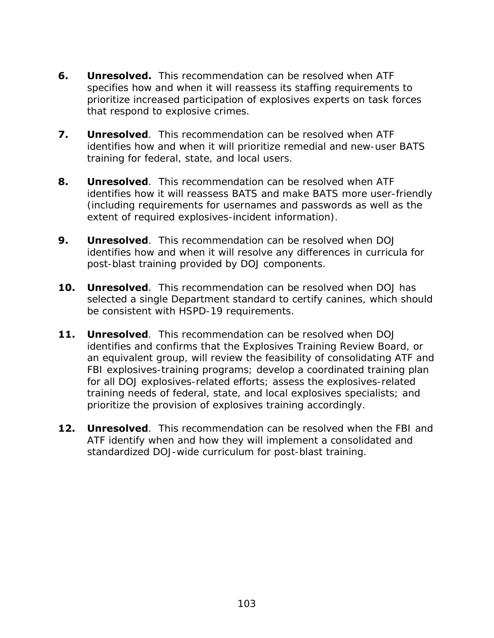- **6. Unresolved.** This recommendation can be resolved when ATF specifies how and when it will reassess its staffing requirements to prioritize increased participation of explosives experts on task forces that respond to explosive crimes.
- **7. Unresolved**. This recommendation can be resolved when ATF identifies how and when it will prioritize remedial and new-user BATS training for federal, state, and local users.
- **8. Unresolved**. This recommendation can be resolved when ATF identifies how it will reassess BATS and make BATS more user-friendly (including requirements for usernames and passwords as well as the extent of required explosives-incident information).
- **9. Unresolved**. This recommendation can be resolved when DOJ identifies how and when it will resolve any differences in curricula for post-blast training provided by DOJ components.
- **10. Unresolved**. This recommendation can be resolved when DOJ has selected a single Department standard to certify canines, which should be consistent with HSPD-19 requirements.
- **11. Unresolved**. This recommendation can be resolved when DOJ identifies and confirms that the Explosives Training Review Board, or an equivalent group, will review the feasibility of consolidating ATF and FBI explosives-training programs; develop a coordinated training plan for all DOJ explosives-related efforts; assess the explosives-related training needs of federal, state, and local explosives specialists; and prioritize the provision of explosives training accordingly.
- **12. Unresolved**. This recommendation can be resolved when the FBI and ATF identify when and how they will implement a consolidated and standardized DOJ-wide curriculum for post-blast training.